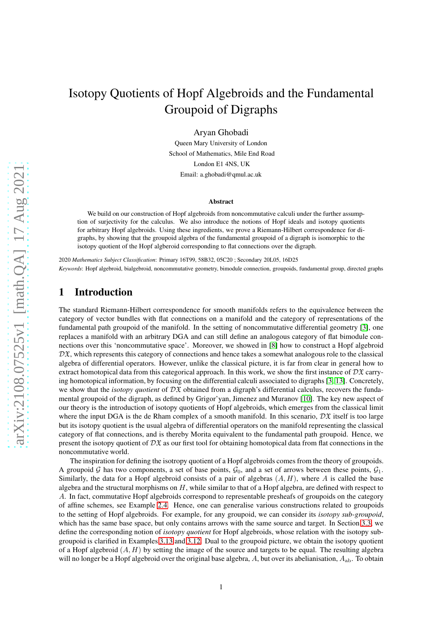# Isotopy Quotients of Hopf Algebroids and the Fundamental Groupoid of Digraphs

Aryan Ghobadi

Queen Mary University of London School of Mathematics, Mile End Road London E1 4NS, UK Email: a.ghobadi@qmul.ac.uk

#### Abstract

We build on our construction of Hopf algebroids from noncommutative calculi under the further assumption of surjectivity for the calculus. We also introduce the notions of Hopf ideals and isotopy quotients for arbitrary Hopf algebroids. Using these ingredients, we prove a Riemann-Hilbert correspondence for digraphs, by showing that the groupoid algebra of the fundamental groupoid of a digraph is isomorphic to the isotopy quotient of the Hopf algberoid corresponding to flat connections over the digraph.

2020 *Mathematics Subject Classification*: Primary 16T99, 58B32, 05C20 ; Secondary 20L05, 16D25 *Keywords*: Hopf algebroid, bialgebroid, noncommutative geometry, bimodule connection, groupoids, fundamental group, directed graphs

## 1 Introduction

The standard Riemann-Hilbert correspondence for smooth manifolds refers to the equivalence between the category of vector bundles with flat connections on a manifold and the category of representations of the fundamental path groupoid of the manifold. In the setting of noncommutative differential geometry [\[3\]](#page-25-0), one replaces a manifold with an arbitrary DGA and can still define an analogous category of flat bimodule connections over this 'noncommutative space'. Moreover, we showed in [\[8\]](#page-25-1) how to construct a Hopf algebroid  $D\mathfrak{X}$ , which represents this category of connections and hence takes a somewhat analogous role to the classical algebra of differential operators. However, unlike the classical picture, it is far from clear in general how to extract homotopical data from this categorical approach. In this work, we show the first instance of  $D\mathfrak{X}$  carrying homotopical information, by focusing on the differential calculi associated to digraphs [\[3,](#page-25-0) [13\]](#page-26-0). Concretely, we show that the *isotopy quotient* of  $D\mathfrak{X}$  obtained from a digraph's differential calculus, recovers the fundamental groupoid of the digraph, as defined by Grigor'yan, Jimenez and Muranov [\[10\]](#page-26-1). The key new aspect of our theory is the introduction of isotopy quotients of Hopf algebroids, which emerges from the classical limit where the input DGA is the de Rham complex of a smooth manifold. In this scenario,  $\mathcal{D}\mathfrak{X}$  itself is too large but its isotopy quotient is the usual algebra of differential operators on the manifold representing the classical category of flat connections, and is thereby Morita equivalent to the fundamental path groupoid. Hence, we present the isotopy quotient of  $D\mathfrak{X}$  as our first tool for obtaining homotopical data from flat connections in the noncommutative world.

The inspiration for defining the isotropy quotient of a Hopf algebroids comes from the theory of groupoids. A groupoid G has two components, a set of base points,  $\mathcal{G}_0$ , and a set of arrows between these points,  $\mathcal{G}_1$ . Similarly, the data for a Hopf algebroid consists of a pair of algebras  $(A, H)$ , where A is called the base algebra and the structural morphisms on  $H$ , while similar to that of a Hopf algebra, are defined with respect to A. In fact, commutative Hopf algebroids correspond to representable presheafs of groupoids on the category of affine schemes, see Example [2.4.](#page-5-0) Hence, one can generalise various constructions related to groupoids to the setting of Hopf algebroids. For example, for any groupoid, we can consider its *isotopy sub-groupoid*, which has the same base space, but only contains arrows with the same source and target. In Section [3.3,](#page-8-0) we define the corresponding notion of *isotopy quotient* for Hopf algebroids, whose relation with the isotopy subgroupoid is clarified in Examples [3.13](#page-9-0) and [3.12.](#page-9-1) Dual to the groupoid picture, we obtain the isotopy quotient of a Hopf algebroid  $(A, H)$  by setting the image of the source and targets to be equal. The resulting algebra will no longer be a Hopf algebroid over the original base algebra, A, but over its abelianisation,  $A_{ab}$ . To obtain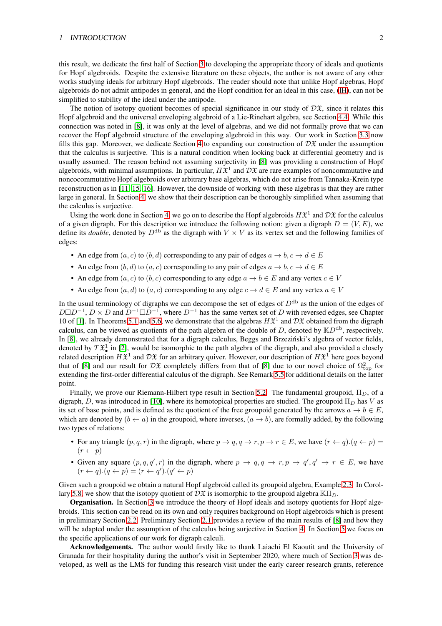#### <sup>1</sup> INTRODUCTION 2

this result, we dedicate the first half of Section [3](#page-5-1) to developing the appropriate theory of ideals and quotients for Hopf algebroids. Despite the extensive literature on these objects, the author is not aware of any other works studying ideals for arbitrary Hopf algebroids. The reader should note that unlike Hopf algebras, Hopf algebroids do not admit antipodes in general, and the Hopf condition for an ideal in this case, [\(lH\)](#page-6-0), can not be simplified to stability of the ideal under the antipode.

The notion of isotopy quotient becomes of special significance in our study of  $D\mathfrak{X}$ , since it relates this Hopf algebroid and the universal enveloping algebroid of a Lie-Rinehart algebra, see Section [4.4.](#page-13-0) While this connection was noted in [\[8\]](#page-25-1), it was only at the level of algebras, and we did not formally prove that we can recover the Hopf algebroid structure of the enveloping algebroid in this way. Our work in Section [3.3](#page-8-0) now fills this gap. Moreover, we dedicate Section [4](#page-9-2) to expanding our construction of  $D\mathfrak{X}$  under the assumption that the calculus is surjective. This is a natural condition when looking back at differential geometry and is usually assumed. The reason behind not assuming surjectivity in [\[8\]](#page-25-1) was providing a construction of Hopf algebroids, with minimal assumptions. In particular,  $H\mathfrak{X}^1$  and  $\mathcal{D}\mathfrak{X}$  are rare examples of noncommutative and noncocommutative Hopf algebroids over arbitrary base algebras, which do not arise from Tannaka-Krein type reconstruction as in [\[11,](#page-26-2) [15,](#page-26-3) [16\]](#page-26-4). However, the downside of working with these algebras is that they are rather large in general. In Section [4,](#page-9-2) we show that their description can be thoroughly simplified when assuming that the calculus is surjective.

Using the work done in Section [4,](#page-9-2) we go on to describe the Hopf algebroids  $H\mathfrak{X}^1$  and  $D\mathfrak{X}$  for the calculus of a given digraph. For this description we introduce the following notion: given a digraph  $D = (V, E)$ , we define its *double*, denoted by  $D^{db}$  as the digraph with  $V \times V$  as its vertex set and the following families of edges:

- An edge from  $(a, c)$  to  $(b, d)$  corresponding to any pair of edges  $a \rightarrow b, c \rightarrow d \in E$
- An edge from  $(b, d)$  to  $(a, c)$  corresponding to any pair of edges  $a \rightarrow b, c \rightarrow d \in E$
- An edge from  $(a, c)$  to  $(b, c)$  corresponding to any edge  $a \to b \in E$  and any vertex  $c \in V$
- An edge from  $(a, d)$  to  $(a, c)$  corresponding to any edge  $c \rightarrow d \in E$  and any vertex  $a \in V$

In the usual terminology of digraphs we can decompose the set of edges of  $D^{db}$  as the union of the edges of  $D \Box D^{-1}$ ,  $D \times D$  and  $D^{-1} \Box D^{-1}$ , where  $D^{-1}$  has the same vertex set of D with reversed edges, see Chapter 10 of [\[1\]](#page-25-2). In Theorems [5.1](#page-16-0) and [5.6,](#page-22-0) we demonstrate that the algebras  $H\mathfrak{X}^1$  and  $D\mathfrak{X}$  obtained from the digraph calculus, can be viewed as quotients of the path algebra of the double of D, denoted by  $\mathbb{K}D^{db}$ , respectively. In [\[8\]](#page-25-1), we already demonstrated that for a digraph calculus, Beggs and Brzeziński's algebra of vector fields, denoted by  $T\mathfrak{X}_\bullet^1$  in [\[2\]](#page-25-3), would be isomorphic to the path algebra of the digraph, and also provided a closely related description  $H\mathfrak{X}^1$  and  $D\mathfrak{X}$  for an arbitrary quiver. However, our description of  $H\mathfrak{X}^1$  here goes beyond that of [\[8\]](#page-25-1) and our result for  $\mathcal{D}\mathfrak{X}$  completely differs from that of [8] due to our novel choice of  $\Omega_{\text{top}}^2$  for extending the first-order differential calculus of the digraph. See Remark [5.5](#page-21-0) for additional details on the latter point.

Finally, we prove our Riemann-Hilbert type result in Section [5.2.](#page-24-0) The fundamental groupoid,  $\Pi_D$ , of a digraph, D, was introduced in [\[10\]](#page-26-1), where its homotopical properties are studied. The groupoid  $\Pi_D$  has V as its set of base points, and is defined as the quotient of the free groupoid generated by the arrows  $a \to b \in E$ , which are denoted by  $(b \leftarrow a)$  in the groupoid, where inverses,  $(a \rightarrow b)$ , are formally added, by the following two types of relations:

- For any triangle  $(p, q, r)$  in the digraph, where  $p \to q, q \to r, p \to r \in E$ , we have  $(r \leftarrow q) \cdot (q \leftarrow p)$  $(r \leftarrow p)$
- Given any square  $(p, q, q', r)$  in the digraph, where  $p \to q, q \to r, p \to q', q' \to r \in E$ , we have  $(r \leftarrow q) \cdot (q \leftarrow p) = (r \leftarrow q') \cdot (q' \leftarrow p)$

Given such a groupoid we obtain a natural Hopf algebroid called its groupoid algebra, Example [2.3.](#page-5-2) In Corol-lary [5.8,](#page-25-4) we show that the isotopy quotient of  $D\mathfrak{X}$  is isomorphic to the groupoid algebra  $\mathbb{K}(\Pi_D)$ .

Organisation. In Section [3](#page-5-1) we introduce the theory of Hopf ideals and isotopy quotients for Hopf algebroids. This section can be read on its own and only requires background on Hopf algebroids which is present in preliminary Section [2.2.](#page-3-0) Preliminary Section [2.1](#page-2-0) provides a review of the main results of [\[8\]](#page-25-1) and how they will be adapted under the assumption of the calculus being surjective in Section [4.](#page-9-2) In Section [5](#page-15-0) we focus on the specific applications of our work for digraph calculi.

Acknowledgements. The author would firstly like to thank Laiachi El Kaoutit and the University of Granada for their hospitality during the author's visit in September 2020, where much of Section [3](#page-5-1) was developed, as well as the LMS for funding this research visit under the early career research grants, reference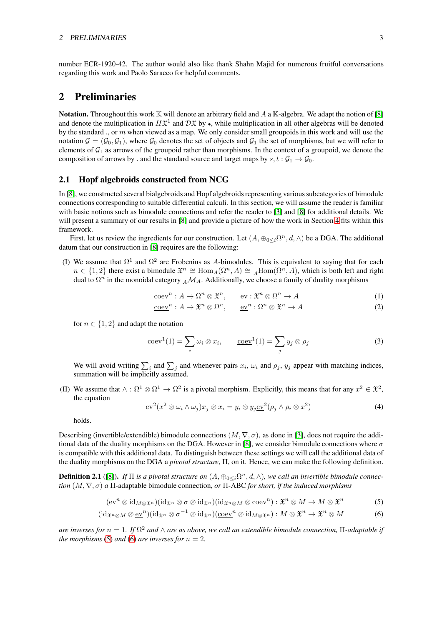#### 2 PRELIMINARIES 3

number ECR-1920-42. The author would also like thank Shahn Majid for numerous fruitful conversations regarding this work and Paolo Saracco for helpful comments.

## 2 Preliminaries

**Notation.** Throughout this work  $\mathbb{K}$  will denote an arbitrary field and A a  $\mathbb{K}$ -algebra. We adapt the notion of [\[8\]](#page-25-1) and denote the multiplication in  $H\mathfrak{X}^1$  and  $D\mathfrak{X}$  by  $\bullet$ , while multiplication in all other algebras will be denoted by the standard ., or  $m$  when viewed as a map. We only consider small groupoids in this work and will use the notation  $\mathcal{G} = (\mathcal{G}_0, \mathcal{G}_1)$ , where  $\mathcal{G}_0$  denotes the set of objects and  $\mathcal{G}_1$  the set of morphisms, but we will refer to elements of  $G_1$  as arrows of the groupoid rather than morphisms. In the context of a groupoid, we denote the composition of arrows by . and the standard source and target maps by  $s, t : \mathcal{G}_1 \to \mathcal{G}_0$ .

### <span id="page-2-0"></span>2.1 Hopf algebroids constructed from NCG

In [\[8\]](#page-25-1), we constructed several bialgebroids and Hopf algebroids representing various subcategories of bimodule connections corresponding to suitable differential calculi. In this section, we will assume the reader is familiar with basic notions such as bimodule connections and refer the reader to [\[3\]](#page-25-0) and [\[8\]](#page-25-1) for additional details. We will present a summary of our results in [\[8\]](#page-25-1) and provide a picture of how the work in Section [4](#page-9-2) fits within this framework.

First, let us review the ingredients for our construction. Let  $(A, \oplus_{0 \leq i} \Omega^n, d, \wedge)$  be a DGA. The additional datum that our construction in [\[8\]](#page-25-1) requires are the following:

(I) We assume that  $\Omega^1$  and  $\Omega^2$  are Frobenius as A-bimodules. This is equivalent to saying that for each  $n \in \{1,2\}$  there exist a bimodule  $\mathfrak{X}^n \cong \text{Hom}_A(\Omega^n, A) \cong {}_A\text{Hom}(\Omega^n, A)$ , which is both left and right dual to  $\Omega^n$  in the monoidal category  $_A\mathcal{M}_A$ . Additionally, we choose a family of duality morphisms

$$
\operatorname{coev}^n: A \to \Omega^n \otimes \mathfrak{X}^n, \qquad \operatorname{ev}: \mathfrak{X}^n \otimes \Omega^n \to A \tag{1}
$$

$$
\underline{\text{coev}}^n : A \to \mathfrak{X}^n \otimes \Omega^n, \qquad \underline{\text{ev}}^n : \Omega^n \otimes \mathfrak{X}^n \to A \tag{2}
$$

for  $n \in \{1, 2\}$  and adapt the notation

$$
\operatorname{coev}^{1}(1) = \sum_{i} \omega_{i} \otimes x_{i}, \qquad \underline{\operatorname{coev}}^{1}(1) = \sum_{j} y_{j} \otimes \rho_{j}
$$
 (3)

We will avoid writing  $\sum_i$  and  $\sum_j$  and whenever pairs  $x_i$ ,  $\omega_i$  and  $\rho_j$ ,  $y_j$  appear with matching indices, summation will be implicitly assumed.

(II) We assume that  $\wedge : \Omega^1 \otimes \Omega^1 \to \Omega^2$  is a pivotal morphism. Explicitly, this means that for any  $x^2 \in \mathfrak{X}^2$ , the equation

<span id="page-2-3"></span><span id="page-2-2"></span><span id="page-2-1"></span>
$$
\mathrm{ev}^{2}(x^{2} \otimes \omega_{i} \wedge \omega_{j})x_{j} \otimes x_{i} = y_{i} \otimes y_{j} \underline{\mathrm{ev}}^{2}(\rho_{j} \wedge \rho_{i} \otimes x^{2})
$$
(4)

holds.

Describing (invertible/extendible) bimodule connections  $(M, \nabla, \sigma)$ , as done in [\[3\]](#page-25-0), does not require the addi-tional data of the duality morphisms on the DGA. However in [\[8\]](#page-25-1), we consider bimodule connections where  $\sigma$ is compatible with this additional data. To distinguish between these settings we will call the additional data of the duality morphisms on the DGA a *pivotal structure*, Π, on it. Hence, we can make the following definition.

**Definition 2.1** ([\[8\]](#page-25-1)). If  $\Pi$  is a pivotal structure on  $(A, \oplus_{0\leq i} \Omega^n, d, \wedge)$ , we call an invertible bimodule connec*tion*  $(M, \nabla, \sigma)$  *a* Π-adaptable bimodule connection, *or* Π-ABC *for short, if the induced morphisms* 

$$
(ev^n \otimes id_{M \otimes \mathfrak{X}^n})(id_{\mathfrak{X}^n} \otimes \sigma \otimes id_{\mathfrak{X}^n})(id_{\mathfrak{X}^n \otimes M} \otimes coev^n): \mathfrak{X}^n \otimes M \to M \otimes \mathfrak{X}^n
$$
 (5)

$$
(\mathrm{id}_{\mathfrak{X}^n\otimes M}\otimes \underline{\mathrm{ev}}^n)(\mathrm{id}_{\mathfrak{X}^n}\otimes \sigma^{-1}\otimes \mathrm{id}_{\mathfrak{X}^n})(\underline{\mathrm{coev}}^n\otimes \mathrm{id}_{M\otimes \mathfrak{X}^n}):M\otimes \mathfrak{X}^n\to \mathfrak{X}^n\otimes M\tag{6}
$$

*are inverses for*  $n = 1$ *. If*  $\Omega^2$  *and*  $\wedge$  *are as above, we call an extendible bimodule connection,*  $\Pi$ *-adaptable if the morphisms* [\(5\)](#page-2-1) *and* [\(6\)](#page-2-2) *are inverses for*  $n = 2$ *.*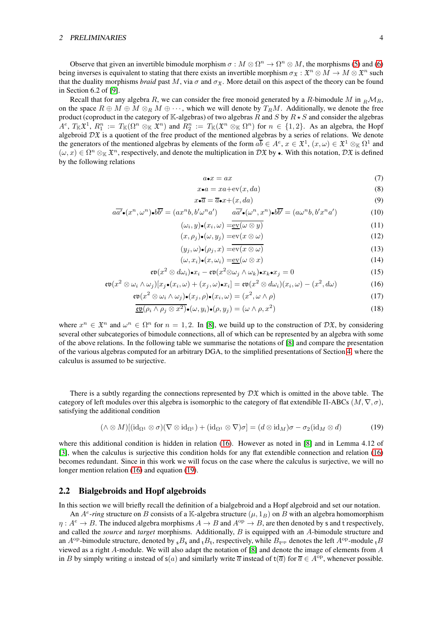#### <sup>2</sup> PRELIMINARIES 4

Observe that given an invertible bimodule morphism  $\sigma : M \otimes \Omega^n \to \Omega^n \otimes M$ , the morphisms [\(5\)](#page-2-1) and [\(6\)](#page-2-2) being inverses is equivalent to stating that there exists an invertible morphism  $\sigma_{\mathfrak{X}}: \mathfrak{X}^n \otimes M \to M \otimes \mathfrak{X}^n$  such that the duality morphisms *braid* past M, via  $\sigma$  and  $\sigma_{\mathfrak{X}}$ . More detail on this aspect of the theory can be found in Section 6.2 of [\[9\]](#page-25-5).

Recall that for any algebra R, we can consider the free monoid generated by a R-bimodule M in  $_R\mathcal{M}_R$ , on the space  $R \oplus M \oplus M \otimes_R M \oplus \cdots$ , which we will denote by  $T_RM$ . Additionally, we denote the free product (coproduct in the category of K-algebras) of two algebras R and S by  $R \star S$  and consider the algebras  $A^e$ ,  $T_{\mathbb{K}}\mathfrak{X}^1$ ,  $R_1^n := T_{\mathbb{K}}(\Omega^n \otimes_{\mathbb{K}} \mathfrak{X}^n)$  and  $R_2^n := T_{\mathbb{K}}(\mathfrak{X}^n \otimes_{\mathbb{K}} \Omega^n)$  for  $n \in \{1,2\}$ . As an algebra, the Hopf algebroid  $\mathcal{D} \mathfrak{X}$  is a quotient of the free product of the mentioned algebras by a series of relations. We denote the generators of the mentioned algebras by elements of the form  $a\overline{b} \in A^e$ ,  $x \in \mathfrak{X}^1$ ,  $(x, \omega) \in \mathfrak{X}^1 \otimes_{\mathbb{K}} \Omega^1$  and  $(\omega, x) \in \Omega^n \otimes_{\mathbb{K}} \mathfrak{X}^n$ , respectively, and denote the multiplication in  $D\mathfrak{X}$  by  $\bullet$ . With this notation,  $D\mathfrak{X}$  is defined by the following relations

<span id="page-3-9"></span><span id="page-3-8"></span><span id="page-3-7"></span><span id="page-3-6"></span><span id="page-3-5"></span><span id="page-3-4"></span><span id="page-3-3"></span>
$$
a \bullet x = ax \tag{7}
$$

$$
x \bullet a = xa + \mathrm{ev}(x, da) \tag{8}
$$

<span id="page-3-11"></span><span id="page-3-10"></span>
$$
x \bullet \overline{a} = \overline{a} \bullet x + (x, da) \tag{9}
$$

$$
a\overline{a'}\bullet(x^n,\omega^n)\bullet b\overline{b'}=(ax^nb,b'\omega^na')\qquad a\overline{a'}\bullet(\omega^n,x^n)\bullet b\overline{b'}=(a\omega^nb,b'x^na')
$$
(10)

$$
(\omega_i, y) \bullet (x_i, \omega) = \underline{\mathrm{ev}}(\omega \otimes y) (x, \rho_j) \bullet (\omega, y_j) = \underline{\mathrm{ev}}(x \otimes \omega)
$$
(12)

$$
(u_i, \omega) \bullet (a_i, x) = \overline{\text{ev}(x \otimes \omega)}
$$
(13)

<span id="page-3-13"></span><span id="page-3-12"></span><span id="page-3-1"></span>
$$
(\omega, x_i) \bullet (x, \omega_i) = \underline{\text{ev}}(\omega \otimes x) \tag{14}
$$

$$
\mathfrak{ev}(x^2 \otimes d\omega_i)\bullet x_i - \mathfrak{ev}(x^2 \otimes \omega_j \wedge \omega_k)\bullet x_k \bullet x_j = 0 \tag{15}
$$

$$
\mathfrak{ev}(x^2 \otimes \omega_i \wedge \omega_j)[x_j \bullet (x_i, \omega) + (x_j, \omega) \bullet x_i] = \mathfrak{ev}(x^2 \otimes d\omega_i)(x_i, \omega) - (x^2, d\omega) \tag{16}
$$

$$
\mathfrak{ev}(x^2 \otimes \omega_i \wedge \omega_j) \bullet (x_j, \rho) \bullet (x_i, \omega) = (x^2, \omega \wedge \rho) \tag{17}
$$

$$
\underline{\text{co}}(\rho_i \wedge \rho_j \otimes x^2) \bullet (\omega, y_i) \bullet (\rho, y_j) = (\omega \wedge \rho, x^2)
$$
\n(18)

where  $x^n \in \mathfrak{X}^n$  and  $\omega^n \in \Omega^n$  for  $n = 1, 2$ . In [\[8\]](#page-25-1), we build up to the construction of  $D\mathfrak{X}$ , by considering several other subcategories of bimodule connections, all of which can be represented by an algebra with some of the above relations. In the following table we summarise the notations of [\[8\]](#page-25-1) and compare the presentation of the various algebras computed for an arbitrary DGA, to the simplified presentations of Section [4,](#page-9-2) where the calculus is assumed to be surjective.

There is a subtly regarding the connections represented by  $\mathcal{D}\mathfrak{X}$  which is omitted in the above table. The category of left modules over this algebra is isomorphic to the category of flat extendible Π-ABCs  $(M, \nabla, \sigma)$ , satisfying the additional condition

<span id="page-3-2"></span>
$$
(\wedge \otimes M)[(\mathrm{id}_{\Omega^1} \otimes \sigma)(\nabla \otimes \mathrm{id}_{\Omega^1}) + (\mathrm{id}_{\Omega^1} \otimes \nabla)\sigma] = (d \otimes \mathrm{id}_M)\sigma - \sigma_2(\mathrm{id}_M \otimes d) \tag{19}
$$

where this additional condition is hidden in relation [\(16\)](#page-3-1). However as noted in [\[8\]](#page-25-1) and in Lemma 4.12 of [\[3\]](#page-25-0), when the calculus is surjective this condition holds for any flat extendible connection and relation [\(16\)](#page-3-1) becomes redundant. Since in this work we will focus on the case where the calculus is surjective, we will no longer mention relation [\(16\)](#page-3-1) and equation [\(19\)](#page-3-2).

#### <span id="page-3-0"></span>2.2 Bialgebroids and Hopf algebroids

In this section we will briefly recall the definition of a bialgebroid and a Hopf algebroid and set our notation.

An  $A^e$ -*ring* structure on B consists of a K-algebra structure  $(\mu, 1_B)$  on B with an algebra homomorphism  $\eta: A^e \to B$ . The induced algebra morphisms  $A \to B$  and  $A^{\rm op} \to B$ , are then denoted by s and t respectively, and called the *source* and *target* morphisms. Additionally, B is equipped with an A-bimodule structure and an  $A^{op}$ -bimodule structure, denoted by  $_{s}B_{s}$  and  $_{t}B_{t}$ , respectively, while  $B_{t^{op}}$  denotes the left  $A^{op}$ -module  $_{t}B$ viewed as a right A-module. We will also adapt the notation of [\[8\]](#page-25-1) and denote the image of elements from A in B by simply writing a instead of  $s(a)$  and similarly write  $\overline{a}$  instead of  $t(\overline{a})$  for  $\overline{a} \in A^{op}$ , whenever possible.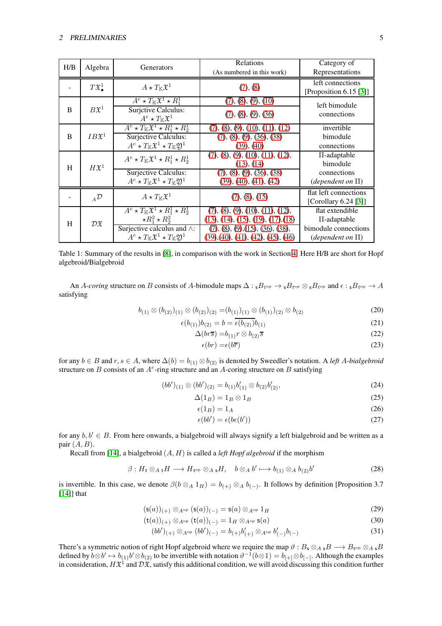| H/B | Algebra                    | Generators                                                                    | Relations                          | Category of                   |
|-----|----------------------------|-------------------------------------------------------------------------------|------------------------------------|-------------------------------|
|     |                            |                                                                               | (As numbered in this work)         | Representations               |
|     | $T\mathfrak{X}^1$          | $A \star T_{\mathbb K} \mathfrak X^1$                                         | (7), (8)                           | left connections              |
|     |                            |                                                                               |                                    | [Proposition 6.15 [3]]        |
| B   | $B\mathfrak{X}^1$          | $A^e \star T_{\mathbb{K}} \mathfrak{X}^1 \star R_1^1$                         | (7), (8), (9), (10)                | left bimodule                 |
|     |                            | <b>Surjetive Calculus:</b>                                                    | (7), (8), (9), (36)                | connections                   |
|     |                            | $A^e \star T_{\mathbb K} \mathfrak X^1$                                       |                                    |                               |
| B   | $IB{\mathfrak{X}}^1$       | $A^e \star T_{\mathbb{K}} \mathfrak{X}^1 \star R_1^1 \star R_2^1$             | (7), (8), (9), (10), (11), (12)    | invertible                    |
|     |                            | Surjective Calculus:                                                          | (7), (8), (9), (36), (38)          | bimodule                      |
|     |                            | $A^e \star T_{\mathbb{K}} \mathfrak{X}^1 \star T_{\mathbb{K}} \mathfrak{Y}^1$ | (39), (40)                         | connections                   |
| H   | $H\mathfrak{X}^1$          | $A^e \star T_{\mathbb{K}} \mathfrak{X}^1 \star R_1^1 \star R_2^1$             | (7), (8), (9), (10), (11), (12),   | $\Pi$ -adaptable              |
|     |                            |                                                                               | (13), (14)                         | bimodule                      |
|     |                            | Surjective Calculus:                                                          | (7), (8), (9), (36), (38)          | connections                   |
|     |                            | $A^e \star T_{\mathbb{K}} \mathfrak{X}^1 \star T_{\mathbb{K}} \mathfrak{Y}^1$ | (39), (40), (41), (42)             | ( <i>dependent on</i> $\Pi$ ) |
|     | $_{A}\mathcal{D}$          | $A \star T_{\mathbb K} \mathfrak X^1$                                         | (7), (8), (15)                     | flat left connections         |
|     |                            |                                                                               |                                    | [Corollary 6.24 $[3]$ ]       |
| H   | $\mathcal{D} \mathfrak{X}$ | $A^e \star T_{\mathbb{K}} \mathfrak{X}^1 \star R_1^1 \star R_2^1$             | (7), (8), (9), (10), (11), (12),   | flat extendible               |
|     |                            | $\star R_1^2 \star R_2^2$                                                     | (13), (14), (15), (19), (17), (18) | $\Pi$ -adaptable              |
|     |                            | Surjective calculus and $\wedge$ :                                            | (7), (8), (9), (15), (36), (38),   | bimodule connections          |
|     |                            | $A^e \star T_{\mathbb{K}} \mathfrak{X}^1 \star T_{\mathbb{K}} \mathfrak{Y}^1$ | (39),(40),(41),(42),(45),(46)      | ( <i>dependent on</i> $\Pi$ ) |

Table 1: Summary of the results in [\[8\]](#page-25-1), in comparison with the work in Section [4.](#page-9-2) Here H/B are short for Hopf algebroid/Bialgebroid

An A-*coring* structure on B consists of A-bimodule maps  $\Delta: {}_5B_{t^{op}} \to {}_5B_{t^{op}} \otimes {}_5B_{t^{op}}$  and  $\epsilon: {}_5B_{t^{op}} \to A$ satisfying

$$
b_{(1)} \otimes (b_{(2)})_{(1)} \otimes (b_{(2)})_{(2)} = (b_{(1)})_{(1)} \otimes (b_{(1)})_{(2)} \otimes b_{(2)} \tag{20}
$$

$$
\epsilon(b_{(1)})b_{(2)} = b = \overline{\epsilon(b_{(2)})}b_{(1)}
$$
\n(21)

$$
\Delta(br\overline{s}) = b_{(1)}r \otimes b_{(2)}\overline{s}
$$
\n<sup>(22)</sup>

<span id="page-4-2"></span>
$$
\epsilon(br) = \epsilon(b\overline{r})\tag{23}
$$

for any  $b \in B$  and  $r, s \in A$ , where  $\Delta(b) = b_{(1)} \otimes b_{(2)}$  is denoted by Sweedler's notation. A *left* A-*bialgebroid* structure on B consists of an  $A^e$ -ring structure and an A-coring structure on B satisfying

$$
(bb')_{(1)} \otimes (bb')_{(2)} = b_{(1)}b'_{(1)} \otimes b_{(2)}b'_{(2)},
$$
\n(24)

$$
\Delta(1_B) = 1_B \otimes 1_B \tag{25}
$$

<span id="page-4-3"></span><span id="page-4-1"></span><span id="page-4-0"></span>
$$
\epsilon(1_B) = 1_A \tag{26}
$$

<span id="page-4-6"></span><span id="page-4-5"></span><span id="page-4-4"></span>
$$
\epsilon(bb') = \epsilon(b\epsilon(b')) \tag{27}
$$

for any  $b, b' \in B$ . From here onwards, a bialgebroid will always signify a left bialgebroid and be written as a pair  $(A, B)$ .

Recall from [\[14\]](#page-26-5), a bialgebroid (A, H) is called a *left Hopf algebroid* if the morphism

$$
\beta: H_{\mathsf{t}} \otimes_{A \mathsf{t}} H \longrightarrow H_{\mathsf{t}^{\mathrm{op}}} \otimes_{A \mathsf{s}} H, \quad b \otimes_A b' \longmapsto b_{(1)} \otimes_A b_{(2)} b'
$$
 (28)

is invertible. In this case, we denote  $\beta(b \otimes_A 1_H) = b_{(+)} \otimes_A b_{(-)}$ . It follows by definition [Proposition 3.7 [\[14\]](#page-26-5)] that

$$
(\mathsf{s}(a))_{(+)} \otimes_{A^{\mathrm{op}}} (\mathsf{s}(a))_{(-)} = \mathsf{s}(a) \otimes_{A^{\mathrm{op}}} 1_H \tag{29}
$$

$$
(\mathsf{t}(a))_{(+)} \otimes_{A^{\mathrm{op}}} (\mathsf{t}(a))_{(-)} = 1_H \otimes_{A^{\mathrm{op}}} \mathsf{s}(a) \tag{30}
$$

$$
(bb')_{(+)} \otimes_{A^{\rm op}} (bb')_{(-)} = b_{(+)}b'_{(+)} \otimes_{A^{\rm op}} b'_{(-)}b_{(-)}
$$
\n(31)

There's a symmetric notion of right Hopf algebroid where we require the map  $\vartheta: B_\mathsf{s} \otimes_{A_\mathsf{s}} B \longrightarrow B_{\mathsf{t}^\mathrm{op}} \otimes_{A_\mathsf{s}} B$ defined by  $b \otimes b' \mapsto b_{(1)}b' \otimes b_{(2)}$  to be invertible with notation  $\vartheta^{-1}(b \otimes 1) = b_{[+]} \otimes b_{[-]}$ . Although the examples in consideration,  $H\mathfrak{X}^1$  and  $\mathcal{D}\mathfrak{X}$ , satisfy this additional condition, we will avoid discussing this condition further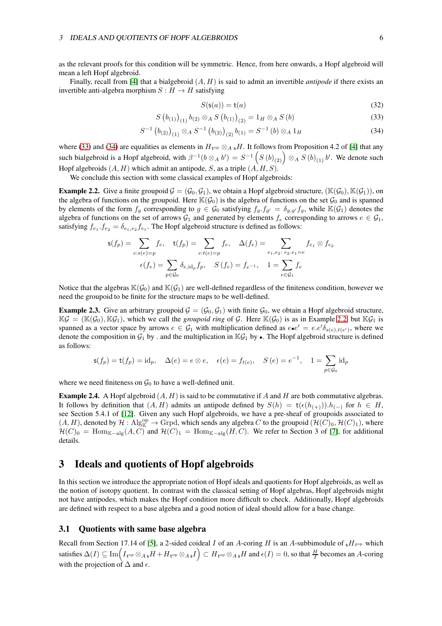as the relevant proofs for this condition will be symmetric. Hence, from here onwards, a Hopf algebroid will mean a left Hopf algebroid.

Finally, recall from [\[4\]](#page-25-6) that a bialgebroid (A, H) is said to admit an invertible *antipode* if there exists an invertible anti-algebra morphism  $S : H \to H$  satisfying

<span id="page-5-4"></span><span id="page-5-3"></span>
$$
S(\mathsf{s}(a)) = \mathsf{t}(a) \tag{32}
$$

$$
S(b_{(1)})_{(1)} b_{(2)} \otimes_A S(b_{(1)})_{(2)} = 1_H \otimes_A S(b)
$$
\n(33)

$$
S^{-1} (b_{(2)})_{(1)} \otimes_A S^{-1} (b_{(2)})_{(2)} b_{(1)} = S^{-1} (b) \otimes_A 1_H
$$
 (34)

where [\(33\)](#page-5-3) and [\(34\)](#page-5-4) are equalities as elements in  $H_{t^{op}} \otimes_A {}_{s}H$ . It follows from Proposition 4.2 of [\[4\]](#page-25-6) that any such bialgebroid is a Hopf algebroid, with  $\beta^{-1}(b \otimes_A b') = S^{-1}\left(S\left(b\right)_{(2)}\right) \otimes_A S\left(b\right)_{(1)} b'$ . We denote such Hopf algebroids  $(A, H)$  which admit an antipode, S, as a triple  $(A, H, S)$ .

We conclude this section with some classical examples of Hopf algebroids:

<span id="page-5-5"></span>**Example 2.2.** Give a finite groupoid  $\mathcal{G} = (\mathcal{G}_0, \mathcal{G}_1)$ , we obtain a Hopf algebroid structure,  $(\mathbb{K}(\mathcal{G}_0), \mathbb{K}(\mathcal{G}_1))$ , on the algebra of functions on the groupoid. Here  $\mathbb{K}(\mathcal{G}_0)$  is the algebra of functions on the set  $\mathcal{G}_0$  and is spanned by elements of the form  $f_g$  corresponding to  $g \in \mathcal{G}_0$  satisfying  $f_g \cdot f_{g'} = \delta_{g,g'} f_g$ , while  $\mathbb{K}(\mathcal{G}_1)$  denotes the algebra of functions on the set of arrows  $G_1$  and generated by elements  $f_e$  corresponding to arrows  $e \in G_1$ , satisfying  $f_{e_1} f_{e_2} = \delta_{e_1, e_2} f_{e_1}$ . The Hopf algebroid structure is defined as follows:

$$
\mathsf{s}(f_p) = \sum_{e:s(e)=p} f_e, \quad \mathsf{t}(f_p) = \sum_{e:t(e)=p} f_e, \quad \Delta(f_e) = \sum_{e_1,e_2:\ e_2,e_1=e} f_{e_1} \otimes f_{e_2}
$$
\n
$$
\epsilon(f_e) = \sum_{p \in \mathcal{G}_0} \delta_{e,\text{id}_p} f_p, \quad S\left(f_e\right) = f_{e^{-1}}, \quad 1 = \sum_{e \in \mathcal{G}_1} f_e
$$

Notice that the algebras  $\mathbb{K}(\mathcal{G}_0)$  and  $\mathbb{K}(\mathcal{G}_1)$  are well-defined regardless of the finiteness condition, however we need the groupoid to be finite for the structure maps to be well-defined.

<span id="page-5-2"></span>**Example 2.3.** Give an arbitrary groupoid  $G = (G_0, G_1)$  with finite  $G_0$ , we obtain a Hopf algebroid structure,  $\mathbb{K}\mathcal{G} = (\mathbb{K}(\mathcal{G}_0), \mathbb{K}\mathcal{G}_1)$ , which we call the *groupoid ring* of  $\mathcal{G}$ . Here  $\mathbb{K}(\mathcal{G}_0)$  is as in Example [2.2,](#page-5-5) but  $\mathbb{K}\mathcal{G}_1$  is spanned as a vector space by arrows  $e \in G_1$  with multiplication defined as  $e \cdot e' = e e' \delta_{s(e), t(e')}$ , where we denote the composition in  $G_1$  by . and the multiplication in  $\mathbb{K}G_1$  by  $\bullet$ . The Hopf algebroid structure is defined as follows:

$$
\mathsf{s}(f_p) = \mathsf{t}(f_p) = \mathrm{id}_p, \quad \Delta(e) = e \otimes e, \quad \epsilon(e) = f_{t(e)}, \quad S(e) = e^{-1}, \quad 1 = \sum_{p \in \mathcal{G}_0} \mathrm{id}_p
$$

where we need finiteness on  $\mathcal{G}_0$  to have a well-defined unit.

<span id="page-5-0"></span>**Example 2.4.** A Hopf algebroid  $(A, H)$  is said to be commutative if A and H are both commutative algebras. It follows by definition that  $(A, H)$  admits an antipode defined by  $S(h) = t(\epsilon(h_{(+)})) \cdot h_{(-)}$  for  $h \in H$ , see Section 5.4.1 of [\[12\]](#page-26-6). Given any such Hopf algebroids, we have a pre-sheaf of groupoids associated to  $(A, H)$ , denoted by  $\mathcal{H}: \mathrm{Alg}_{\mathbb{K}}^{\mathrm{op}} \to \mathrm{Grpd}$ , which sends any algebra C to the groupoid  $(\mathcal{H}(C)_0, \mathcal{H}(C)_1)$ , where  $\mathcal{H}(C)_0 = \text{Hom}_{\mathbb{K}-\text{alg}}(A, C)$  and  $\mathcal{H}(C)_1 = \text{Hom}_{\mathbb{K}-\text{alg}}(H, C)$ . We refer to Section 3 of [\[7\]](#page-25-7), for additional details.

## <span id="page-5-1"></span>3 Ideals and quotients of Hopf algebroids

In this section we introduce the appropriate notion of Hopf ideals and quotients for Hopf algebroids, as well as the notion of isotopy quotient. In contrast with the classical setting of Hopf algebras, Hopf algebroids might not have antipodes, which makes the Hopf condition more difficult to check. Additionally, Hopf algebroids are defined with respect to a base algebra and a good notion of ideal should allow for a base change.

#### 3.1 Quotients with same base algebra

Recall from Section 17.14 of [\[5\]](#page-25-8), a 2-sided coideal I of an A-coring H is an A-subbimodule of  $\frac{1}{s}H_{t^{op}}$  which satisfies  $\Delta(I)\subseteq \text{Im}\Big(I_{\mathsf{t}^{\text{op}}}\otimes_{A\mathsf{s}}H+H_{\mathsf{t}^{\text{op}}}\otimes_{A\mathsf{s}}I\Big)\subset H_{\mathsf{t}^{\text{op}}}\otimes_{A\mathsf{s}}H$  and  $\epsilon(I)=0,$  so that  $\frac{H}{I}$  becomes an  $A$ -coring with the projection of  $\Delta$  and  $\epsilon$ .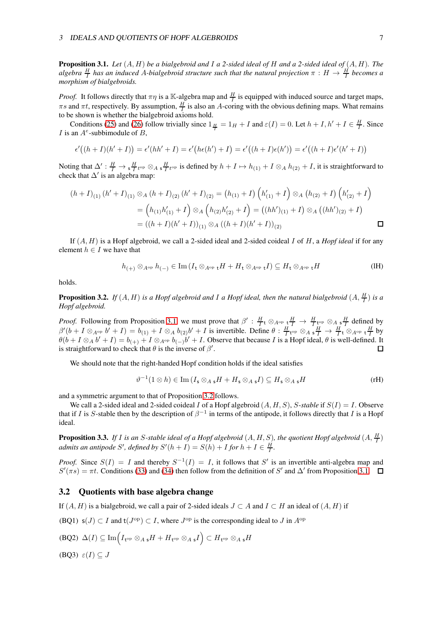#### <sup>3</sup> IDEALS AND QUOTIENTS OF HOPF ALGEBROIDS 7

<span id="page-6-1"></span>Proposition 3.1. *Let* (A, H) *be a bialgebroid and* I *a 2-sided ideal of* H *and a 2-sided ideal of* (A, H)*. The*  $algebra \frac{H}{I}$  has an induced A-bialgebroid structure such that the natural projection  $\pi : H \to \frac{H}{I}$  becomes a *morphism of bialgebroids.*

*Proof.* It follows directly that  $\pi\eta$  is a K-algebra map and  $\frac{H}{I}$  is equipped with induced source and target maps,  $\pi s$  and  $\pi t$ , respectively. By assumption,  $\frac{H}{I}$  is also an A-coring with the obvious defining maps. What remains to be shown is whether the bialgebroid axioms hold.

Conditions [\(25\)](#page-4-0) and [\(26\)](#page-4-1) follow trivially since  $1_{\frac{H}{I}} = 1_H + I$  and  $\varepsilon(I) = 0$ . Let  $h + I, h' + I \in \frac{H}{I}$ . Since I is an  $A^e$ -subbimodule of B,

$$
\epsilon'((h+I)(h'+I)) = \epsilon'(hh'+I) = \epsilon'(h\epsilon(h')+I) = \epsilon'((h+I)\epsilon(h')) = \epsilon'((h+I)\epsilon'(h'+I))
$$

Noting that  $\Delta' : \frac{H}{I} \to \frac{H}{I}$  top  $\otimes_A \frac{H}{I}$  top is defined by  $h + I \mapsto h_{(1)} + I \otimes_A h_{(2)} + I$ , it is straightforward to check that  $\Delta'$  is an algebra map:

$$
(h+I)_{(1)} (h'+I)_{(1)} \otimes_A (h+I)_{(2)} (h'+I)_{(2)} = (h_{(1)}+I) (h'_{(1)}+I) \otimes_A (h_{(2)}+I) (h'_{(2)}+I)
$$
  
=  $(h_{(1)}h'_{(1)}+I) \otimes_A (h_{(2)}h'_{(2)}+I) = ((hh')_{(1)}+I) \otimes_A ((hh')_{(2)}+I)$   
=  $((h+I)(h'+I))_{(1)} \otimes_A ((h+I)(h'+I))_{(2)}$ 

If (A, H) is a Hopf algebroid, we call a 2-sided ideal and 2-sided coideal I of H, a *Hopf ideal* if for any element  $h \in I$  we have that

<span id="page-6-0"></span>
$$
h_{(+)}\otimes_{A^{\mathrm{op}}}h_{(-)}\in\mathrm{Im}\,(I_{\mathbf{t}}\otimes_{A^{\mathrm{op}}\mathbf{t}}H+H_{\mathbf{t}}\otimes_{A^{\mathrm{op}}\mathbf{t}}I)\subseteq H_{\mathbf{t}}\otimes_{A^{\mathrm{op}}\mathbf{t}}H\tag{IH}
$$

holds.

<span id="page-6-2"></span>**Proposition 3.2.** If  $(A, H)$  is a Hopf algebroid and I a Hopf ideal, then the natural bialgebroid  $(A, \frac{H}{I})$  is a *Hopf algebroid.*

*Proof.* Following from Proposition [3.1,](#page-6-1) we must prove that  $\beta' : \frac{H}{I} \otimes_{A^{op}} \frac{H}{I} \to \frac{H}{I} \underset{\longleftarrow}{\downarrow} \otimes_{A_{\frac{S}{I}}} \frac{H}{I}$  defined by  $\beta'(b+I\otimes_{A^{op}}b'+I)=b_{(1)}+I\otimes_A b_{(2)}b'+I$  is invertible. Define  $\theta: \frac{H}{I}$ <sub>t<sup>op</sup></sub>  $\otimes_A \frac{H}{I} \to \frac{H}{I} \cdot \otimes_{A^{op}} \frac{H}{I}$  by  $\theta(b+I\otimes_A b'+I)=b_{(+)}+I\otimes_{A^{\text{op}}} b_{(-)}b'+I.$  Observe that because I is a Hopf ideal,  $\theta$  is well-defined. It is straightforward to check that  $\theta$  is the inverse of  $\beta'$ .  $\Box$ 

We should note that the right-handed Hopf condition holds if the ideal satisfies

$$
\vartheta^{-1}(1 \otimes h) \in \text{Im}\left(I_{\mathsf{s}} \otimes_{A} {}_{\mathsf{s}}H + H_{\mathsf{s}} \otimes_{A} {}_{\mathsf{s}}I\right) \subseteq H_{\mathsf{s}} \otimes_{A} {}_{\mathsf{s}}H \tag{rH}
$$

and a symmetric argument to that of Proposition [3.2](#page-6-2) follows.

We call a 2-sided ideal and 2-sided coideal I of a Hopf algebroid (A, H, S), S-*stable* if S(I) = I. Observe that if I is S-stable then by the description of  $\beta^{-1}$  in terms of the antipode, it follows directly that I is a Hopf ideal.

<span id="page-6-6"></span>**Proposition 3.3.** If I is an S-stable ideal of a Hopf algebroid  $(A, H, S)$ , the quotient Hopf algebroid  $(A, \frac{H}{I})$ *admits an antipode S', defined by*  $S'(h+I) = S(h) + I$  *for*  $h + I \in \frac{H}{I}$ .

*Proof.* Since  $S(I) = I$  and thereby  $S^{-1}(I) = I$ , it follows that S' is an invertible anti-algebra map and  $S'(\pi s) = \pi t$ . Conditions [\(33\)](#page-5-3) and [\(34\)](#page-5-4) then follow from the definition of S' and  $\Delta'$  from Proposition [3.1.](#page-6-1)

#### 3.2 Quotients with base algebra change

<span id="page-6-3"></span>If  $(A, H)$  is a bialgebroid, we call a pair of 2-sided ideals  $J \subset A$  and  $I \subset H$  an ideal of  $(A, H)$  if

<span id="page-6-4"></span>(BQ1)  $s(J) \subset I$  and  $t(J^{\text{op}}) \subset I$ , where  $J^{\text{op}}$  is the corresponding ideal to J in  $A^{\text{op}}$ 

$$
\text{(BQ2)} \ \Delta(I) \subseteq \text{Im}\Big(I_{\mathsf{t}^{\text{op}}} \otimes_{A \mathsf{s}} H + H_{\mathsf{t}^{\text{op}}} \otimes_{A \mathsf{s}} I\Big) \subset H_{\mathsf{t}^{\text{op}}} \otimes_{A \mathsf{s}} H
$$

<span id="page-6-5"></span>(BQ3)  $\varepsilon(I) \subseteq J$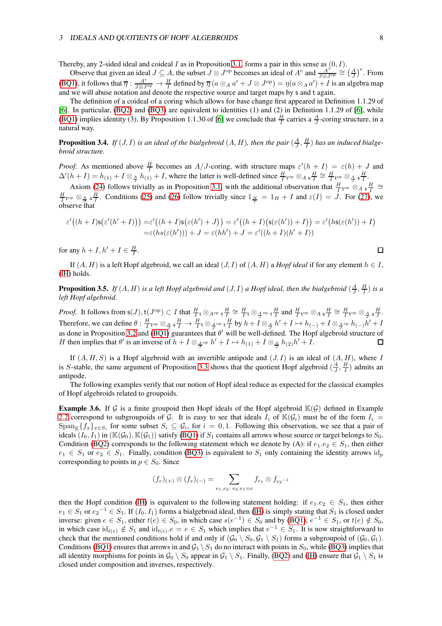#### <sup>3</sup> IDEALS AND QUOTIENTS OF HOPF ALGEBROIDS 8

Thereby, any 2-sided ideal and coideal  $I$  as in Proposition [3.1,](#page-6-1) forms a pair in this sense as  $(0, I)$ .

Observe that given an ideal  $J \subseteq A$ , the subset  $J \otimes J^{\rm op}$  becomes an ideal of  $A^e$  and  $\frac{A^e}{I \otimes I}$  $\frac{A^{e^{\lambda}}}{J\otimes J^{\rm op}} \cong \left(\frac{A}{J}\right)^e$ . From [\(BQ1\)](#page-6-3), it follows that  $\overline{\eta}: \frac{A^e}{J \otimes J^{\text{op}}} \to \frac{H}{I}$  defined by  $\overline{\eta}(a \otimes_A a' + J \otimes J^{\text{op}}) = \eta(a \otimes_A a') + I$  is an algebra map and we will abuse notation and denote the respective source and target maps by s and t again.

The definition of a coideal of a coring which allows for base change first appeared in Definition 1.1.29 of [\[6\]](#page-25-9). In particular, [\(BQ2\)](#page-6-4) and [\(BQ3\)](#page-6-5) are equivalent to identities (1) and (2) in Definition 1.1.29 of [\[6\]](#page-25-9), while [\(BQ1\)](#page-6-3) implies identity (3). By Proposition 1.1.30 of [\[6\]](#page-25-9) we conclude that  $\frac{H}{I}$  carries a  $\frac{A}{J}$ -coring structure, in a natural way.

**Proposition 3.4.** If  $(J, I)$  is an ideal of the bialgebroid  $(A, H)$ , then the pair  $(\frac{A}{J}, \frac{H}{I})$  has an induced bialge*broid structure.*

*Proof.* As mentioned above  $\frac{H}{I}$  becomes an A/J-coring, with structure maps  $\varepsilon'(h+I) = \varepsilon(h) + J$  and  $\Delta'(h+I) = h_{(1)} + I \otimes_A h_{(1)} + I$ , where the latter is well-defined since  $\frac{H}{I}$  top  $\otimes_A \frac{H}{I} \cong \frac{H}{I}$  top  $\otimes_A \frac{H}{I}$ .

Axiom [\(24\)](#page-4-2) follows trivially as in Proposition [3.1,](#page-6-1) with the additional observation that  $\frac{H}{I}$  top  $\otimes_A s\frac{H}{I} \cong$  $\frac{H}{I}$ <sub>t<sup>op</sup>  $\otimes_{\frac{A}{J}} s \frac{H}{I}$ . Conditions [\(25\)](#page-4-0) and [\(26\)](#page-4-1) follow trivially since  $1_{\frac{H}{I}} = 1_H + I$  and  $\varepsilon(I) = J$ . For [\(27\)](#page-4-3), we</sub> observe that

$$
\varepsilon'((h+I)\mathsf{s}\big(\varepsilon'(h'+I)\big)\big)=\varepsilon'\big((h+I)\mathsf{s}\big(\varepsilon(h')+J\big)\big)=\varepsilon'\big((h+I)\big(\mathsf{s}\big(\varepsilon(h')\big)+I\big)\big)=\varepsilon'\big(h\mathsf{s}\big(\varepsilon(h')\big)+I\big)=\varepsilon'(h\mathsf{s}\big(\varepsilon(h')\big)+J=\varepsilon(hh')+J=\varepsilon'\big((h+I)(h'+I)\big)
$$

for any  $h + I$ ,  $h' + I \in \frac{H}{I}$ .

If  $(A, H)$  is a left Hopf algebroid, we call an ideal  $(J, I)$  of  $(A, H)$  a *Hopf ideal* if for any element  $h \in I$ , [\(lH\)](#page-6-0) holds.

**Proposition 3.5.** If  $(A, H)$  is a left Hopf algebroid and  $(J, I)$  a Hopf ideal, then the bialgebroid  $(\frac{A}{J}, \frac{H}{I})$  is a *left Hopf algebroid.*

*Proof.* It follows from  $s(J)$ ,  $t(J^{op}) \subset I$  that  $\frac{H}{I} t \otimes_{A^{op}} t \frac{H}{I} \cong \frac{H}{I} t \otimes_{\frac{A}{I}^{op}} t \frac{H}{I}$  and  $\frac{H}{I} t^{op} \otimes_A s \frac{H}{I} \cong \frac{H}{I} t^{op} \otimes_{\frac{A}{I}} s \frac{H}{I}$ . Therefore, we can define  $\theta: \frac{H}{I}$  top  $\otimes_{\frac{A}{J}} s\frac{H}{I} \to \frac{H}{I} t \otimes_{\frac{A}{J}} s\frac{H}{I}$  by  $h + I \otimes_{\frac{A}{J}} h' + I \mapsto h_{(-)} + I \otimes_{\frac{A}{J}} s\frac{h}{I} (h - h' + I)$ as done in Proposition [3.2](#page-6-2) and [\(BQ1\)](#page-6-3) guarantees that  $\theta'$  will be well-defined. The Hopf algebroid structure of *H* then implies that  $\theta'$  is an inverse of  $h + I \otimes_{\frac{A}{J}^{op}} h' + I \mapsto h_{(1)} + I \otimes_{\frac{A}{J}} h_{(2)}h' + I$ .

If  $(A, H, S)$  is a Hopf algebroid with an invertible antipode and  $(J, I)$  is an ideal of  $(A, H)$ , where I is S-stable, the same argument of Proposition [3.3](#page-6-6) shows that the quotient Hopf algebroid  $(\frac{A}{J}, \frac{H}{I})$  admits an antipode.

The following examples verify that our notion of Hopf ideal reduce as expected for the classical examples of Hopf algebroids related to groupoids.

<span id="page-7-0"></span>**Example 3.6.** If G is a finite groupoid then Hopf ideals of the Hopf algebroid  $\mathbb{K}(\mathcal{G})$  defined in Example [2.2](#page-5-5) correspond to subgroupoids of G. It is easy to see that ideals  $I_i$  of  $\mathbb{K}(\mathcal{G}_i)$  must be of the form  $I_i =$  $\text{Span}_{\mathbb{K}}\{f_x\}_{x\in S_i}$  for some subset  $S_i \subseteq \mathcal{G}_i$ , for  $i = 0, 1$ . Following this observation, we see that a pair of ideals  $(I_0, I_1)$  in  $(\mathbb{K}(\mathcal{G}_0), \mathbb{K}(\mathcal{G}_1))$  satisfy [\(BQ1\)](#page-6-3) if  $S_1$  contains all arrows whose source or target belongs to  $S_0$ . Condition [\(BQ2\)](#page-6-4) corresponds to the following statement which we denote by (A): if  $e_1 \nvert e_2 \in S_1$ , then either  $e_1 \in S_1$  or  $e_2 \in S_1$ . Finally, condition [\(BQ3\)](#page-6-5) is equivalent to  $S_1$  only containing the identity arrows id<sub>p</sub> corresponding to points in  $p \in S_0$ . Since

$$
(f_e)_{(+)} \otimes (f_e)_{(-)} = \sum_{e_1,e_2:\ e_2,e_1=e} f_{e_1} \otimes f_{e_2^{-1}}
$$

then the Hopf condition (IH) is equivalent to the following statement holding: if  $e_1 \cdot e_2 \in S_1$ , then either  $e_1 \in S_1$  or  $e_2^{-1} \in S_1$ . If  $(I_0, I_1)$  forms a bialgebroid ideal, then (IH) is simply stating that  $S_1$  is closed under inverse: given  $e \in S_1$ , either  $t(e) \in S_0$ , in which case  $s(e^{-1}) \in S_0$  and by [\(BQ1\)](#page-6-3),  $e^{-1} \in S_1$ , or  $t(e) \notin S_0$ , in which case  $id_{t(e)} \notin S_1$  and  $id_{t(e)} \in e \in S_1$  which implies that  $e^{-1} \in S_1$ . It is now straightforward to check that the mentioned conditions hold if and only if  $(G_0 \setminus S_0, G_1 \setminus S_1)$  forms a subgroupoid of  $(G_0, G_1)$ . Conditions [\(BQ1\)](#page-6-3) ensures that arrows in and  $G_1 \setminus S_1$  do no interact with points in  $S_0$ , while [\(BQ3\)](#page-6-5) implies that all identity morphisms for points in  $\mathcal{G}_0 \setminus S_0$  appear in  $\mathcal{G}_1 \setminus S_1$ . Finally, [\(BQ2\)](#page-6-4) and (IH) ensure that  $\mathcal{G}_1 \setminus S_1$  is closed under composition and inverses, respectively.

 $\Box$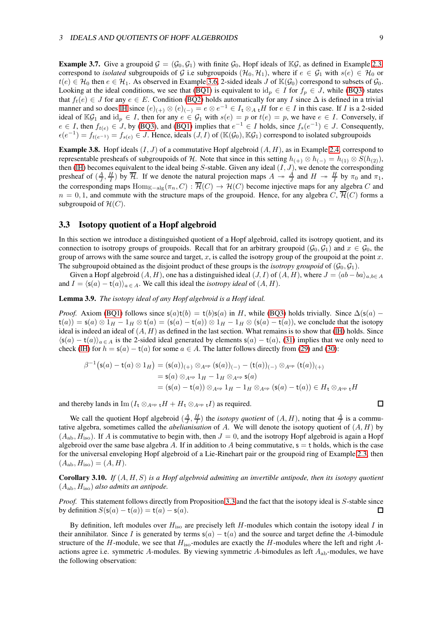**Example 3.7.** Give a groupoid  $\mathcal{G} = (\mathcal{G}_0, \mathcal{G}_1)$  with finite  $\mathcal{G}_0$ , Hopf ideals of K $\mathcal{G}$ , as defined in Example [2.3,](#page-5-2) correspond to *isolated* subgroupoids of G i.e subgroupoids  $(\mathcal{H}_0, \mathcal{H}_1)$ , where if  $e \in \mathcal{G}_1$  with  $s(e) \in \mathcal{H}_0$  or  $t(e) \in \mathcal{H}_0$  then  $e \in \mathcal{H}_1$ . As observed in Example [3.6,](#page-7-0) 2-sided ideals J of  $\mathbb{K}(\mathcal{G}_0)$  correspond to subsets of  $\mathcal{G}_0$ . Looking at the ideal conditions, we see that [\(BQ1\)](#page-6-3) is equivalent to  $id_p \in I$  for  $f_p \in J$ , while [\(BQ3\)](#page-6-5) states that  $f_t(e) \in J$  for any  $e \in E$ . Condition [\(BQ2\)](#page-6-4) holds automatically for any I since  $\Delta$  is defined in a trivial manner and so does IH since  $(e)_{(+)} \otimes (e)_{(-)} = e \otimes e^{-1} \in I_t \otimes_A {}_tH$  for  $e \in I$  in this case. If I is a 2-sided ideal of  $\mathbb{K}\mathcal{G}_1$  and  $\mathrm{id}_p \in I$ , then for any  $e \in \mathcal{G}_1$  with  $s(e) = p$  or  $t(e) = p$ , we have  $e \in I$ . Conversely, if  $e \in I$ , then  $f_{t(e)} \in J$ , by [\(BQ3\)](#page-6-5), and [\(BQ1\)](#page-6-3) implies that  $e^{-1} \in I$  holds, since  $f_s(e^{-1}) \in J$ . Consequently,  $\epsilon(e^{-1}) = f_{t(e^{-1})} = f_{s(e)} \in J$ . Hence, ideals  $(J, I)$  of  $(\mathbb{K}(\mathcal{G}_0), \mathbb{K}\mathcal{G}_1)$  correspond to isolated subgroupoids

<span id="page-8-1"></span>**Example 3.8.** Hopf ideals  $(I, J)$  of a commutative Hopf algebroid  $(A, H)$ , as in Example [2.4,](#page-5-0) correspond to representable presheafs of subgroupoids of H. Note that since in this setting  $h_{(+)} \otimes h_{(-)} = h_{(1)} \otimes S(h_{(2)})$ , then (IH) becomes equivalent to the ideal being S-stable. Given any ideal  $(I, J)$ , we denote the corresponding presheaf of  $(\frac{A}{J}, \frac{H}{I})$  by  $\overline{\mathcal{H}}$ . If we denote the natural projection maps  $A \rightarrow \frac{A}{J}$  and  $H \rightarrow \frac{H}{I}$  by  $\pi_0$  and  $\pi_1$ , the corresponding maps  $\text{Hom}_{\mathbb{K}-\text{alg}}(\pi_n, C) : \overline{\mathcal{H}}(C) \to \mathcal{H}(C)$  become injective maps for any algebra C and  $n = 0, 1$ , and commute with the structure maps of the groupoid. Hence, for any algebra C,  $\overline{\mathcal{H}}(C)$  forms a subgroupoid of  $\mathcal{H}(C)$ .

#### <span id="page-8-0"></span>3.3 Isotopy quotient of a Hopf algebroid

In this section we introduce a distinguished quotient of a Hopf algebroid, called its isotropy quotient, and its connection to isotropy groups of groupoids. Recall that for an arbitrary groupoid ( $\mathcal{G}_0, \mathcal{G}_1$ ) and  $x \in \mathcal{G}_0$ , the group of arrows with the same source and target, x, is called the isotropy group of the groupoid at the point  $x$ . The subgroupoid obtained as the disjoint product of these groups is the *isotropy groupoid* of  $(G_0, G_1)$ .

Given a Hopf algebroid  $(A, H)$ , one has a distinguished ideal  $(J, I)$  of  $(A, H)$ , where  $J = \langle ab - ba \rangle_{a, b \in A}$ and  $I = \langle s(a) - t(a)\rangle_{a \in A}$ . We call this ideal the *isotropy ideal* of  $(A, H)$ .

<span id="page-8-2"></span>Lemma 3.9. *The isotopy ideal of any Hopf algebroid is a Hopf ideal.*

*Proof.* Axiom [\(BQ1\)](#page-6-3) follows since  $s(a)t(b) = t(b)s(a)$  in H, while [\(BQ3\)](#page-6-5) holds trivially. Since  $\Delta(s(a) - b)$  $t(a)$ ) = s(a) ⊗ 1<sub>H</sub> − 1<sub>H</sub> ⊗ t(a) = (s(a) − t(a)) ⊗ 1<sub>H</sub> − 1<sub>H</sub> ⊗ (s(a) − t(a)), we conclude that the isotopy ideal is indeed an ideal of  $(A, H)$  as defined in the last section. What remains is to show that (IH) holds. Since  $\langle s(a) - t(a) \rangle_{a \in A}$  is the 2-sided ideal generated by elements  $s(a) - t(a)$ , [\(31\)](#page-4-4) implies that we only need to check (IH) for  $h = s(a) - t(a)$  for some  $a \in A$ . The latter follows directly from [\(29\)](#page-4-5) and [\(30\)](#page-4-6):

$$
\beta^{-1}(\mathsf{s}(a) - \mathsf{t}(a) \otimes 1_H) = (\mathsf{s}(a))_{(+)} \otimes_{A^{\mathrm{op}}} (\mathsf{s}(a))_{(-)} - (\mathsf{t}(a))_{(-)} \otimes_{A^{\mathrm{op}}} (\mathsf{t}(a))_{(+)}
$$
  
\n
$$
= \mathsf{s}(a) \otimes_{A^{\mathrm{op}}} 1_H - 1_H \otimes_{A^{\mathrm{op}}} \mathsf{s}(a)
$$
  
\n
$$
= (\mathsf{s}(a) - \mathsf{t}(a)) \otimes_{A^{\mathrm{op}}} 1_H - 1_H \otimes_{A^{\mathrm{op}}} (\mathsf{s}(a) - \mathsf{t}(a)) \in H_{\mathsf{t}} \otimes_{A^{\mathrm{op}}} \mathsf{t} H
$$

and thereby lands in Im  $(I_t \otimes_{A^{op}} H + H_t \otimes_{A^{op}} I)$  as required.

We call the quotient Hopf algebroid  $(\frac{A}{J}, \frac{H}{I})$  the *isotopy quotient* of  $(A, H)$ , noting that  $\frac{A}{J}$  is a commutative algebra, sometimes called the *abelianisation* of A. We will denote the isotopy quotient of (A, H) by  $(A_{ab}, H_{iso})$ . If A is commutative to begin with, then  $J = 0$ , and the isotropy Hopf algebroid is again a Hopf algebroid over the same base algebra A. If in addition to A being commutative,  $s = t$  holds, which is the case for the universal enveloping Hopf algebroid of a Lie-Rinehart pair or the groupoid ring of Example [2.3,](#page-5-2) then  $(A_{ab}, H_{iso}) = (A, H).$ 

Corollary 3.10. *If* (A, H, S) *is a Hopf algebroid admitting an invertible antipode, then its isotopy quotient* (Aab, Hiso) *also admits an antipode.*

*Proof.* This statement follows directly from Proposition [3.3](#page-6-6) and the fact that the isotopy ideal is S-stable since by definition  $S(s(a) - t(a)) = t(a) - s(a)$ .  $\Box$ 

By definition, left modules over  $H_{\text{iso}}$  are precisely left H-modules which contain the isotopy ideal I in their annihilator. Since I is generated by terms  $s(a) - t(a)$  and the source and target define the A-bimodule structure of the H-module, we see that  $H_{iso}$ -modules are exactly the H-modules where the left and right Aactions agree i.e. symmetric A-modules. By viewing symmetric A-bimodules as left  $A_{ab}$ -modules, we have the following observation:

 $\Box$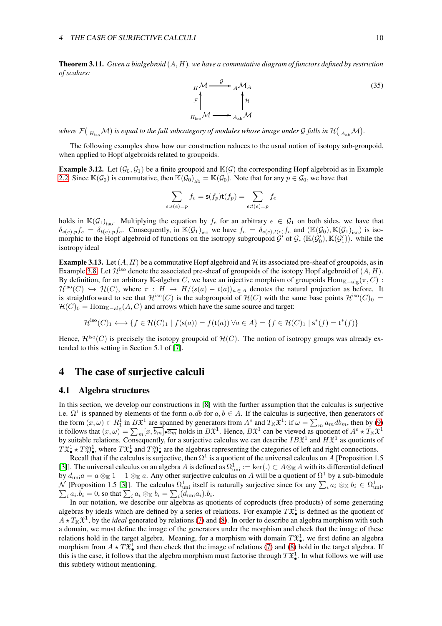Theorem 3.11. *Given a bialgebroid* (A, H)*, we have a commutative diagram of functors defined by restriction of scalars:*

$$
H \mathcal{M} \xrightarrow{\mathcal{G}} A \mathcal{M}_{A}
$$
  
\n
$$
\mathcal{F} \uparrow_{H_{\text{iso}}} \uparrow_{H_{\text{iso}}} \uparrow_{H_{\text{ab}}} \uparrow_{H_{\text{iso}}} \uparrow_{H_{\text{iso}}} \uparrow_{H_{\text{iso}}} \uparrow_{H_{\text{iso}}} \uparrow_{H_{\text{iso}}} \uparrow_{H_{\text{iso}}} \uparrow_{H_{\text{iso}}} \uparrow_{H_{\text{iso}}} \uparrow_{H_{\text{iso}}} \uparrow_{H_{\text{iso}}} \uparrow_{H_{\text{iso}}} \uparrow_{H_{\text{iso}}} \uparrow_{H_{\text{iso}}} \uparrow_{H_{\text{iso}}} \uparrow_{H_{\text{iso}}} \uparrow_{H_{\text{iso}}} \uparrow_{H_{\text{iso}}} \uparrow_{H_{\text{iso}}} \uparrow_{H_{\text{iso}}} \uparrow_{H_{\text{iso}}} \uparrow_{H_{\text{iso}}} \uparrow_{H_{\text{iso}}} \uparrow_{H_{\text{iso}}} \uparrow_{H_{\text{iso}}} \uparrow_{H_{\text{iso}}} \uparrow_{H_{\text{iso}}} \uparrow_{H_{\text{iso}}} \uparrow_{H_{\text{iso}}} \uparrow_{H_{\text{iso}}} \uparrow_{H_{\text{iso}}} \uparrow_{H_{\text{iso}}} \uparrow_{H_{\text{iso}}} \uparrow_{H_{\text{iso}}} \uparrow_{H_{\text{iso}}} \uparrow_{H_{\text{iso}}} \uparrow_{H_{\text{iso}}} \uparrow_{H_{\text{iso}}} \uparrow_{H_{\text{iso}}} \uparrow_{H_{\text{iso}}} \uparrow_{H_{\text{iso}}} \uparrow_{H_{\text{iso}}} \uparrow_{H_{\text{iso}}} \uparrow_{H_{\text{iso}}} \uparrow_{H_{\text{iso}}} \uparrow_{H_{\text{iso}}} \uparrow_{H_{\text{iso}}} \uparrow_{H_{\text{iso}}} \uparrow_{H_{\text{iso}}} \uparrow_{H_{\text{iso}}} \uparrow_{H_{\text{iso}}} \uparrow_{H_{\text{iso}}} \uparrow_{H_{\text{iso}}} \uparrow_{H_{\text{iso}}} \uparrow_{H_{\text{iso}}} \uparrow_{H_{\text{iso}}} \uparrow_{H_{\text{iso}}} \uparrow_{H_{\text{iso}}} \uparrow_{H_{\text{iso}}} \uparrow_{H_{\text{iso}}} \uparrow_{H_{\text{iso}}} \uparrow_{H_{\text{iso}}} \uparrow_{H_{\text{iso}}} \uparrow
$$

where  $\mathcal{F}(\ _{H_{\rm iso}}\mathcal{M})$  is equal to the full subcategory of modules whose image under  $\cal G$  falls in  $\mathcal{H}(\ _{A_{\rm ab}}\mathcal{M}).$ 

The following examples show how our construction reduces to the usual notion of isotopy sub-groupoid, when applied to Hopf algebroids related to groupoids.

<span id="page-9-1"></span>**Example 3.12.** Let  $(G_0, G_1)$  be a finite groupoid and  $\mathbb{K}(G)$  the corresponding Hopf algebroid as in Example [2.2.](#page-5-5) Since  $\mathbb{K}(\mathcal{G}_0)$  is commutative, then  $\mathbb{K}(\mathcal{G}_0)_{ab} = \mathbb{K}(\mathcal{G}_0)$ . Note that for any  $p \in \mathcal{G}_0$ , we have that

$$
\sum_{e:s(e)=p} f_e = \mathsf{s}(f_p)\mathsf{t}(f_p) = \sum_{e:t(e)=p} f_e
$$

holds in  $\mathbb{K}(\mathcal{G}_1)_{\text{iso}}$ . Multiplying the equation by  $f_e$  for an arbitrary  $e \in \mathcal{G}_1$  on both sides, we have that  $\delta_{s(e),p}f_e = \delta_{t(e),p}f_e$ . Consequently, in  $\mathbb{K}(\mathcal{G}_1)_{iso}$  we have  $f_e = \delta_{s(e),t(e)}f_e$  and  $(\mathbb{K}(\mathcal{G}_0), \mathbb{K}(\mathcal{G}_1)_{iso})$  is isomorphic to the Hopf algebroid of functions on the isotropy subgroupoid  $G'$  of  $G$ ,  $(\mathbb{K}(\mathcal{G}'_0), \mathbb{K}(\mathcal{G}'_1))$ . while the isotropy ideal

<span id="page-9-0"></span>**Example 3.13.** Let  $(A, H)$  be a commutative Hopf algebroid and  $H$  its associated pre-sheaf of groupoids, as in Example [3.8.](#page-8-1) Let  $\mathcal{H}^{\text{iso}}$  denote the associated pre-sheaf of groupoids of the isotopy Hopf algebroid of  $(A, H)$ . By definition, for an arbitrary K-algebra C, we have an injective morphism of groupoids  $\text{Hom}_{K-\text{alg}}(\pi, C)$ :  $\mathcal{H}^{\text{iso}}(C) \hookrightarrow \mathcal{H}(C)$ , where  $\pi : H \to H/\langle s(a) - t(a) \rangle_{a \in A}$  denotes the natural projection as before. It is straightforward to see that  $\mathcal{H}^{\text{iso}}(C)$  is the subgroupoid of  $\mathcal{H}(C)$  with the same base points  $\mathcal{H}^{\text{iso}}(C)_0 =$  $\mathcal{H}(C)_0 = \text{Hom}_{\mathbb{K}-\text{alg}}(A, C)$  and arrows which have the same source and target:

$$
\mathcal{H}^{\rm iso}(C)_1 \longleftrightarrow \{f\in \mathcal{H}(C)_1 \mid f(\mathsf{s}(a)) = f(\mathsf{t}(a)) \ \forall a\in A\} = \{f\in \mathcal{H}(C)_1 \mid \mathsf{s}^*(f) = \mathsf{t}^*(f)\}
$$

Hence,  $\mathcal{H}^{\text{iso}}(C)$  is precisely the isotopy groupoid of  $\mathcal{H}(C)$ . The notion of isotropy groups was already extended to this setting in Section 5.1 of [\[7\]](#page-25-7).

### <span id="page-9-2"></span>4 The case of surjective calculi

#### <span id="page-9-3"></span>4.1 Algebra structures

In this section, we develop our constructions in [\[8\]](#page-25-1) with the further assumption that the calculus is surjective i.e.  $\Omega^1$  is spanned by elements of the form a.db for  $a, b \in A$ . If the calculus is surjective, then generators of the form  $(x, \omega) \in R_1^1$  in  $B\mathfrak{X}^1$  are spanned by generators from  $A^e$  and  $T_{\mathbb{K}}\mathfrak{X}^1$ : if  $\omega = \sum_m a_m db_m$ , then by [\(9\)](#page-3-5) it follows that  $(x,\omega) = \sum_m [x, \overline{b_m}] \cdot \overline{a_m}$  holds in  $B\mathfrak{X}^1$ . Hence,  $B\mathfrak{X}^1$  can be viewed as quotient of  $A^e \star T_{\mathbb{K}}\mathfrak{X}^1$ by suitable relations. Consequently, for a surjective calculus we can describe  $IB^{\mathfrak{X}^1}$  and  $H\mathfrak{X}^1$  as quotients of  $T \mathfrak{X}_{\bullet}^1 \star T \mathfrak{Y}_{\bullet}^1$ , where  $T \mathfrak{X}_{\bullet}^1$  and  $T \mathfrak{Y}_{\bullet}^1$  are the algebras representing the categories of left and right connections.

Recall that if the calculus is surjective, then  $\Omega^1$  is a quotient of the universal calculus on A [Proposition 1.5 [\[3\]](#page-25-0)]. The universal calculus on an algebra A is defined as  $\Omega_{\text{uni}}^1 := \text{ker}(.) \subset A \otimes_{\mathbb{K}} A$  with its differential defined by  $d_{\text{uni}} a = a \otimes_{\mathbb{K}} 1 - 1 \otimes_{\mathbb{K}} a$ . Any other surjective calculus on A will be a quotient of  $\Omega^1$  by a sub-bimodule N [Proposition 1.5 [\[3\]](#page-25-0)]. The calculus  $\Omega_{\text{uni}}^1$  itself is naturally surjective since for any  $\sum_i a_i \otimes_{\mathbb{K}} b_i \in \Omega_{\text{uni}}^1$ ,  $\sum_i a_i.b_i = 0$ , so that  $\sum_i a_i \otimes_{\mathbb{K}} b_i = \sum_i (d_{\text{uni}} a_i) b_i$ .  $a_i a_i.b_i = 0$ , so that  $\sum_i a_i \otimes_{\mathbb{K}} b_i = \sum_i (d_{\text{uni}} a_i) . b_i$ .

In our notation, we describe our algebras as quotients of coproducts (free products) of some generating algebras by ideals which are defined by a series of relations. For example  $T\mathfrak{X}^1_\bullet$  is defined as the quotient of  $A \star T_{\mathbb{K}} \mathfrak{X}^1$ , by the *ideal* generated by relations [\(7\)](#page-3-3) and [\(8\)](#page-3-4). In order to describe an algebra morphism with such a domain, we must define the image of the generators under the morphism and check that the image of these relations hold in the target algebra. Meaning, for a morphism with domain  $T\mathfrak{X}_{\bullet}^1$ , we first define an algebra morphism from  $A \star T \mathfrak{X}_{\bullet}^1$  and then check that the image of relations [\(7\)](#page-3-3) and [\(8\)](#page-3-4) hold in the target algebra. If this is the case, it follows that the algebra morphism must factorise through  $T\mathfrak{X}_{\bullet}^1$ . In what follows we will use this subtlety without mentioning.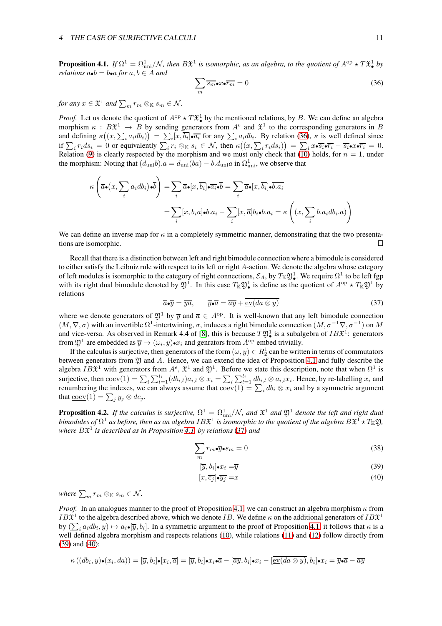#### 4 THE CASE OF SURJECTIVE CALCULI 11

<span id="page-10-4"></span>**Proposition 4.1.** If  $\Omega^1 = \Omega_{\text{uni}}^1/\mathcal{N}$ , then  $B\mathfrak{X}^1$  is isomorphic, as an algebra, to the quotient of  $A^{\text{op}} \star T\mathfrak{X}^1_{\bullet}$  by *relations*  $a \cdot \overline{b} = \overline{b} \cdot a$  *for*  $a, b \in A$  *and* 

<span id="page-10-0"></span>
$$
\sum_{m} \overline{s_m} \bullet x \bullet \overline{r_m} = 0 \tag{36}
$$

*for any*  $x \in \mathfrak{X}^1$  *and*  $\sum_m r_m \otimes_{\mathbb{K}} s_m \in \mathcal{N}$ *.* 

*Proof.* Let us denote the quotient of  $A^{op} \star T \mathfrak{X}_{\bullet}^1$  by the mentioned relations, by B. We can define an algebra morphism  $\kappa : B\mathfrak{X}^1 \to B$  by sending generators from  $A^e$  and  $\mathfrak{X}^1$  to the corresponding generators in B and defining  $\kappa((x,\sum_i a_i db_i)) = \sum_i [x,\overline{b_i}] \bullet \overline{a_i}$  for any  $\sum_i a_i db_i$ . By relation [\(36\)](#page-10-0),  $\kappa$  is well defined since if  $\sum_i r_i ds_i = 0$  or equivalently  $\sum_i r_i \otimes_{\mathbb{K}} s_i \in \mathcal{N}$ , then  $\kappa((x, \sum_i r_i ds_i)) = \sum_i x \cdot \overline{s_i} \cdot \overline{r_i} - \overline{s_i} \cdot x \cdot \overline{r_i} = 0$ . Relation [\(9\)](#page-3-5) is clearly respected by the morphism and we must only check that  $(10)$  holds, for  $n = 1$ , under the morphism: Noting that  $(d_{\text{uni}}b).a = d_{\text{uni}}(ba) - b.d_{\text{uni}}a$  in  $\Omega_{\text{uni}}^1$ , we observe that

$$
\kappa\left(\overline{a}\bullet(x,\sum_{i}a_{i}db_{i})\bullet\overline{b}\right)=\sum_{i}\overline{a}\bullet[x,\overline{b_{i}}]\bullet\overline{a_{i}}\bullet\overline{b}=\sum_{i}\overline{a}\bullet[x,\overline{b_{i}}]\bullet\overline{b.a_{i}}
$$

$$
=\sum_{i}[x,\overline{b_{i}}a]\bullet\overline{b.a_{i}}-\sum_{i}[x,\overline{a}]\overline{b_{i}}\bullet\overline{b.a_{i}}=\kappa\left((x,\sum_{i}b.a_{i}db_{i}.a)\right)
$$

We can define an inverse map for  $\kappa$  in a completely symmetric manner, demonstrating that the two presentations are isomorphic. П

Recall that there is a distinction between left and right bimodule connection where a bimodule is considered to either satisfy the Leibniz rule with respect to its left or right A-action. We denote the algebra whose category of left modules is isomorphic to the category of right connections,  $\mathcal{E}_A$ , by  $T_\mathbb{K} \mathfrak{Y}_\bullet^1$ . We require  $\Omega^1$  to be left fgp with its right dual bimodule denoted by  $\mathfrak{Y}^1$ . In this case  $T_{\mathbb{K}}\mathfrak{Y}^1_{\bullet}$  is define as the quotient of  $A^{op} \star T_{\mathbb{K}}\mathfrak{Y}^1$  by relations

<span id="page-10-5"></span>
$$
\overline{a} \cdot \overline{y} = \overline{ya}, \qquad \overline{y} \cdot \overline{a} = \overline{ay} + \overline{\text{ev}(da \otimes y)} \tag{37}
$$

where we denote generators of  $\mathfrak{D}^1$  by  $\overline{y}$  and  $\overline{a} \in A^{\mathrm{op}}$ . It is well-known that any left bimodule connection  $(M, \nabla, \sigma)$  with an invertible  $\Omega^1$ -intertwining,  $\sigma$ , induces a right bimodule connection  $(M, \sigma^{-1} \nabla, \sigma^{-1})$  on M and vice-versa. As observed in Remark 4.4 of [\[8\]](#page-25-1), this is because  $T\mathfrak{Y}_{\bullet}^1$  is a subalgebra of  $IB\mathfrak{X}^1$ : generators from  $\mathfrak{Y}^1$  are embedded as  $\overline{y} \mapsto (\omega_i, y) \cdot x_i$  and genrators from  $A^{\mathrm{op}}$  embed trivially.

If the calculus is surjective, then generators of the form  $(\omega, y) \in R^1_2$  can be written in terms of commutators between generators from  $\mathfrak Y$  and A. Hence, we can extend the idea of Proposition [4.1](#page-10-4) and fully describe the algebra  $IB^{\mathfrak{X}^1}$  with generators from  $A^e$ ,  $\mathfrak{X}^1$  and  $\mathfrak{Y}^1$ . Before we state this description, note that when  $\Omega^1$  is surjective, then  $\text{coev}(1) = \sum_i \sum_{l=1}^{l_i} (db_{i,l}) a_{i,l} \otimes x_i = \sum_i \sum_{l=1}^{l_i} db_{i,l} \otimes a_{i,l} x_i$ . Hence, by re-labelling  $x_i$  and renumbering the indexes, we can always assume that  $\text{coev}(1) = \sum_i db_i \otimes x_i$  and by a symmetric argument that  $\underline{\mathrm{coev}}(1) = \sum_j y_j \otimes dc_j.$ 

<span id="page-10-6"></span>**Proposition 4.2.** If the calculus is surjective,  $\Omega^1 = \Omega^1_{\text{uni}}/\mathcal{N}$ , and  $\mathfrak{X}^1$  and  $\mathfrak{Y}^1$  denote the left and right dual bimodules of  $\Omega^1$  as before, then as an algebra  $IB{\frak X}^1$  is isomorphic to the quotient of the algebra  $B{\frak X}^1\star T_{\Bbb K}$ 2), *where* BX 1 *is described as in Proposition [4.1,](#page-10-4) by relations* [\(37\)](#page-10-5) *and*

$$
\sum_{m} r_m \bullet \overline{y} \bullet s_m = 0 \tag{38}
$$

<span id="page-10-1"></span>
$$
[\overline{y}, b_i] \bullet x_i = \overline{y} \tag{39}
$$

<span id="page-10-3"></span><span id="page-10-2"></span>
$$
[x,\overline{c_j}]\bullet\overline{y_j} = x\tag{40}
$$

where  $\sum_m r_m \otimes_{\mathbb{K}} s_m \in \mathcal{N}$ *.* 

*Proof.* In an analogues manner to the proof of Proposition [4.1,](#page-10-4) we can construct an algebra morphism  $\kappa$  from  $IB^1$  to the algebra described above, which we denote *IB*. We define  $\kappa$  on the additional generators of  $IB^1$ by  $(\sum_i a_i db_i, y) \mapsto a_i \bullet [\overline{y}, b_i]$ . In a symmetric argument to the proof of Proposition [4.1,](#page-10-4) it follows that  $\kappa$  is a well defined algebra morphism and respects relations [\(10\)](#page-3-6), while relations [\(11\)](#page-3-7) and [\(12\)](#page-3-8) follow directly from [\(39\)](#page-10-2) and [\(40\)](#page-10-3):

$$
\kappa((db_i, y) \bullet (x_i, da)) = [\overline{y}, b_i] \bullet [x_i, \overline{a}] = [\overline{y}, b_i] \bullet x_i \bullet \overline{a} - [\overline{ay}, b_i] \bullet x_i - [\underline{ev}(da \otimes y), b_i] \bullet x_i = \overline{y} \bullet \overline{a} - \overline{ay}
$$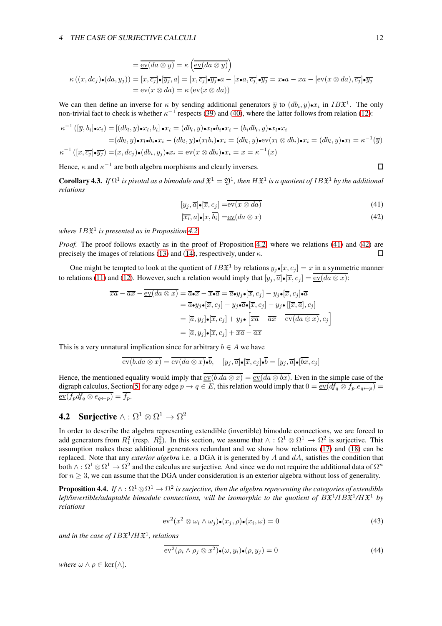$$
= \overline{\text{ev}(da \otimes y)} = \kappa \left( \overline{\text{ev}(da \otimes y)} \right)
$$
  

$$
\kappa \left( (x, dc_j) \bullet (da, y_j) \right) = [x, \overline{c_j}] \bullet [\overline{y_j}, a] = [x, \overline{c_j}] \bullet \overline{y_j} \bullet a - [x \bullet a, \overline{c_j}] \bullet \overline{y_j} = x \bullet a - xa - [\text{ev}(x \otimes da), \overline{c_j}] \bullet \overline{y_j}
$$
  

$$
= \text{ev}(x \otimes da) = \kappa \left( \text{ev}(x \otimes da) \right)
$$

We can then define an inverse for  $\kappa$  by sending additional generators  $\overline{y}$  to  $(db_i, y) \bullet x_i$  in  $IB\mathfrak{X}^1$ . The only non-trivial fact to check is whether  $\kappa^{-1}$  respects [\(39\)](#page-10-2) and [\(40\)](#page-10-3), where the latter follows from relation [\(12\)](#page-3-8):

$$
\kappa^{-1}([\overline{y}, b_i] \bullet x_i) = [(db_l, y) \bullet x_l, b_i] \bullet x_i = (db_l, y) \bullet x_l \bullet b_i \bullet x_i - (b_i db_l, y) \bullet x_l \bullet x_i
$$
  
\n
$$
= (db_l, y) \bullet x_l \bullet b_i \bullet x_i - (db_l, y) \bullet (x_l b_i) \bullet x_i = (db_l, y) \bullet \text{ev}(x_l \otimes db_i) \bullet x_i = (db_l, y) \bullet x_l = \kappa^{-1}(\overline{y})
$$
  
\n
$$
\kappa^{-1}([x, \overline{c_j}] \bullet \overline{y_j}) = (x, dc_j) \bullet (db_i, y_j) \bullet x_i = \text{ev}(x \otimes db_i) \bullet x_i = x = \kappa^{-1}(x)
$$

Hence,  $\kappa$  and  $\kappa^{-1}$  are both algebra morphisms and clearly inverses.

<span id="page-11-5"></span>**Corollary 4.3.** If  $\Omega^1$  is pivotal as a bimodule and  $\mathfrak{X}^1=\mathfrak{Y}^1$ , then  $H\mathfrak{X}^1$  is a quotient of  $IB\mathfrak{X}^1$  by the additional *relations*

$$
[y_j, \overline{a}] \bullet [\overline{x}, c_j] = \overline{\text{ev}(x \otimes da)}
$$
\n(41)

$$
[\overline{x_i}, a] \bullet [x, \overline{b_i}] = \text{ev}(da \otimes x) \tag{42}
$$

*where* IBX 1 *is presented as in Proposition [4.2.](#page-10-6)*

*Proof.* The proof follows exactly as in the proof of Proposition [4.2,](#page-10-6) where we relations [\(41\)](#page-11-0) and [\(42\)](#page-11-1) are precisely the images of relations [\(13\)](#page-3-9) and [\(14\)](#page-3-10), respectively, under  $\kappa$ .  $\Box$ 

One might be tempted to look at the quotient of  $IB^{\mathfrak{X}^1}$  by relations  $y_j \bullet [\overline{x}, c_j] = \overline{x}$  in a symmetric manner to relations [\(11\)](#page-3-7) and [\(12\)](#page-3-8). However, such a relation would imply that  $[y_j, \overline{a}] \bullet [\overline{x}, c_j] = \overline{\mathrm{ev}(da \otimes x)}$ :

$$
\overline{xa} - \overline{ax} - \underline{\text{ev}}(da \otimes x) = \overline{a} \cdot \overline{x} - \overline{x} \cdot \overline{a} = \overline{a} \cdot y_j \cdot [\overline{x}, c_j] - y_j \cdot [\overline{x}, c_j] \cdot \overline{a}
$$
\n
$$
= \overline{a} \cdot y_j \cdot [\overline{x}, c_j] - y_j \cdot \overline{a} \cdot [\overline{x}, c_j] - y_j \cdot [\overline{x}, \overline{a}], c_j]
$$
\n
$$
= [\overline{a}, y_j] \cdot [\overline{x}, c_j] + y_j \cdot [\overline{x} \overline{a} - \overline{ax} - \overline{\underline{\text{ev}}(da \otimes x)}, c_j]
$$
\n
$$
= [\overline{a}, y_j] \cdot [\overline{x}, c_j] + \overline{x} \overline{a} - \overline{ax}
$$

This is a very unnatural implication since for arbitrary  $b \in A$  we have

$$
\overline{\mathrm{ev}(b.da\otimes x)} = \overline{\mathrm{ev}(da\otimes x)} \bullet \overline{b}, \quad [y_j, \overline{a}] \bullet [\overline{x}, c_j] \bullet \overline{b} = [y_j, \overline{a}] \bullet [\overline{bx}, c_j]
$$

Hence, the mentioned equality would imply that  $\overline{\text{ev}(b\cdot da \otimes x)} = \overline{\text{ev}(da \otimes bx)}$ . Even in the simple case of the digraph calculus, Section [5,](#page-15-0) for any edge  $p \to q \in E$ , this relation would imply that  $0 = \frac{\text{ev}}{\text{ev}}(df_q \otimes f_p \cdot e_{q \leftarrow p})$  $\overline{\mathrm{ev}(f_p df_q \otimes e_{q \leftarrow p})} = \overline{f_p}.$ 

## **4.2** Surjective  $\wedge : \Omega^1 \otimes \Omega^1 \to \Omega^2$

In order to describe the algebra representing extendible (invertible) bimodule connections, we are forced to add generators from  $R_1^2$  (resp.  $R_2^2$ ). In this section, we assume that  $\wedge : \Omega^1 \otimes \Omega^1 \to \Omega^2$  is surjective. This assumption makes these additional generators redundant and we show how relations [\(17\)](#page-3-12) and [\(18\)](#page-3-13) can be replaced. Note that any *exterior algebra* i.e. a DGA it is generated by A and dA, satisfies the condition that both  $\wedge:\Omega^1\otimes\Omega^1\to\Omega^2$  and the calculus are surjective. And since we do not require the additional data of  $\Omega^n$ for  $n \geq 3$ , we can assume that the DGA under consideration is an exterior algebra without loss of generality.

<span id="page-11-4"></span> $\bf{Proposition 4.4.}$  If  $\wedge:\Omega^1\otimes\Omega^1\to\Omega^2$  is surjective, then the algebra representing the categories of extendible left/invertible/adaptable bimodule connections, will be isomorphic to the quotient of  $B\mathfrak{X}^1/IB\mathfrak{X}^1/H\mathfrak{X}^1$  by *relations*

<span id="page-11-2"></span>
$$
\mathrm{ev}^2(x^2 \otimes \omega_i \wedge \omega_j) \bullet (x_j, \rho) \bullet (x_i, \omega) = 0 \tag{43}
$$

*and in the case of* IBX 1 */*HX 1 *, relations*

<span id="page-11-3"></span>
$$
\overline{\mathrm{ev}^2(\rho_i \wedge \rho_j \otimes x^2)} \bullet (\omega, y_i) \bullet (\rho, y_j) = 0 \tag{44}
$$

*where*  $\omega \wedge \rho \in \text{ker}(\wedge)$ .

<span id="page-11-1"></span><span id="page-11-0"></span> $\Box$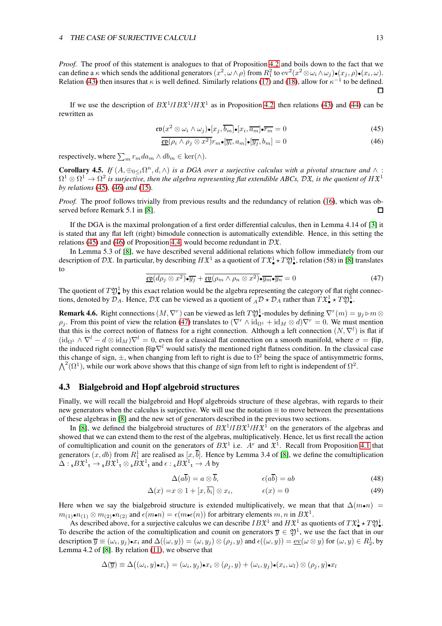*Proof.* The proof of this statement is analogues to that of Proposition [4.2](#page-10-6) and boils down to the fact that we can define a  $\kappa$  which sends the additional generators  $(x^2, \omega \wedge \rho)$  from  $R_1^2$  to  $ev^2(x^2 \otimes \omega_i \wedge \omega_j) \bullet (x_j, \rho) \bullet (x_i, \omega)$ . Relation [\(43\)](#page-11-2) then insures that  $\kappa$  is well defined. Similarly relations [\(17\)](#page-3-12) and [\(18\)](#page-3-13), allow for  $\kappa^{-1}$  to be defined.  $\Box$ 

If we use the description of  $B\mathfrak{X}^1 /I B\mathfrak{X}^1 /H\mathfrak{X}^1$  as in Proposition [4.2,](#page-10-6) then relations [\(43\)](#page-11-2) and [\(44\)](#page-11-3) can be rewritten as

$$
\mathfrak{ev}(x^2 \otimes \omega_i \wedge \omega_j) \bullet [x_j, \overline{b_m}] \bullet [x_i, \overline{a_m}] \bullet \overline{r_m} = 0 \tag{45}
$$

<span id="page-12-1"></span><span id="page-12-0"></span>
$$
\overline{\text{ep}}(\rho_i \wedge \rho_j \otimes x^2) r_m \bullet [\overline{y_i}, a_m] \bullet [\overline{y_j}, b_m] = 0 \tag{46}
$$

respectively, where  $\sum_m r_m da_m \wedge db_m \in \text{ker}(\wedge)$ .

<span id="page-12-3"></span>**Corollary 4.5.** *If*  $(A, \oplus_{0 \leq i} \Omega^n, d, \wedge)$  *is a DGA over a surjective calculus with a pivotal structure and*  $\wedge$  :  $\Omega^1\otimes\Omega^1\to\Omega^2$  is surjective, then the algebra representing flat extendible ABCs, DX, is the quotient of  $H\mathfrak{X}^1$ *by relations* [\(45\)](#page-12-0)*,* [\(46\)](#page-12-1) *and* [\(15\)](#page-3-11)*.*

*Proof.* The proof follows trivially from previous results and the redundancy of relation [\(16\)](#page-3-1), which was observed before Remark 5.1 in [\[8\]](#page-25-1).  $\Box$ 

If the DGA is the maximal prolongation of a first order differential calculus, then in Lemma 4.14 of [\[3\]](#page-25-0) it is stated that any flat left (right) bimodule connection is automatically extendible. Hence, in this setting the relations [\(45\)](#page-12-0) and [\(46\)](#page-12-1) of Proposition [4.4,](#page-11-4) would become redundant in  $D\mathfrak{X}$ .

In Lemma 5.3 of [\[8\]](#page-25-1), we have described several additional relations which follow immediately from our description of  $\mathcal{D}\mathfrak{X}$ . In particular, by describing  $H\mathfrak{X}^1$  as a quotient of  $T\mathfrak{X}^1_\bullet\star T\mathfrak{Y}^1_\bullet$ , relation (58) in [\[8\]](#page-25-1) translates to

<span id="page-12-2"></span>
$$
\overline{\text{co}}(d\rho_j \otimes x^2) \bullet \overline{y_j} + \overline{\text{co}}(\rho_m \wedge \rho_n \otimes x^2) \bullet \overline{y_m} \bullet \overline{y_n} = 0 \tag{47}
$$

The quotient of  $T\mathfrak{Y}_{\bullet}^1$  by this exact relation would be the algebra representing the category of flat right connections, denoted by  $\mathcal{D}_A$ . Hence,  $\mathcal{D} \mathfrak{X}$  can be viewed as a quotient of  $_A \mathcal{D} \star \mathcal{D}_A$  rather than  $T \mathfrak{X}_\bullet^1 \star T \mathfrak{Y}_\bullet^1$ .

**Remark 4.6.** Right connections  $(M, \nabla^r)$  can be viewed as left  $T \mathfrak{Y}_\bullet^1$ -modules by defining  $\nabla^r(m) = y_j \triangleright m \otimes T$  $\rho_i$ . From this point of view the relation [\(47\)](#page-12-2) translates to  $(\nabla^r \wedge \mathrm{id}_{\Omega^1} + \mathrm{id}_M \otimes d) \nabla^r = 0$ . We must mention that this is the correct notion of flatness for a right connection. Although a left connection  $(N, \nabla^l)$  is flat if  $(\mathrm{id}_{\Omega_1} \wedge \nabla^l - d \otimes \mathrm{id}_M) \nabla^l = 0$ , even for a classical flat connection on a smooth manifold, where  $\sigma = \mathrm{flip}$ , the induced right connection flip $\nabla^l$  would satisfy the mentioned right flatness condition. In the classical case this change of sign,  $\pm$ , when changing from left to right is due to  $\Omega^2$  being the space of antisymmetric forms,  $\Lambda^2(\Omega^1)$ , while our work above shows that this change of sign from left to right is independent of  $\Omega^2$ .

#### <span id="page-12-4"></span>4.3 Bialgebroid and Hopf algebroid structures

Finally, we will recall the bialgebroid and Hopf algebroids structure of these algebras, with regards to their new generators when the calculus is surjective. We will use the notation ≡ to move between the presentations of these algebras in [\[8\]](#page-25-1) and the new set of generators described in the previous two sections.

In [\[8\]](#page-25-1), we defined the bialgebroid structures of  $B\mathfrak{X}^{1}/IB\mathfrak{X}^{1}/H\mathfrak{X}^{1}$  on the generators of the algebras and showed that we can extend them to the rest of the algebras, multiplicatively. Hence, let us first recall the action of comultiplication and counit on the generators of  $B\mathfrak{X}^1$  i.e.  $A^e$  and  $\mathfrak{X}^1$ . Recall from Proposition [4.1](#page-10-4) that generators  $(x, db)$  from  $R_1^1$  are realised as  $[x, \overline{b}]$ . Hence by Lemma 3.4 of [\[8\]](#page-25-1), we define the comultiplication  $\Delta: {}_{\mathsf{s}}B\mathfrak{X}^1{}_{\mathsf{t}} \to {}_{\mathsf{s}}B\mathfrak{X}^1{}_{\mathsf{t}} \otimes {}_{\mathsf{s}}B\mathfrak{X}^1{}_{\mathsf{t}}$  and  $\epsilon: {}_{\mathsf{s}}B\mathfrak{X}^1{}_{\mathsf{t}} \to A$  by

$$
\Delta(a\overline{b}) = a \otimes \overline{b}, \qquad \epsilon(a\overline{b}) = ab \qquad (48)
$$

$$
\Delta(x) = x \otimes 1 + [x, \overline{b_i}] \otimes x_i, \qquad \epsilon(x) = 0 \tag{49}
$$

Here when we say the bialgebroid structure is extended multiplicatively, we mean that that  $\Delta(m\bullet n)$  =  $m_{(1)}\cdot n_{(1)} \otimes m_{(2)}\cdot n_{(2)}$  and  $\epsilon(m\cdot n) = \epsilon(m\cdot \epsilon(n))$  for arbitrary elements  $m, n$  in  $B\mathfrak{X}^1$ .

As described above, for a surjective calculus we can describe  $IB^{\mathfrak{X}^1}$  and  $H\mathfrak{X}^1$  as quotients of  $T\mathfrak{X}^1_{\bullet} \star T\mathfrak{Y}^1_{\bullet}$ . To describe the action of the comultiplication and counit on generators  $\overline{y} \in \mathfrak{Y}^1$ , we use the fact that in our description  $\overline{y} \equiv (\omega_i, y_j) \cdot x_i$  and  $\Delta((\omega, y)) = (\omega, y_j) \otimes (\rho_j, y)$  and  $\epsilon((\omega, y)) = \underline{\text{ev}}(\omega \otimes y)$  for  $(\omega, y) \in R_2^1$ , by Lemma 4.2 of [\[8\]](#page-25-1). By relation [\(11\)](#page-3-7), we observe that

$$
\Delta(\overline{y}) \equiv \Delta((\omega_i, y) \bullet x_i) = (\omega_i, y_j) \bullet x_i \otimes (\rho_j, y) + (\omega_i, y_j) \bullet (x_i, \omega_l) \otimes (\rho_j, y) \bullet x_l
$$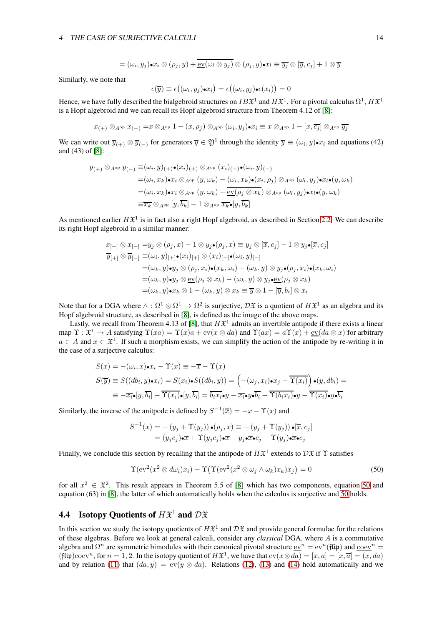$$
= (\omega_i, y_j) \bullet x_i \otimes (\rho_j, y) + \overline{\text{ev}(\omega_l \otimes y_j)} \otimes (\rho_j, y) \bullet x_l \equiv \overline{y_j} \otimes [\overline{y}, c_j] + 1 \otimes \overline{y}
$$

Similarly, we note that

$$
\epsilon(\overline{y}) \equiv \epsilon((\omega_i, y_j)\bullet x_i) = \epsilon((\omega_i, y_j)\bullet \epsilon(x_i)) = 0
$$

Hence, we have fully described the bialgebroid structures on  $IB^{\mathfrak{X}^1}$  and  $H\mathfrak{X}^1$ . For a pivotal calculus  $\Omega^1, H\mathfrak{X}^1$ is a Hopf algebroid and we can recall its Hopf algebroid structure from Theorem 4.12 of [\[8\]](#page-25-1):

 $x_{(+)}\otimes_{A^{\mathrm{op}}} x_{(-)} =\hspace{-0.12cm} x\otimes_{A^{\mathrm{op}}} 1-(x,\rho_j)\otimes_{A^{\mathrm{op}}} (\omega_i,y_j)$ o $x_i\equiv x\otimes_{A^{\mathrm{op}}} 1-[x,\overline{c_j}]\otimes_{A^{\mathrm{op}}} \overline{y_j}$ 

We can write out  $\overline{y}_{(+)}\otimes \overline{y}_{(-)}$  for generators  $\overline{y}\in \mathfrak{Y}^1$  through the identity  $\overline{y}\equiv (\omega_i, y)\bullet x_i$  and equations (42) and (43) of [\[8\]](#page-25-1):

$$
\overline{y}_{(+)}\otimes_{A^{\mathrm{op}}}\overline{y}_{(-)}\equiv(\omega_i,y)_{(+)}\bullet(x_i)_{(+)}\otimes_{A^{\mathrm{op}}}(x_i)_{(-)}\bullet(\omega_i,y)_{(-)}\\ =(\omega_i,x_k)\bullet x_i\otimes_{A^{\mathrm{op}}}(y,\omega_k)-(\omega_i,x_k)\bullet(x_i,\rho_j)\otimes_{A^{\mathrm{op}}}( \omega_l,y_j)\bullet x_l\bullet(y,\omega_k)\\ =(\omega_i,x_k)\bullet x_i\otimes_{A^{\mathrm{op}}}(y,\omega_k)-\overline{\mathrm{ev}(\rho_j\otimes x_k)}\otimes_{A^{\mathrm{op}}}( \omega_l,y_j)\bullet x_l\bullet(y,\omega_k)\\ =\overline{x_k}\otimes_{A^{\mathrm{op}}}[y,\overline{b_k}]-1\otimes_{A^{\mathrm{op}}}\overline{x_k}\bullet[y,\overline{b_k}]
$$

As mentioned earlier  $H\mathfrak{X}^1$  is in fact also a right Hopf algebroid, as described in Section [2.2.](#page-3-0) We can describe its right Hopf algebroid in a similar manner:

$$
x_{[+]} \otimes x_{[-]} = y_j \otimes (\rho_j, x) - 1 \otimes y_j \bullet (\rho_j, x) \equiv y_j \otimes [\overline{x}, c_j] - 1 \otimes y_j \bullet [\overline{x}, c_j]
$$
  
\n
$$
\overline{y}_{[+]} \otimes \overline{y}_{[-]} \equiv (\omega_i, y)_{[+]} \bullet (x_i)_{[+]} \otimes (x_i)_{[-]} \bullet (\omega_i, y)_{[-]}
$$
  
\n
$$
= (\omega_k, y) \bullet y_j \otimes (\rho_j, x_i) \bullet (x_k, \omega_i) - (\omega_k, y) \otimes y_j \bullet (\rho_j, x_i) \bullet (x_k, \omega_i)
$$
  
\n
$$
= (\omega_k, y) \bullet y_j \otimes \underline{\text{ev}}(\rho_j \otimes x_k) - (\omega_k, y) \otimes y_j \bullet \underline{\text{ev}}(\rho_j \otimes x_k)
$$
  
\n
$$
= (\omega_k, y) \bullet x_k \otimes 1 - (\omega_k, y) \otimes x_k \equiv \overline{y} \otimes 1 - [\overline{y}, b_i] \otimes x_i
$$

Note that for a DGA where  $\wedge : \Omega^1 \otimes \Omega^1 \to \Omega^2$  is surjective,  $\mathcal{D} \mathfrak{X}$  is a quotient of  $H\mathfrak{X}^1$  as an algebra and its Hopf algebroid structure, as described in [\[8\]](#page-25-1), is defined as the image of the above maps.

Lastly, we recall from Theorem 4.13 of [\[8\]](#page-25-1), that  $H\mathfrak{X}^1$  admits an invertible antipode if there exists a linear map  $\Upsilon : \mathfrak{X}^1 \to A$  satisfying  $\Upsilon(xa) = \Upsilon(x)a + \text{ev}(x \otimes da)$  and  $\Upsilon(ax) = a\Upsilon(x) + \text{ev}(da \otimes x)$  for arbitrary  $a \in A$  and  $x \in \mathfrak{X}^1$ . If such a morphism exists, we can simplify the action of the antipode by re-writing it in the case of a surjective calculus:

$$
S(x) = -(\omega_i, x) \cdot x_i - \overline{\Upsilon(x)} \equiv -\overline{x} - \overline{\Upsilon(x)}
$$
  
\n
$$
S(\overline{y}) \equiv S((db_i, y) \cdot x_i) = S(x_i) \cdot S((db_i, y)) = \left(-(\omega_j, x_i) \cdot x_j - \overline{\Upsilon(x_i)}\right) \cdot (y, db_i) =
$$
  
\n
$$
\equiv -\overline{x_i} \cdot [y, \overline{b_i}] - \overline{\Upsilon(x_i)} \cdot [y, \overline{b_i}] = \overline{b_i x_i} \cdot y - \overline{x_i} \cdot y \cdot \overline{b_i} + \overline{\Upsilon(b_i x_i)} \cdot y - \overline{\Upsilon(x_i)} \cdot y \cdot \overline{b_i}
$$

Similarly, the inverse of the anitpode is defined by  $S^{-1}(\overline{x}) = -x - \Upsilon(x)$  and

$$
S^{-1}(x) = -(y_j + \Upsilon(y_j)) \bullet (\rho_j, x) \equiv -(y_j + \Upsilon(y_j)) \bullet [\overline{x}, c_j]
$$
  
=  $(y_j c_j) \bullet \overline{x} + \Upsilon(y_j c_j) \bullet \overline{x} - y_j \bullet \overline{x} \bullet c_j - \Upsilon(y_j) \bullet \overline{x} \bullet c_j$ 

Finally, we conclude this section by recalling that the antipode of  $H\mathfrak{X}^1$  extends to  $D\mathfrak{X}$  if  $\Upsilon$  satisfies

<span id="page-13-1"></span>
$$
\Upsilon(\mathrm{ev}^2(x^2 \otimes d\omega_i)x_i) + \Upsilon(\Upsilon(\mathrm{ev}^2(x^2 \otimes \omega_j \wedge \omega_k)x_k)x_j) = 0 \tag{50}
$$

for all  $x^2 \in \mathfrak{X}^2$ . This result appears in Theorem 5.5 of [\[8\]](#page-25-1) which has two components, equation [50](#page-13-1) and equation (63) in [\[8\]](#page-25-1), the latter of which automatically holds when the calculus is surjective and [50](#page-13-1) holds.

## <span id="page-13-0"></span>**4.4** Isotopy Quotients of  $H\mathfrak{X}^1$  and  $D\mathfrak{X}$

In this section we study the isotopy quotients of  $H\mathfrak{X}^1$  and  $D\mathfrak{X}$  and provide general formulae for the relations of these algebras. Before we look at general calculi, consider any *classical* DGA, where A is a commutative algebra and  $\Omega^n$  are symmetric bimodules with their canonical pivotal structure  $\underline{ev}^n = ev^n(\hat{\text{flip}})$  and  $\underline{coev}^n =$ (flip)coev<sup>n</sup>, for  $n = 1, 2$ . In the isotopy quotient of  $H\mathfrak{X}^1$ , we have that  $ev(x \otimes da) = [x, a] = [x, \overline{a}] = (x, da)$ and by relation [\(11\)](#page-3-7) that  $(da, y) = \text{ev}(y \otimes da)$ . Relations [\(12\)](#page-3-8), [\(13\)](#page-3-9) and [\(14\)](#page-3-10) hold automatically and we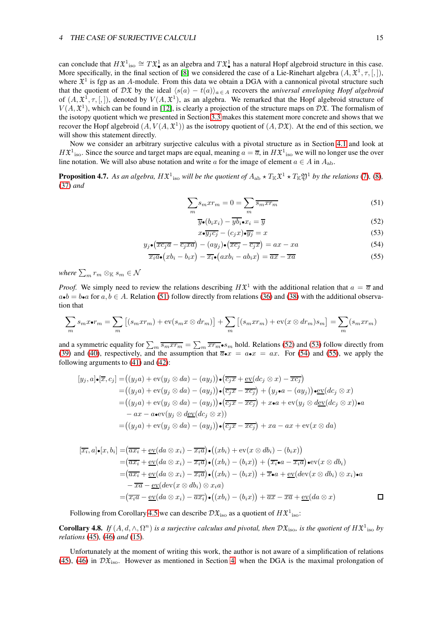can conclude that  $H\mathfrak{X}_{\bullet}^{1} \cong T\mathfrak{X}_{\bullet}^{1}$  as an algebra and  $T\mathfrak{X}_{\bullet}^{1}$  has a natural Hopf algebroid structure in this case. More specifically, in the final section of [\[8\]](#page-25-1) we considered the case of a Lie-Rinehart algebra  $(A, \mathfrak{X}^1, \tau, [,]),$ where  $\mathfrak{X}^1$  is fgp as an A-module. From this data we obtain a DGA with a cannonical pivotal structure such that the quotient of DX by the ideal  $\langle s(a) - t(a) \rangle_{a \in A}$  recovers the *universal enveloping Hopf algebroid* of  $(A, \mathfrak{X}^1, \tau, [,])$ , denoted by  $V(A, \mathfrak{X}^1)$ , as an algebra. We remarked that the Hopf algebroid structure of  $V(A, \mathfrak{X}^1)$ , which can be found in [\[12\]](#page-26-6), is clearly a projection of the structure maps on  $D\mathfrak{X}$ . The formalism of the isotopy quotient which we presented in Section [3.3](#page-8-0) makes this statement more concrete and shows that we recover the Hopf algebroid  $(A, V(A, \mathfrak{X}^1))$  as the isotropy quotient of  $(A, D\mathfrak{X})$ . At the end of this section, we will show this statement directly.

Now we consider an arbitrary surjective calculus with a pivotal structure as in Section [4.1](#page-9-3) and look at  $H\mathfrak{X}^1$ <sub>iso</sub>. Since the source and target maps are equal, meaning  $a=\overline{a}$ , in  $H\mathfrak{X}^1$ <sub>iso</sub> we will no longer use the over line notation. We will also abuse notation and write a for the image of element  $a \in A$  in  $A_{ab}$ .

<span id="page-14-5"></span>**Proposition 4.7.** As an algebra,  $H\mathfrak{X}^1{}_{\rm iso}$  will be the quotient of  $A_{\rm ab}\star T_{\mathbb K}\mathfrak{X}^1\star T_{\mathbb K}\mathfrak{Y}^1$  by the relations [\(7\)](#page-3-3), [\(8\)](#page-3-4), [\(37\)](#page-10-5) *and*

$$
\sum_{m} s_m x r_m = 0 = \sum_{m} \overline{s_m x r_m} \tag{51}
$$

<span id="page-14-4"></span><span id="page-14-3"></span><span id="page-14-2"></span><span id="page-14-1"></span><span id="page-14-0"></span>
$$
\overline{y}_{\bullet}(b_{i}x_{i}) - \overline{yb_{i}}_{\bullet}x_{i} = \overline{y}
$$
\n(52)

$$
x \bullet \overline{y_j c_j} - (c_j x) \bullet \overline{y_j} = x \tag{53}
$$

$$
y_j \bullet (\overline{x c_j a} - \overline{c_j x a}) - (a y_j) \bullet (\overline{x c_j} - \overline{c_j x}) = a x - x a \tag{54}
$$

$$
\overline{x_i a} \bullet (xb_i - b_i x) - \overline{x_i} \bullet (ax b_i - ab_i x) = \overline{ax} - \overline{xa} \tag{55}
$$

where  $\sum_m r_m \otimes_{\mathbb{K}} s_m \in \mathcal{N}$ 

*Proof.* We simply need to review the relations describing  $H\mathfrak{X}^1$  with the additional relation that  $a = \overline{a}$  and  $a \bullet b = b \bullet a$  for  $a, b \in A$ . Relation [\(51\)](#page-14-0) follow directly from relations [\(36\)](#page-10-0) and [\(38\)](#page-10-1) with the additional observation that

$$
\sum_{m} s_m x \bullet r_m = \sum_{m} \left[ (s_m x r_m) + \text{ev}(s_m x \otimes dr_m) \right] + \sum_{m} \left[ (s_m x r_m) + \text{ev}(x \otimes dr_m) s_m \right] = \sum_{m} (s_m x r_m)
$$

and a symmetric equality for  $\sum_m \overline{s_m} \overline{x r_m} = \sum_m \overline{x r_m} \bullet s_m$  hold. Relations [\(52\)](#page-14-1) and [\(53\)](#page-14-2) follow directly from [\(39\)](#page-10-2) and [\(40\)](#page-10-3), respectively, and the assumption that  $\overline{a} \cdot x = a \cdot x = ax$ . For [\(54\)](#page-14-3) and [\(55\)](#page-14-4), we apply the following arguments to [\(41\)](#page-11-0) and [\(42\)](#page-11-1):

$$
[y_j, a] \bullet [\overline{x}, c_j] = ((y_j a) + \text{ev}(y_j \otimes da) - (ay_j)) \bullet (\overline{c_j x} + \underline{\text{ev}}(dc_j \otimes x) - \overline{x c_j})
$$
  
\n
$$
= ((y_j a) + \text{ev}(y_j \otimes da) - (ay_j)) \bullet (\overline{c_j x} - \overline{x c_j}) + (y_j \bullet a - (ay_j)) \bullet \underline{\text{ev}}(dc_j \otimes x)
$$
  
\n
$$
= ((y_j a) + \text{ev}(y_j \otimes da) - (ay_j)) \bullet (\overline{c_j x} - \overline{x c_j}) + x \bullet a + \text{ev}(y_j \otimes d \underline{\text{ev}}(dc_j \otimes x)) \bullet a
$$
  
\n
$$
- ax - a \bullet \text{ev}(y_j \otimes d \underline{\text{ev}}(dc_j \otimes x))
$$
  
\n
$$
= ((y_j a) + \text{ev}(y_j \otimes da) - (ay_j)) \bullet (\overline{c_j x} - \overline{x c_j}) + xa - ax + \text{ev}(x \otimes da)
$$

$$
[\overline{x_i}, a] \bullet [x, b_i] = (\overline{ax_i} + \underline{ev}(da \otimes x_i) - \overline{x_i a}) \bullet ((xb_i) + \underline{ev}(x \otimes db_i) - (b_i x))
$$
  
\n
$$
= (\overline{ax_i} + \underline{ev}(da \otimes x_i) - \overline{x_i a}) \bullet ((xb_i) - (b_i x)) + (\overline{x_i} \bullet a - \overline{x_i a}) \bullet \underline{ev}(x \otimes db_i)
$$
  
\n
$$
= (\overline{ax_i} + \underline{ev}(da \otimes x_i) - \overline{x_i a}) \bullet ((xb_i) - (b_i x)) + \overline{x} \bullet a + \underline{ev}(dw(x \otimes db_i) \otimes x_i) \bullet a
$$
  
\n
$$
- \overline{x a} - \underline{ev}(dw(x \otimes db_i) \otimes x_i a)
$$
  
\n
$$
= (\overline{x_i a} - \underline{ev}(da \otimes x_i) - \overline{ax_i}) \bullet ((xb_i) - (b_i x)) + \overline{ax} - \overline{xa} + \underline{ev}(da \otimes x)
$$

Following from Corollary [4.5](#page-12-3) we can describe  $\mathcal{D} \mathfrak{X}_{\mathrm{iso}}$  as a quotient of  $H \mathfrak{X}^1_{\mathrm{iso}}$ :

**Corollary 4.8.** If  $(A, d, \wedge, \Omega^n)$  is a surjective calculus and pivotal, then  $D\mathfrak{X}_{\text{iso}}$ , is the quotient of  $H\mathfrak{X}^1_{\text{iso}}$  by *relations* [\(45\)](#page-12-0)*,* [\(46\)](#page-12-1) *and* [\(15\)](#page-3-11)*.*

Unfortunately at the moment of writing this work, the author is not aware of a simplification of relations [\(45\)](#page-12-0), [\(46\)](#page-12-1) in  $D\mathfrak{X}_{\text{iso}}$ . However as mentioned in Section [4,](#page-9-2) when the DGA is the maximal prolongation of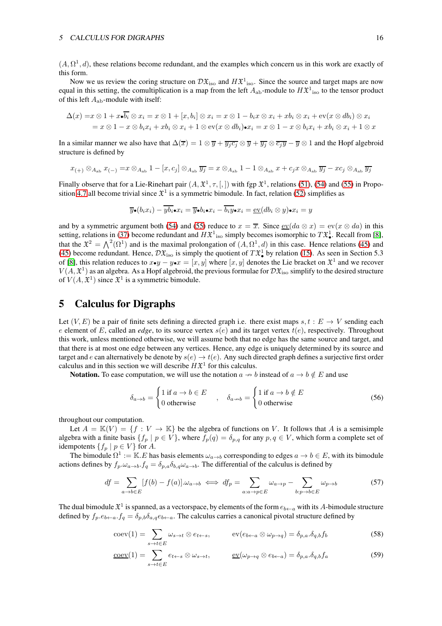$(A, \Omega^1, d)$ , these relations become redundant, and the examples which concern us in this work are exactly of this form.

Now we us review the coring structure on  $D\mathfrak{X}_{\mathrm{iso}}$  and  $H\mathfrak{X}_{\mathrm{iso}}^1$ . Since the source and target maps are now equal in this setting, the comultiplication is a map from the left  $A_{ab}$ -module to  $H\mathfrak{X}^1{}_{\rm iso}$  to the tensor product of this left  $A_{ab}$ -module with itself:

$$
\Delta(x) = x \otimes 1 + x \cdot \overline{b_i} \otimes x_i = x \otimes 1 + [x, b_i] \otimes x_i = x \otimes 1 - b_i x \otimes x_i + x b_i \otimes x_i + \text{ev}(x \otimes db_i) \otimes x_i
$$
  
=  $x \otimes 1 - x \otimes b_i x_i + x b_i \otimes x_i + 1 \otimes \text{ev}(x \otimes db_i) \cdot x_i = x \otimes 1 - x \otimes b_i x_i + x b_i \otimes x_i + 1 \otimes x$ 

In a similar manner we also have that  $\Delta(\overline{x}) = 1 \otimes \overline{y} + \overline{y_j c_j} \otimes \overline{y} + \overline{y_j} \otimes \overline{c_j y} - \overline{y} \otimes 1$  and the Hopf algebroid structure is defined by

$$
x_{(+)}\otimes_{A_{\mathrm{ab}}} x_{(-)} = x\otimes_{A_{\mathrm{ab}}} 1 - [x,c_j]\otimes_{A_{\mathrm{ab}}} \overline{y_j} = x\otimes_{A_{\mathrm{ab}}} 1 - 1\otimes_{A_{\mathrm{ab}}} x + c_jx\otimes_{A_{\mathrm{ab}}} \overline{y_j} - x c_j\otimes_{A_{\mathrm{ab}}} \overline{y_j}
$$

Finally observe that for a Lie-Rinehart pair  $(A, \mathfrak{X}^1, \tau, [,])$  with fgp  $\mathfrak{X}^1$ , relations [\(51\)](#page-14-0), [\(54\)](#page-14-3) and [\(55\)](#page-14-4) in Propo-sition [4.7](#page-14-5) all become trivial since  $\mathfrak{X}^1$  is a symmetric bimodule. In fact, relation [\(52\)](#page-14-1) simplifies as

$$
\overline{y}\bullet(b_ix_i)-\overline{yb_i}\bullet x_i=\overline{y}\bullet b_i\bullet x_i-\overline{b_iy}\bullet x_i=\underline{\operatorname{ev}}(db_i\otimes y)\bullet x_i=y
$$

and by a symmetric argument both [\(54\)](#page-14-3) and [\(55\)](#page-14-4) reduce to  $x = \overline{x}$ . Since  $\underline{ev}(da \otimes x) = \overline{ev}(x \otimes da)$  in this setting, relations in [\(37\)](#page-10-5) become redundant and  $H\mathfrak{X}^1$  iso simply becomes isomorphic to  $T\mathfrak{X}^1_{\bullet}$ . Recall from [\[8\]](#page-25-1), that the  $\mathfrak{X}^2 = \bigwedge^2(\Omega^1)$  and is the maximal prolongation of  $(A, \Omega^1, d)$  in this case. Hence relations [\(45\)](#page-12-0) and [\(45\)](#page-12-0) become redundant. Hence,  $\mathcal{D}\mathfrak{X}_{\mathrm{iso}}$  is simply the quotient of  $T\mathfrak{X}_{\bullet}^1$  by relation [\(15\)](#page-3-11). As seen in Section 5.3 of [\[8\]](#page-25-1), this relation reduces to  $x \cdot y - y \cdot x = [x, y]$  where  $[x, y]$  denotes the Lie bracket on  $\mathfrak{X}^1$  and we recover  $V(A, \mathfrak{X}^1)$  as an algebra. As a Hopf algebroid, the previous formulae for  $\mathcal{D} \mathfrak{X}_{\rm iso}$  simplify to the desired structure of  $V(A, \mathfrak{X}^1)$  since  $\mathfrak{X}^1$  is a symmetric bimodule.

## <span id="page-15-0"></span>5 Calculus for Digraphs

Let  $(V, E)$  be a pair of finite sets defining a directed graph i.e. there exist maps  $s, t : E \to V$  sending each e element of E, called an *edge*, to its source vertex  $s(e)$  and its target vertex  $t(e)$ , respectively. Throughout this work, unless mentioned otherwise, we will assume both that no edge has the same source and target, and that there is at most one edge between any vertices. Hence, any edge is uniquely determined by its source and target and e can alternatively be denote by  $s(e) \to t(e)$ . Any such directed graph defines a surjective first order calculus and in this section we will describe  $H\mathfrak{X}^1$  for this calculus.

**Notation.** To ease computation, we will use the notation  $a \rightarrow b$  instead of  $a \rightarrow b \notin E$  and use

$$
\delta_{a \to b} = \begin{cases} 1 \text{ if } a \to b \in E \\ 0 \text{ otherwise} \end{cases}, \quad \delta_{a \to b} = \begin{cases} 1 \text{ if } a \to b \notin E \\ 0 \text{ otherwise} \end{cases}
$$
(56)

throughout our computation.

Let  $A = \mathbb{K}(V) = \{f : V \to \mathbb{K}\}\$  be the algebra of functions on V. It follows that A is a semisimple algebra with a finite basis  $\{f_p | p \in V\}$ , where  $f_p(q) = \delta_{p,q}$  for any  $p, q \in V$ , which form a complete set of idempotents  $\{f_p \mid p \in V\}$  for A.

The bimodule  $\Omega^1 := \mathbb{K} \cdot E$  has basis elements  $\omega_{a \to b}$  corresponding to edges  $a \to b \in E$ , with its bimodule actions defines by  $f_p \omega_{a\to b} f_q = \delta_{p,q} \delta_{b,q} \omega_{a\to b}$ . The differential of the calculus is defined by

$$
df = \sum_{a \to b \in E} [f(b) - f(a)]. \omega_{a \to b} \iff df_p = \sum_{a:a \to p \in E} \omega_{a \to p} - \sum_{b:p \to b \in E} \omega_{p \to b}
$$
(57)

The dual bimodule  $\mathfrak{X}^1$  is spanned, as a vectorspace, by elements of the form  $e_{b\leftarrow a}$  with its  $A$ -bimodule structure defined by  $f_p.e_{b\leftarrow a}$ .  $f_q = \delta_{p,b}\delta_{a,q}e_{b\leftarrow a}$ . The calculus carries a canonical pivotal structure defined by

$$
\operatorname{coev}(1) = \sum_{s \to t \in E} \omega_{s \to t} \otimes e_{t \leftarrow s}, \qquad \operatorname{ev}(e_{b \leftarrow a} \otimes \omega_{p \to q}) = \delta_{p,a} \delta_{q,b} f_b \tag{58}
$$

$$
\underline{\text{coev}}(1) = \sum_{s \to t \in E} e_{t \leftarrow s} \otimes \omega_{s \to t}, \qquad \underline{\text{ev}}(\omega_{p \to q} \otimes e_{b \leftarrow a}) = \delta_{p,a}.\delta_{q,b}f_a \tag{59}
$$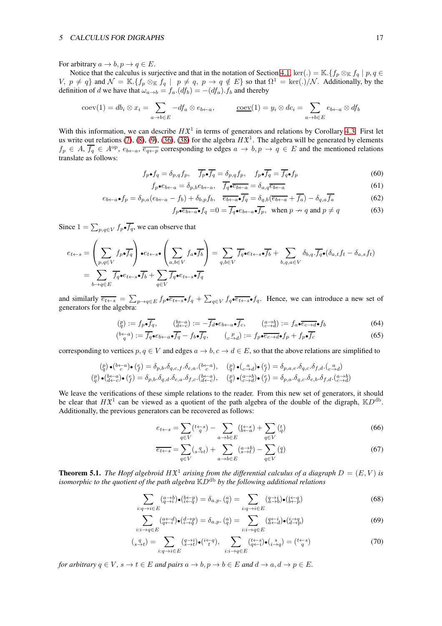For arbitrary  $a \to b$ ,  $p \to q \in E$ .

Notice that the calculus is surjective and that in the notation of Section [4.1,](#page-9-3) ker(.) = K. { $f_p \otimes_K f_q | p, q \in$  $V, p \neq q$  and  $\mathcal{N} = \mathbb{K}. \{f_p \otimes_{\mathbb{K}} f_q \mid p \neq q, p \rightarrow q \notin E\}$  so that  $\Omega^1 = \text{ker}(.)/\mathcal{N}$ . Additionally, by the definition of d we have that  $\omega_{a\to b} = f_a$ . $(df_b) = -(df_a)$ .  $f_b$  and thereby

$$
coev(1) = db_i \otimes x_i = \sum_{a \to b \in E} -df_a \otimes e_{b \leftarrow a}, \qquad \underline{coev}(1) = y_i \otimes dc_i = \sum_{a \to b \in E} e_{b \leftarrow a} \otimes df_b
$$

With this information, we can describe  $H\mathfrak{X}^1$  in terms of generators and relations by Corollary [4.3.](#page-11-5) First let us write out relations [\(7\)](#page-3-3), [\(8\)](#page-3-4), [\(9\)](#page-3-5), [\(36\)](#page-10-0), [\(38\)](#page-10-1) for the algebra  $H\mathfrak{X}^1$ . The algebra will be generated by elements  $f_p \in A$ ,  $\overline{f_q} \in A^{\text{op}}, e_{b \leftarrow a}$ ,  $\overline{e_{q \leftarrow p}}$  corresponding to edges  $a \to b$ ,  $p \to q \in E$  and the mentioned relations translate as follows:

$$
f_p \bullet f_q = \delta_{p,q} f_p, \quad \overline{f_p} \bullet \overline{f_q} = \delta_{p,q} f_p, \quad f_p \bullet \overline{f_q} = \overline{f_q} \bullet f_p \tag{60}
$$

$$
f_p \bullet e_{b \leftarrow a} = \delta_{p,b} e_{b \leftarrow a}, \quad \overline{f_q \bullet e_{b \leftarrow a}} = \delta_{a,q} \overline{e_{b \leftarrow a}} \tag{61}
$$

$$
e_{b\leftarrow a}\bullet f_p = \delta_{p,a}(e_{b\leftarrow a} - f_b) + \delta_{b,p}f_b, \quad \overline{e_{b\leftarrow a}}\bullet f_q = \delta_{q,b}(\overline{e_{b\leftarrow a}} + \overline{f_a}) - \delta_{q,a}\overline{f_a}
$$
(62)  

$$
f \bullet \overline{f_a} = f \bullet g \bullet \overline{f_a}
$$
when  $n \leftrightarrow a$  and  $n \neq a$ 

$$
f_p \bullet \overline{e_{b \leftarrow a}} \bullet f_q = 0 = \overline{f_q} \bullet e_{b \leftarrow a} \bullet \overline{f_p}, \text{ when } p \to q \text{ and } p \neq q
$$
 (63)

Since  $1 = \sum_{p,q \in V} f_p \cdot f_q$ , we can observe that

$$
e_{t \leftarrow s} = \left(\sum_{p,q \in V} f_p \bullet \overline{f_q}\right) \bullet e_{t \leftarrow s} \bullet \left(\sum_{a,b \in V} f_a \bullet \overline{f_b}\right) = \sum_{q,b \in V} \overline{f_q} \bullet e_{t \leftarrow s} \bullet \overline{f_b} + \sum_{b,q,a \in V} \delta_{b,q} \cdot \overline{f_q} \bullet (\delta_{a,t} f_t - \delta_{a,s} f_t)
$$
  
= 
$$
\sum_{b \rightarrow q \in E} \overline{f_q} \bullet e_{t \leftarrow s} \bullet \overline{f_b} + \sum_{q \in V} \overline{f_q} \bullet e_{t \leftarrow s} \bullet \overline{f_q}
$$

and similarly  $\overline{e_{t\leftarrow s}} = \sum_{p\to q\in E} f_p \bullet \overline{e_{t\leftarrow s}} \bullet f_q + \sum_{q\in V} f_q \bullet \overline{e_{t\leftarrow s}} \bullet f_q$ . Hence, we can introduce a new set of generators for the algebra:

$$
\begin{aligned} \left(\begin{matrix}p\\q\end{matrix}\right) &:= f_p \bullet \overline{f_q}, \qquad \left(\begin{matrix}b \leftarrow a\\d \leftarrow c\end{matrix}\right) := -\overline{f_d} \bullet e_{b \leftarrow a} \bullet \overline{f_c}, \qquad \left(\begin{matrix}a \rightarrow b\\c \rightarrow d\end{matrix}\right) := f_a \bullet \overline{e_{c \rightarrow d}} \bullet f_b \end{aligned} \tag{64}
$$

$$
\left(\begin{array}{c}\n\mathbf{b}-a \\
q\n\end{array}\right) := \overline{f_q \bullet e_{b\leftarrow a} \bullet f_q} - f_b \bullet \overline{f_q}, \qquad\n\left(\begin{array}{c}\n p \\
 c \rightarrow d\n\end{array}\right) := f_p \bullet \overline{e_{c\rightarrow d}} \bullet f_p + f_p \bullet \overline{f_c}\n\tag{65}
$$

corresponding to vertices  $p, q \in V$  and edges  $a \to b, c \to d \in E$ , so that the above relations are simplified to

$$
\begin{array}{lll} (p) \bullet (b \leftarrow a \bullet \bullet (e) \bullet (f)) = \delta_{p,b}.\delta_{q,c,f}.\delta_{e,a}.(b \leftarrow a \bullet (e \bullet a \bullet (e \bullet a \bullet (f)) \bullet (f)) = \delta_{p,a,e}.\delta_{q,c}.\delta_{f,d}.(\underbrace{a \bullet a \bullet}_{c \to d})\\ (p) \bullet (\underbrace{b \leftarrow a \bullet}_{d \leftarrow c \right}) \bullet (\underbrace{f}_{f}) = \delta_{p,b}.\delta_{q,d}.\delta_{e,a}.\delta_{f,c}.(\underbrace{b \leftarrow a \bullet}_{d \leftarrow c \right)}, & (p) \bullet (\underbrace{a \rightarrow b}_{c \to d}) \bullet (\underbrace{e}_{f}) = \delta_{p,a}.\delta_{q,c}.\delta_{e,b}.\delta_{f,d}.(\underbrace{a \rightarrow b}_{c \to d}) \end{array}
$$

We leave the verifications of these simple relations to the reader. From this new set of generators, it should be clear that  $H\mathfrak{X}^1$  can be viewed as a quotient of the path algebra of the double of the digraph,  $\mathbb{K}D^{\text{db}}$ . Additionally, the previous generators can be recovered as follows:

$$
e_{t \leftarrow s} = \sum_{q \in V} ({}^{t \leftarrow s}_{q}) - \sum_{a \to b \in E} ({}^{t \leftarrow s}_{b \leftarrow a}) + \sum_{q \in V} ({}^{t}_{q})
$$
(66)

<span id="page-16-3"></span><span id="page-16-2"></span><span id="page-16-1"></span>
$$
\overline{e_{t \leftarrow s}} = \sum_{q \in V} (s_{\rightarrow t}^q) + \sum_{a \rightarrow b \in E} (s_{\rightarrow t}^{a \rightarrow b}) - \sum_{q \in V} (q)
$$
 (67)

<span id="page-16-0"></span>**Theorem 5.1.** The Hopf algebroid  $H\mathfrak{X}^1$  arising from the differential calculus of a diagraph  $D = (E, V)$  is isomorphic to the quotient of the path algebra  $\mathbb{K}D^{db}$  by the following additional relations

$$
\sum_{i:q \to i \in E} \left( \underset{q \to i}{a \to b} \right) \bullet \left( \underset{i \leftarrow q}{b \leftarrow p} \right) = \delta_{a,p}. \left( \underset{q}{q} \right) = \sum_{i:q \to i \in E} \left( \underset{q \to i}{q \to i} \right) \bullet \left( \underset{b \leftarrow p}{i \leftarrow q} \right) \tag{68}
$$

$$
\sum_{i:i \to q \in E} \left( \substack{a \leftarrow d \\ q \leftarrow i} \right) \bullet \left( \substack{d \to p \\ i \to q} \right) = \delta_{a,p}. \left( \substack{a \\ q \leftarrow q} \right) = \sum_{i:i \to q \in E} \left( \substack{q \leftarrow i \\ a \leftarrow d} \right) \bullet \left( \substack{i \to q \\ d \to p} \right) \right) \tag{69}
$$

$$
\left(_{s}\mathcal{A}_{t}\right) = \sum_{i:q \to i \in E} \left(_{s \to t}^{q \to i}\right) \bullet \left(^{i \leftarrow q}_{\bullet}\right), \quad \sum_{i: i \to q \in E} \left(_{q \leftarrow i}^{t \leftarrow s}\right) \bullet \left(_{i \to q}^{s}\right) = \left(^{t \leftarrow s}_{q}\right) \tag{70}
$$

*for arbitrary*  $q \in V$ *, s*  $\rightarrow$  *t*  $\in E$  *and pairs*  $a \rightarrow b$ *, p*  $\rightarrow$  *b*  $\in E$  *and*  $d \rightarrow a$ *,*  $d \rightarrow p \in E$ *.*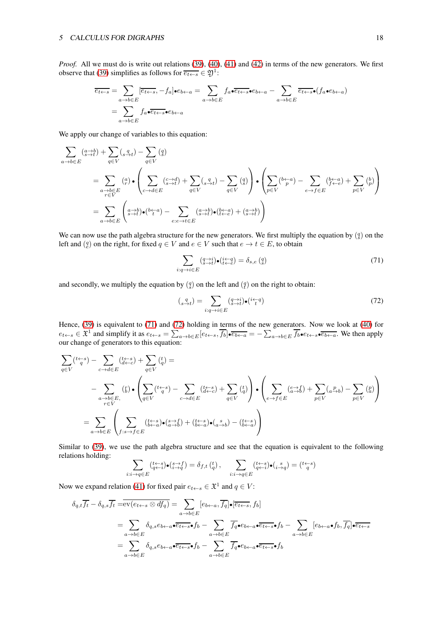*Proof.* All we must do is write out relations [\(39\)](#page-10-2), [\(40\)](#page-10-3), [\(41\)](#page-11-0) and [\(42\)](#page-11-1) in terms of the new generators. We first observe that [\(39\)](#page-10-2) simplifies as follows for  $\overline{e_{t\leftarrow s}} \in \mathfrak{Y}^1$ :

$$
\overline{e_{t+s}} = \sum_{a \to b \in E} [\overline{e_{t+s}}, -f_a] \bullet e_{b \leftarrow a} = \sum_{a \to b \in E} f_a \bullet \overline{e_{t+s}} \bullet e_{b \leftarrow a} - \sum_{a \to b \in E} \overline{e_{t+s}} \bullet (f_a \bullet e_{b \leftarrow a})
$$
\n
$$
= \sum_{a \to b \in E} f_a \bullet \overline{e_{t+s}} \bullet e_{b \leftarrow a}
$$

We apply our change of variables to this equation:

$$
\sum_{a \to b \in E} \left( \begin{matrix} a \to b \\ s \to t \end{matrix} \right) + \sum_{q \in V} \left( \begin{matrix} q \\ s \to t \end{matrix} \right) - \sum_{q \in V} \left( \begin{matrix} q \\ s \end{matrix} \right)
$$
\n
$$
= \sum_{\substack{a \to b \in E \\ r \in V}} \left( \begin{matrix} a \\ r \end{matrix} \right) \bullet \left( \sum_{c \to d \in E} \left( \begin{matrix} c \to d \\ s \to t \end{matrix} \right) + \sum_{q \in V} \left( \begin{matrix} q \\ s \to t \end{matrix} \right) - \sum_{q \in V} \left( \begin{matrix} q \\ s \end{matrix} \right) \right) \bullet \left( \sum_{p \in V} \left( \begin{matrix} b \leftarrow a \\ p \end{matrix} \right) - \sum_{e \to f \in E} \left( \begin{matrix} b \leftarrow a \\ f \leftarrow e \end{matrix} \right) + \sum_{p \in V} \left( \begin{matrix} b \\ p \end{matrix} \right) \right) \right)
$$
\n
$$
= \sum_{a \to b \in E} \left( \begin{matrix} a \to b \\ s \to t \end{matrix} \right) \bullet \left( \begin{matrix} b \leftarrow a \\ s \to t \end{matrix} \right) + \left( \begin{matrix} a \to b \\ s \to t \end{matrix} \right) \bullet \left( \begin{matrix} b \leftarrow a \\ f \leftarrow e \end{matrix} \right) + \left( \begin{matrix} a \to b \\ s \to t \end{matrix} \right) \right)
$$

We can now use the path algebra structure for the new generators. We first multiply the equation by  $\binom{q}{s}$  on the left and  $\binom{q}{e}$  on the right, for fixed  $q \in V$  and  $e \in V$  such that  $e \to t \in E$ , to obtain

<span id="page-17-0"></span>
$$
\sum_{i:q \to i \in E} \left( \underset{s \to t}{q \to i} \right) \bullet \left( \underset{t \gets e}{i \to q} \right) = \delta_{s,e} \left( \underset{s}{q} \right) \tag{71}
$$

and secondly, we multiply the equation by  $\binom{q}{s}$  on the left and  $\binom{q}{t}$  on the right to obtain:

<span id="page-17-1"></span>
$$
\left(_{s}\frac{q}{\rightarrow t}\right) = \sum_{i:q \rightarrow i \in E} \left(_{s \rightarrow t}^{q \rightarrow i}\right) \bullet \left(^{i \leftarrow q}_{t}\right) \tag{72}
$$

Hence, [\(39\)](#page-10-2) is equivalent to [\(71\)](#page-17-0) and [\(72\)](#page-17-1) holding in terms of the new generators. Now we look at [\(40\)](#page-10-3) for  $e_{t \leftarrow s} \in \mathfrak{X}^1$  and simplify it as  $e_{t \leftarrow s} = \sum_{a \rightarrow b \in E} [e_{t \leftarrow s}, \overline{f_b}] \bullet \overline{e_{b \leftarrow a}} = -\sum_{a \rightarrow b \in E} \overline{f_b} \bullet e_{t \leftarrow s} \bullet \overline{e_{b \leftarrow a}}$ . We then apply our change of generators to this equation:

$$
\sum_{q \in V} (t \underset{q}{\leftarrow} s) - \sum_{c \to d \in E} (t \underset{q}{\leftarrow} s) + \sum_{q \in V} (t \underset{q}{\leftarrow} s) =
$$
\n
$$
- \sum_{a \to b \in E, (b \to c)} (t \underset{r \in V}{\leftarrow} s) + \sum_{q \in V} (t \underset{r}{\leftarrow} s) - \sum_{c \to d \in E} (t \underset{q}{\leftarrow} s) + \sum_{q \in V} (t \underset{q}{\leftarrow} s) + \sum_{q \in V} (t \underset{q}{\leftarrow} s) + \sum_{p \in V} (a \underset{r}{\leftarrow} b) - \sum_{p \in V} (p \underset{r}{\leftarrow} b) \right)
$$
\n
$$
= \sum_{a \to b \in E} \left( \sum_{f : s \to f \in E} (t \underset{b \leftarrow a}^{\leftarrow} s) \bullet (s \underset{a \to b}{\rightarrow} ) + (t \underset{b \leftarrow a}^{\leftarrow} s) \bullet (s \underset{a \to b}{\rightarrow} ) - (t \underset{b \leftarrow a}{\leftarrow} s) \right) \right)
$$

Similar to [\(39\)](#page-10-2), we use the path algebra structure and see that the equation is equivalent to the following relations holding:

$$
\sum_{i:i\to q\in E} \binom{t+s}{q+i} \bullet \binom{s\to f}{i\to q} = \delta_{f,t} \binom{t}{q}, \quad \sum_{i:i\to q\in E} \binom{t\leftarrow s}{q+i} \bullet \binom{s}{i\to q} = \binom{t\leftarrow s}{q}
$$

Now we expand relation [\(41\)](#page-11-0) for fixed pair  $e_{t \leftarrow s} \in \mathfrak{X}^1$  and  $q \in V$ :

$$
\delta_{q,t}\overline{f_t} - \delta_{q,s}\overline{f_t} = \overline{\text{ev}(e_{t\leftarrow s} \otimes df_q)} = \sum_{a \to b \in E} [e_{b\leftarrow a}, \overline{f_q}] \bullet [\overline{e_{t\leftarrow s}}, f_b]
$$
\n
$$
= \sum_{a \to b \in E} \delta_{q,s} e_{b\leftarrow a} \bullet \overline{e_{t\leftarrow s}} \bullet f_b - \sum_{a \to b \in E} \overline{f_q} \bullet e_{b\leftarrow a} \bullet \overline{e_{t\leftarrow s}} \bullet f_b - \sum_{a \to b \in E} [e_{b\leftarrow a} \bullet f_b, \overline{f_q}] \bullet \overline{e_{t\leftarrow s}}
$$
\n
$$
= \sum_{a \to b \in E} \delta_{q,s} e_{b\leftarrow a} \bullet \overline{e_{t\leftarrow s}} \bullet f_b - \sum_{a \to b \in E} \overline{f_q} \bullet e_{b\leftarrow a} \bullet \overline{e_{t\leftarrow s}} \bullet f_b
$$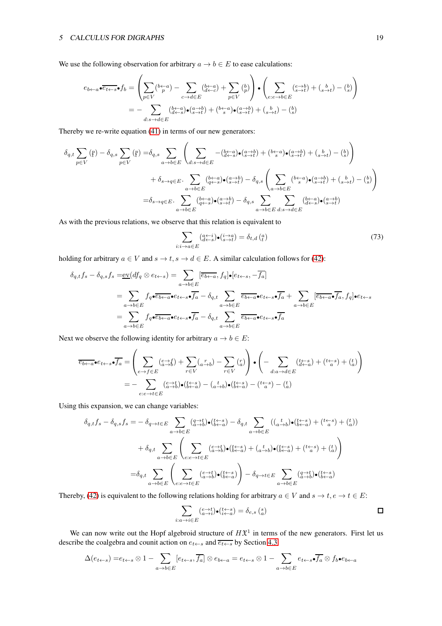We use the following observation for arbitrary  $a \to b \in E$  to ease calculations:

$$
e_{b\leftarrow a} \bullet \overline{e_{t\leftarrow s}} \bullet f_b = \left(\sum_{p \in V} \left(\begin{smallmatrix} b\leftarrow a \\ p \end{smallmatrix}\right) - \sum_{c \to d \in E} \left(\begin{smallmatrix} b\leftarrow a \\ d\leftarrow c \end{smallmatrix}\right) + \sum_{p \in V} \left(\begin{smallmatrix} b \\ p \end{smallmatrix}\right)\right) \bullet \left(\sum_{e:e \to b \in E} \left(\begin{smallmatrix} e \to b \\ s \to t \end{smallmatrix}\right) + \left(\begin{smallmatrix} b \\ s \to t \end{smallmatrix}\right) - \left(\begin{smallmatrix} b \\ s \end{smallmatrix}\right)\right)
$$

$$
= - \sum_{d:s \to d \in E} \left(\begin{smallmatrix} b\leftarrow a \\ d\leftarrow s \end{smallmatrix}\right) \bullet \left(\begin{smallmatrix} a \to b \\ s \to t \end{smallmatrix}\right) + \left(\begin{smallmatrix} b\leftarrow a \\ s \end{smallmatrix}\right) \bullet \left(\begin{smallmatrix} a \to b \\ s \to t \end{smallmatrix}\right) + \left(\begin{smallmatrix} b \\ s \end{smallmatrix}\right) + \left(\begin{smallmatrix} b \\ s \end{smallmatrix}\right) - \left(\begin{smallmatrix} b \\ s \end{smallmatrix}\right)
$$

Thereby we re-write equation [\(41\)](#page-11-0) in terms of our new generators:

$$
\delta_{q,t} \sum_{p \in V} (\mathbf{f}) - \delta_{q,s} \sum_{p \in V} (\mathbf{f}) = \delta_{q,s} \sum_{a \to b \in E} \left( \sum_{d:s \to d \in E} -\left(\frac{b-a}{d-s}\right) \cdot \left(\frac{a-b}{s+t}\right) + \left(\frac{b-a}{s}\right) \cdot \left(\frac{a-b}{s+t}\right) + \left(\frac{b}{s+t}\right) - \left(\frac{b}{s}\right) \right) \n+ \delta_{s \to q \in E} \cdot \sum_{a \to b \in E} \left(\frac{b-a}{q-s} \cdot \left(\frac{a-b}{s+t}\right) - \delta_{q,s} \left(\sum_{a \to b \in E} \left(\frac{b-a}{s}\right) \cdot \left(\frac{a-b}{s+t}\right) + \left(\frac{b}{s+t}\right) - \left(\frac{b}{s}\right) \right) \n= \delta_{s \to q \in E} \cdot \sum_{a \to b \in E} \left(\frac{b-a}{q-s} \right) \cdot \left(\frac{a-b}{s+t}\right) - \delta_{q,s} \sum_{a \to b \in E} \sum_{d:s \to d \in E} \left(\frac{b-a}{d-s} \cdot \left(\frac{a-b}{s-t}\right) \cdot \left(\frac{a-b}{s-t}\right) - \delta_{q,s} \right)
$$

As with the previous relations, we observe that this relation is equivalent to

$$
\sum_{i:i \to a \in E} \left( \begin{matrix} a \leftarrow i \\ d \leftarrow s \end{matrix} \right) \bullet \left( \begin{matrix} i \rightarrow a \\ s \rightarrow t \end{matrix} \right) = \delta_{t,d} \left( \begin{matrix} a \\ t \end{matrix} \right) \tag{73}
$$

holding for arbitrary  $a \in V$  and  $s \to t$ ,  $s \to d \in E$ . A similar calculation follows for [\(42\)](#page-11-1):

$$
\delta_{q,t}f_s - \delta_{q,s}f_s = \underbrace{\mathrm{ev}}_{\mathcal{A},s} (df_q \otimes e_{t \leftarrow s}) = \sum_{a \to b \in E} [\overline{e_{b \leftarrow a}}, f_q] \bullet [e_{t \leftarrow s}, -\overline{f_a}]
$$
\n
$$
= \sum_{a \to b \in E} f_q \bullet \overline{e_{b \leftarrow a}} \bullet e_{t \leftarrow s} \bullet \overline{f_a} - \delta_{q,t} \sum_{a \to b \in E} \overline{e_{b \leftarrow a}} \bullet e_{t \leftarrow s} \bullet \overline{f_a} + \sum_{a \to b \in E} [\overline{e_{b \leftarrow a}} \bullet \overline{f_a}, f_q] \bullet e_{t \leftarrow s}
$$
\n
$$
= \sum_{a \to b \in E} f_q \bullet \overline{e_{b \leftarrow a}} \bullet e_{t \leftarrow s} \bullet \overline{f_a} - \delta_{q,t} \sum_{a \to b \in E} \overline{e_{b \leftarrow a}} \bullet e_{t \leftarrow s} \bullet \overline{f_a}
$$

Next we observe the following identity for arbitrary  $a \to b \in E$ :

$$
\overline{e_{b\leftarrow a}} \cdot e_{t\leftarrow s} \cdot \overline{f_a} = \left( \sum_{e \to f \in E} \left( \underset{a \to b}{e \to f} \right) + \sum_{r \in V} \left( \underset{a \to b}{x} \right) - \sum_{r \in V} \left( \underset{a}{x} \right) \right) \cdot \left( - \sum_{d:a \to d \in E} \left( \underset{d \leftarrow a}{t \leftarrow s} \right) + \left( \underset{a}{t \leftarrow s} \right) + \left( \underset{a}{t} \right) \right) \right)
$$
\n
$$
= - \sum_{e:e \to t \in E} \left( \underset{a \to b}{e \to t} \right) \cdot \left( \underset{b \leftarrow a}{t \leftarrow s} \right) - \left( \underset{a \to b}{t} \right) \cdot \left( \underset{b \leftarrow a}{t \leftarrow s} \right) - \left( \underset{a}{t} \right) \right)
$$

Using this expansion, we can change variables:

$$
\delta_{q,t}f_s - \delta_{q,s}f_s = -\delta_{q \to t \in E} \sum_{a \to b \in E} \left( \frac{q \to t}{a \to b} \right) \bullet \left( \frac{t \leftarrow s}{b \leftarrow a} \right) - \delta_{q,t} \sum_{a \to b \in E} \left( \left( \frac{t}{a \to b} \right) \bullet \left( \frac{t \leftarrow s}{b \leftarrow a} \right) + \left( \frac{t \leftarrow s}{a} \right) + \left( \frac{t \leftarrow s}{a} \right) \right) \right) \right)
$$
\n
$$
+ \delta_{q,t} \sum_{a \to b \in E} \left( \sum_{e:e \to t \in E} \left( \frac{e \to t}{a \to b} \right) \bullet \left( \frac{t \leftarrow s}{b \leftarrow a} \right) + \left( \frac{t}{a \to b} \right) \bullet \left( \frac{t \leftarrow s}{b \leftarrow a} \right) + \left( \frac{t \leftarrow s}{a} \right) + \left( \frac{t \leftarrow s}{a} \right) \right) \right)
$$
\n
$$
= \delta_{q,t} \sum_{a \to b \in E} \left( \sum_{e:e \to t \in E} \left( \frac{e \to t}{a \to b} \right) \bullet \left( \frac{t \leftarrow s}{b \leftarrow a} \right) \right) - \delta_{q \to t \in E} \sum_{a \to b \in E} \left( \frac{q \to t}{a \to b} \right) \bullet \left( \frac{t \leftarrow s}{b \leftarrow a} \right) \right)
$$

Thereby, [\(42\)](#page-11-1) is equivalent to the following relations holding for arbitrary  $a \in V$  and  $s \to t, e \to t \in E$ :

$$
\sum_{i:a\rightarrow i\in E}^{}(\ _{a\rightarrow i}^{e\rightarrow t})\bullet (_{i\leftarrow a}^{t\leftarrow s})=\delta _{e,s}\left(_{a}^{s}\right)
$$

We can now write out the Hopf algebroid structure of  $H\mathfrak{X}^1$  in terms of the new generators. First let us describe the coalgebra and counit action on  $e_{t \leftarrow s}$  and  $\overline{e_{t \leftarrow s}}$  by Section [4.3:](#page-12-4)

$$
\Delta(e_{t \leftarrow s}) = e_{t \leftarrow s} \otimes 1 - \sum_{a \rightarrow b \in E} [e_{t \leftarrow s}, \overline{f_a}] \otimes e_{b \leftarrow a} = e_{t \leftarrow s} \otimes 1 - \sum_{a \rightarrow b \in E} e_{t \leftarrow s} \bullet \overline{f_a} \otimes f_b \bullet e_{b \leftarrow a}
$$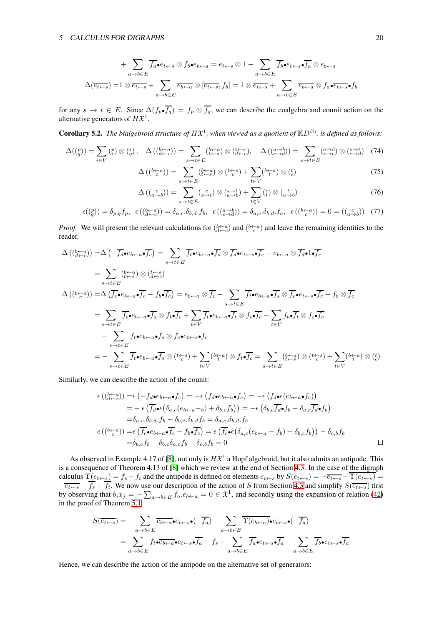$$
+\sum_{a\to b\in E} \overline{f_a} \cdot e_{t\leftarrow s} \otimes f_b \cdot e_{b\leftarrow a} = e_{t\leftarrow s} \otimes 1 - \sum_{a\to b\in E} \overline{f_b} \cdot e_{t\leftarrow s} \cdot \overline{f_a} \otimes e_{b\leftarrow a}
$$

$$
\Delta(\overline{e_{t\leftarrow s}}) = 1 \otimes \overline{e_{t\leftarrow s}} + \sum_{a\to b\in E} \overline{e_{b\leftarrow a}} \otimes [\overline{e_{t\leftarrow s}}, f_b] = 1 \otimes \overline{e_{t\leftarrow s}} + \sum_{a\to b\in E} \overline{e_{b\leftarrow a}} \otimes f_a \cdot \overline{e_{t\leftarrow s}} \cdot f_b
$$

for any  $s \to t \in E$ . Since  $\Delta(f_p \bullet f_q) = f_p \otimes f_q$ , we can describe the coalgebra and counit action on the alternative generators of  $H\mathfrak{X}^1$ .

<span id="page-19-0"></span>**Corollary 5.2.** The bialgebroid structure of  $H\mathfrak{X}^1$ , when viewed as a quotient of  $\mathbb{K}D^{db}$ , is defined as follows:

$$
\Delta(\binom{p}{q}) = \sum_{i \in V} \binom{p}{i} \otimes \binom{i}{q}, \quad \Delta\left(\binom{b \leftarrow a}{d \leftarrow c}\right) = \sum_{s \to t \in E} \binom{b \leftarrow a}{t \leftarrow s} \otimes \binom{t \leftarrow s}{d \leftarrow c}, \quad \Delta\left(\binom{a \to b}{c \to d}\right) = \sum_{s \to t \in E} \binom{a \to b}{s \to t} \otimes \binom{s \to t}{c \to d} \tag{74}
$$

$$
\Delta\left(\left(\begin{smallmatrix} b&-a\\c\end{smallmatrix}\right)\right) = \sum_{s \to t \in E} \left(\begin{smallmatrix} b&-a\\t&-s\end{smallmatrix}\right) \otimes \left(\begin{smallmatrix} t&-s\\c\end{smallmatrix}\right) + \sum_{t \in V} \left(\begin{smallmatrix} b&-a\\t\end{smallmatrix}\right) \otimes \left(\begin{smallmatrix} t\\c\end{smallmatrix}\right) \tag{75}
$$

$$
\Delta\left(\left(\begin{smallmatrix}c\\a\to b\end{smallmatrix}\right)\right) = \sum_{s\to t\in E} \left(\begin{smallmatrix}c\\s\to t\end{smallmatrix}\right) \otimes \left(\begin{smallmatrix}s\to t\\a\to b\end{smallmatrix}\right) + \sum_{t\in V} \left(\begin{smallmatrix}c\\t\end{smallmatrix}\right) \otimes \left(\begin{smallmatrix}t\\a\to b\end{smallmatrix}\right) \tag{76}
$$

$$
\epsilon(\binom{p}{q}) = \delta_{p,q} f_p, \ \epsilon(\binom{b-a}{d-c}) = \delta_{a,c} \cdot \delta_{b,d} \cdot f_b, \ \epsilon(\binom{a \to b}{c \to d}) = \delta_{a,c} \cdot \delta_{b,d} \cdot f_a, \ \epsilon(\binom{b-a}{c}) = 0 = (\binom{c}{a \to b}) \tag{77}
$$

*Proof.* We will present the relevant calculations for  $(b-a)$  and  $(b-a)$  and leave the remaining identities to the reader.

$$
\Delta\left(\left(\frac{b-a}{d-c}\right)\right) = \Delta\left(-\overline{f_d \bullet e_{b\leftarrow a} \bullet f_c}\right) = \sum_{s \to t \in E} \overline{f_t \bullet e_{b\leftarrow a} \bullet f_s} \otimes \overline{f_d \bullet e_{t\leftarrow s} \bullet f_c} - e_{b\leftarrow a} \otimes \overline{f_d \bullet 1} \bullet \overline{f_c}
$$
\n
$$
= \sum_{s \to t \in E} \left(\frac{b-a}{t-s}\right) \otimes \left(\frac{t-s}{d-c}\right)
$$
\n
$$
\Delta\left(\left(\frac{b-a}{c}\right)\right) = \Delta\left(\overline{f_c \bullet e_{b\leftarrow a} \bullet f_c} - f_b \bullet \overline{f_c}\right) = e_{b\leftarrow a} \otimes \overline{f_c} - \sum_{s \to t \in E} \overline{f_t \bullet e_{b\leftarrow a} \bullet f_s} \otimes \overline{f_c \bullet e_{t\leftarrow s} \bullet f_c} - f_b \otimes \overline{f_c}
$$
\n
$$
= \sum_{s \to t \in E} \overline{f_t \bullet e_{b\leftarrow a} \bullet f_s} \otimes f_t \bullet \overline{f_c} + \sum_{t \in V} \overline{f_t \bullet e_{b\leftarrow a} \bullet f_t} \otimes f_t \bullet \overline{f_c} - \sum_{t \in V} f_b \bullet \overline{f_t} \otimes f_t \bullet \overline{f_c}
$$
\n
$$
= -\sum_{s \to t \in E} \overline{f_t \bullet e_{b\leftarrow a} \bullet f_s} \otimes \overline{f_c \bullet e_{t\leftarrow s} \bullet f_c}
$$
\n
$$
= -\sum_{s \to t \in E} \overline{f_t \bullet e_{b\leftarrow a} \bullet f_s} \otimes \left(\frac{t \leftarrow s}{c}\right) + \sum_{t \in V} \left(\frac{b-a}{t}\right) \otimes f_t \bullet \overline{f_c} = \sum_{s \to t \in E} \left(\frac{b-a}{t-s}\right) \otimes \left(\frac{t \leftarrow s}{c}\right) + \sum_{t \in V} \left(\frac{b-a}{t}\right) \otimes \left(\frac{t \leftarrow a}{c}\right) \right)
$$

Similarly, we can describe the action of the counit:

$$
\epsilon\left(\left(\underset{d\leftarrow c}{b\leftarrow a}\right)\right) = \epsilon\left(-\overline{f_d}\bullet e_{b\leftarrow a}\bullet\overline{f_c}\right) = -\epsilon\left(\overline{f_d}\bullet e_{b\leftarrow a}\bullet f_c\right) = -\epsilon\left(\overline{f_d}\bullet\epsilon(e_{b\leftarrow a}\bullet f_c)\right)\right) \n= -\epsilon\left(\overline{f_d}\bullet\epsilon\left(\delta_{a,c}(e_{b\leftarrow a-b}) + \delta_{b,c}f_b\right)\right) = -\epsilon\left(\delta_{b,c}\overline{f_d}\bullet f_b - \delta_{a,c}\overline{f_d}\bullet f_b\right) \n= \delta_{a,c}.\delta_{b,d} \cdot f_b - \delta_{b,c}.\delta_{b,d} f_b = \delta_{a,c}.\delta_{b,d} \cdot f_b \n\epsilon\left(\left(\underset{c}{b\leftarrow a}\right)\right) = \epsilon\left(\overline{f_c}\bullet e_{b\leftarrow a}\bullet\overline{f_c} - f_b\bullet\overline{f_c}\right) = \epsilon\left(\overline{f_c}\bullet\epsilon\left(\delta_{a,c}(e_{b\leftarrow a}-f_b) + \delta_{b,c}f_b\right)\right) - \delta_{c,b}f_b \n= \delta_{b,c}f_b - \delta_{b,c}\delta_{a,c}f_b - \delta_{c,b}f_b = 0
$$

As observed in Example 4.17 of [\[8\]](#page-25-1), not only is  $H\mathfrak{X}^1$  a Hopf algebroid, but it also admits an antipode. This is a consequence of Theorem 4.13 of [\[8\]](#page-25-1) which we review at the end of Section [4.3.](#page-12-4) In the case of the digraph calculus  $\Upsilon(e_{t+s}) = f_s - f_t$  and the antipode is defined on elements  $e_{t+s}$  by  $S(e_{t+s}) = -\overline{e_{t+s}} - \Upsilon(e_{t+s})$  $-\overline{e_{t\leftarrow s}} - f_s + f_t$ . We now use our description of the action of S from Section [4.3](#page-12-4) and simplify  $S(\overline{e_{t\leftarrow s}})$  first by observing that  $b_i x_j = -\sum_{a \to b \in E} f_a e_{b \leftarrow a} = 0 \in \mathfrak{X}^1$ , and secondly using the expansion of relation [\(42\)](#page-11-1) in the proof of Theorem [5.1:](#page-16-0)

$$
S(\overline{e_{t+s}}) = -\sum_{a \to b \in E} \overline{e_{b+a}} \cdot e_{t+s} \cdot (-\overline{f_a}) - \sum_{a \to b \in E} \overline{\Upsilon(e_{b+a})} \cdot e_{t+s} \cdot (-\overline{f_a})
$$

$$
= \sum_{a \to b \in E} f_t \cdot \overline{e_{b-a}} \cdot e_{t+s} \cdot \overline{f_a} - f_s + \sum_{a \to b \in E} \overline{f_a} \cdot e_{t+s} \cdot \overline{f_a} - \sum_{a \to b \in E} \overline{f_b} \cdot e_{t+s} \cdot \overline{f_a}
$$

Hence, we can describe the action of the antipode on the alternative set of generators: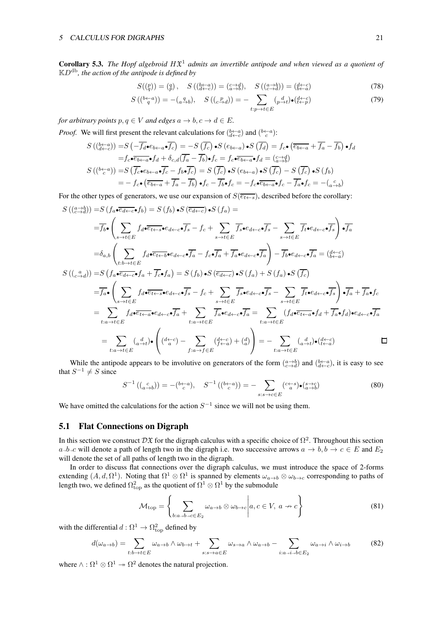<span id="page-20-0"></span>**Corollary 5.3.** The Hopf algebroid  $H\mathfrak{X}^1$  admits an invertible antipode and when viewed as a quotient of KDdb*, the action of the antipode is defined by*

$$
S(\binom{p}{q}) = \binom{q}{p}, \quad S\left(\binom{b\leftarrow a}{d\leftarrow c}\right) = \binom{c\rightarrow d}{a\rightarrow b}, \quad S\left(\binom{a\rightarrow b}{c\rightarrow d}\right) = \binom{d\leftarrow c}{b\leftarrow a} \tag{78}
$$

$$
S\left(\binom{b\leftarrow a}{q}\right) = -\binom{q}{a\rightarrow b}, \quad S\left(\binom{p}{c\rightarrow d}\right) = -\sum_{t:p\rightarrow t\in E} \binom{d}{p\rightarrow t} \bullet \binom{d\leftarrow c}{t\leftarrow p} \tag{79}
$$

*for arbitrary points*  $p, q \in V$  *and edges*  $a \to b, c \to d \in E$ *.* 

*Proof.* We will first present the relevant calculations for  $b \leftarrow a \choose d \leftarrow c$  and  $(b \leftarrow a)$ :

$$
S\left(\left(\frac{b-a}{d-c}\right)\right) = S\left(-\overline{f_d \bullet e_{b\leftarrow a} \bullet f_c}\right) = -S\left(\overline{f_c}\right) \bullet S\left(e_{b\leftarrow a}\right) \bullet S\left(\overline{f_d}\right) = f_c \bullet \left(\overline{e_{b\leftarrow a}} + \overline{f_a} - \overline{f_b}\right) \bullet f_d
$$
\n
$$
= f_c \bullet \overline{e_{b\leftarrow a} \bullet f_d} + \delta_{c,d} \overline{(f_a - f_b)} \bullet f_c = f_c \bullet \overline{e_{b\leftarrow a} \bullet f_d} = \left(\frac{c \to d}{a \to b}\right)
$$
\n
$$
S\left(\left(\frac{b\leftarrow a}{c}\right)\right) = S\left(\overline{f_c} \bullet e_{b\leftarrow a} \bullet \overline{f_c} - f_b \bullet \overline{f_c}\right) = S\left(\overline{f_c}\right) \bullet S\left(e_{b\leftarrow a}\right) \bullet S\left(\overline{f_c}\right) - S\left(\overline{f_c}\right) \bullet S\left(f_b\right)
$$
\n
$$
= -f_c \bullet \left(\overline{e_{b\leftarrow a}} + \overline{f_a} - \overline{f_b}\right) \bullet f_c - \overline{f_b} \bullet f_c = -f_c \bullet \overline{e_{b\leftarrow a} \bullet f_c} - \overline{f_a} \bullet f_c = -\left(\frac{c}{a \to b}\right)
$$

For the other types of generators, we use our expansion of  $S(\overline{e_{t\leftarrow s}})$ , described before the corollary:

$$
S((a \to b)) = S(f_a \bullet \overline{e_{d \leftarrow c}} \bullet f_b) = S(f_b) \bullet S(\overline{e_{d \leftarrow c}}) \bullet S(f_a) =
$$
\n
$$
= \overline{f_b} \bullet \left( \sum_{s \to t \in E} f_d \bullet \overline{e_{t \leftarrow s}} \bullet e_{d \leftarrow c} \bullet \overline{f_s} - f_c + \sum_{s \to t \in E} \overline{f_s} \bullet e_{d \leftarrow c} \bullet \overline{f_s} - \sum_{s \to t \in E} f_t \bullet e_{d \leftarrow c} \bullet \overline{f_s} \right) \bullet \overline{f_a}
$$
\n
$$
= \delta_{a,b} \left( \sum_{t:b \to t \in E} f_d \bullet \overline{e_{t \leftarrow b}} \bullet e_{d \leftarrow c} \bullet \overline{f_a} - f_c \bullet \overline{f_a} + \overline{f_a} \bullet e_{d \leftarrow c} \bullet \overline{f_a} \right) - \overline{f_b} \bullet e_{d \leftarrow c} \bullet \overline{f_a} = (\overline{e}^{t \leftarrow c}_{\leftarrow a})
$$
\n
$$
S((c \xrightarrow{a})) = S(f_a \bullet \overline{e_{d \leftarrow c}} \bullet f_a + \overline{f_c} \bullet f_a) = S(f_b) \bullet S(\overline{e_{d \leftarrow c}}) \bullet S(f_a) + S(f_a) \bullet S(\overline{f_c})
$$
\n
$$
= \overline{f_a} \bullet \left( \sum_{s \to t \in E} f_d \bullet \overline{e_{t \leftarrow s}} \bullet e_{d \leftarrow c} \bullet \overline{f_s} - f_c + \sum_{s \to t \in E} \overline{f_s} \bullet e_{d \leftarrow c} \bullet \overline{f_s} - \sum_{s \to t \in E} \overline{f_t} \bullet e_{d \leftarrow c} \bullet \overline{f_s} \right) \bullet \overline{f_a} + \overline{f_a} \bullet f_c
$$
\n
$$
= \sum_{t:a \to t \in E} f_d \bullet \overline{e_{t \leftarrow a}} \bullet e_{d \leftarrow c} \bullet \overline{f_a} + \sum_{t:a \to t \in E} \overline{f_a} \bullet e_{d \leftarrow c} \bullet \overline{f_a} = \sum_{t:a \to t \in E} (f_d \bullet \overline{e_{t \
$$

While the antipode appears to be involutive on generators of the form  $\binom{a \to b}{c \to d}$  and  $\binom{b \leftarrow a}{d \leftarrow c}$ , it is easy to see that  $S^{-1} \neq S$  since

$$
S^{-1}\left(\binom{c}{a\rightarrow b}\right) = -\binom{b\leftarrow a}{c}, \quad S^{-1}\left(\binom{b\leftarrow a}{c}\right) = -\sum_{s:s\rightarrow c\in E} \binom{c\leftarrow s}{a}\cdot\binom{s\rightarrow c}{a\rightarrow b} \tag{80}
$$

We have omitted the calculations for the action  $S^{-1}$  since we will not be using them.

#### 5.1 Flat Connections on Digraph

In this section we construct  $D\mathfrak{X}$  for the digraph calculus with a specific choice of  $\Omega^2$ . Throughout this section  $a\rightarrow b\rightarrow c$  will denote a path of length two in the digraph i.e. two successive arrows  $a \rightarrow b, b \rightarrow c \in E$  and  $E_2$ will denote the set of all paths of length two in the digraph.

In order to discuss flat connections over the digraph calculus, we must introduce the space of 2-forms extending  $(A, d, \Omega^1)$ . Noting that  $\Omega^1 \otimes \Omega^1$  is spanned by elements  $\omega_{a\to b}\otimes\omega_{b\to c}$  corresponding to paths of length two, we defined  $\Omega_{\rm top}^2$  as the quotient of  $\Omega^1\otimes\Omega^1$  by the submodule

$$
\mathcal{M}_{\text{top}} = \left\{ \sum_{b:a \to b \to c \in E_2} \omega_{a \to b} \otimes \omega_{b \to c} \middle| a, c \in V, a \to c \right\}
$$
(81)

with the differential  $d: \Omega^1 \to \Omega^2_{\text{top}}$  defined by

$$
d(\omega_{a \to b}) = \sum_{t:b \to t \in E} \omega_{a \to b} \wedge \omega_{b \to t} + \sum_{s:s \to a \in E} \omega_{s \to a} \wedge \omega_{a \to b} - \sum_{i:a \to i \to b \in E_2} \omega_{a \to i} \wedge \omega_{i \to b}
$$
(82)

where  $\wedge : \Omega^1 \otimes \Omega^1 \to \Omega^2$  denotes the natural projection.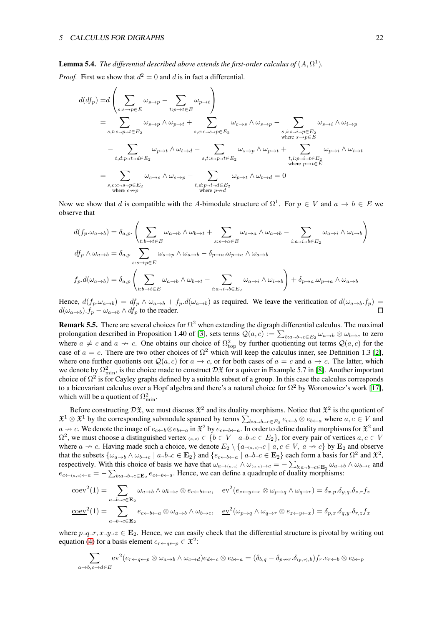#### **Lemma 5.4.** The differential described above extends the first-order calculus of  $(A, \Omega^1)$ .

*Proof.* First we show that  $d^2 = 0$  and d is in fact a differential.

$$
d(df_p) = d\left(\sum_{s:s\to p\in E} \omega_{s\to p} - \sum_{t:p\to t\in E} \omega_{p\to t}\right)
$$
  
\n
$$
= \sum_{s,t:s\to p\to t\in E_2} \omega_{s\to p} \wedge \omega_{p\to t} + \sum_{s,c:c\to s\to p\in E_2} \omega_{c\to s} \wedge \omega_{s\to p} - \sum_{\substack{s,i:s\to i\to p\in E_2\\ \text{where } s\to p\in E}} \omega_{s\to i} \wedge \omega_{i\to p}
$$
  
\n
$$
- \sum_{t,d:p\to t\to d\in E_2} \omega_{p\to t} \wedge \omega_{t\to d} - \sum_{s,t:s\to p\to t\in E_2} \omega_{s\to p} \wedge \omega_{p\to t} + \sum_{\substack{t,i:p\to i\to t\in E_2\\ \text{where } p\to t\in E}} \omega_{p\to i} \wedge \omega_{i\to t}
$$
  
\n
$$
= \sum_{s,c:c\to s\to p\in E_2} \omega_{c\to s} \wedge \omega_{s\to p} - \sum_{\substack{t,d:p\to t\to d\in E_2\\ \text{where } p\to d}} \omega_{p\to t} \wedge \omega_{t\to d} = 0
$$

Now we show that d is compatible with the A-bimodule structure of  $\Omega^1$ . For  $p \in V$  and  $a \to b \in E$  we observe that

$$
d(f_p \cdot \omega_{a \to b}) = \delta_{a,p} \cdot \left( \sum_{t:b \to t \in E} \omega_{a \to b} \wedge \omega_{b \to t} + \sum_{s:s \to a \in E} \omega_{s \to a} \wedge \omega_{a \to b} - \sum_{i:a \to i \to b \in E_2} \omega_{a \to i} \wedge \omega_{i \to b} \right)
$$
  

$$
df_p \wedge \omega_{a \to b} = \delta_{a,p} \sum_{s:s \to p \in E} \omega_{s \to p} \wedge \omega_{a \to b} - \delta_{p \to a} \cdot \omega_{p \to a} \wedge \omega_{a \to b}
$$
  

$$
f_p.d(\omega_{a \to b}) = \delta_{a,p} \left( \sum_{t:b \to t \in E} \omega_{a \to b} \wedge \omega_{b \to t} - \sum_{i:a \to i \to b \in E_2} \omega_{a \to i} \wedge \omega_{i \to b} \right) + \delta_{p \to a} \cdot \omega_{p \to a} \wedge \omega_{a \to b}
$$

Hence,  $d(f_p \cdot \omega_{a\to b}) = df_p \wedge \omega_{a\to b} + f_p \cdot d(\omega_{a\to b})$  as required. We leave the verification of  $d(\omega_{a\to b} \cdot f_p) =$  $d(\omega_{a\rightarrow b}).f_p - \omega_{a\rightarrow b} \wedge df_p$  to the reader.

<span id="page-21-0"></span>**Remark 5.5.** There are several choices for  $\Omega^2$  when extending the digraph differential calculus. The maximal prolongation described in Proposition 1.40 of [\[3\]](#page-25-0), sets terms  $Q(a,c) := \sum_{b:a\to b\to c\in E_2} \omega_{a\to b}\otimes \omega_{b\to c}$  to zero where  $a \neq c$  and  $a \to c$ . One obtains our choice of  $\Omega_{\text{top}}^2$  by further quotienting out terms  $\mathcal{Q}(a, c)$  for the case of  $a = c$ . There are two other choices of  $\Omega^2$  which will keep the calculus inner, see Definition 1.3 [\[2\]](#page-25-3), where one further quotients out  $\mathcal{Q}(a, c)$  for  $a \to c$ , or for both cases of  $a = c$  and  $a \to c$ . The latter, which we denote by  $\Omega_{\min}^2$ , is the choice made to construct  $D\mathfrak{X}$  for a quiver in Example 5.7 in [\[8\]](#page-25-1). Another important choice of  $\Omega^2$  is for Cayley graphs defined by a suitable subset of a group. In this case the calculus corresponds to a bicovariant calculus over a Hopf algebra and there's a natural choice for  $\Omega^2$  by Woronowicz's work [\[17\]](#page-26-7), which will be a quotient of  $\Omega_{\min}^2$ .

Before constructing  $D\mathfrak{X}$ , we must discuss  $\mathfrak{X}^2$  and its duality morphisms. Notice that  $\mathfrak{X}^2$  is the quotient of  $\mathfrak{X}^1 \otimes \mathfrak{X}^1$  by the corresponding submodule spanned by terms  $\sum_{b:a\to b\to c\in E_2}e_{c\leftarrow b}\otimes e_{b\leftarrow a}$  where  $a,c\in V$  and  $a \to c$ . We denote the image of  $e_{c \leftarrow b} \otimes e_{b \leftarrow a}$  in  $\mathfrak{X}^2$  by  $e_{c \leftarrow b \leftarrow a}$ . In order to define duality morphisms for  $\mathfrak{X}^2$  and  $\Omega^2$ , we must choose a distinguished vertex  $(a,c) \in \{b \in V \mid a \rightarrow b \rightarrow c \in E_2\}$ , for every pair of vertices  $a, c \in V$ where  $a \nrightarrow c$ . Having made such a choice, we denote  $E_2 \setminus \{a_{\rightarrow (a,c)\rightarrow}c \mid a, c \in V, a \nrightarrow c\}$  by  $\mathbf{E}_2$  and observe that the subsets  $\{\omega_{a\to b} \wedge \omega_{b\to c} \mid a\to b\to c \in \mathbf{E}_2\}$  and  $\{e_{c\leftarrow b\leftarrow a} \mid a\to b\to c \in \mathbf{E}_2\}$  each form a basis for  $\Omega^2$  and  $\mathfrak{X}^2$ , respectively. With this choice of basis we have that  $\omega_{a\to(a,c)} \wedge \omega_{(a,c)\to c} = -\sum_{b:a\to b\to c\in \mathbf{E}_2} \omega_{a\to b} \wedge \omega_{b\to c}$  and  $e_{c\leftarrow(a,c)\leftarrow a} = -\sum_{b:a\rightarrow b\rightarrow c\in\mathbf{E}_2} e_{c\leftarrow b\leftarrow a}$ . Hence, we can define a quadruple of duality morphisms:

$$
\text{coev}^2(1) = \sum_{a \to b \to c \in \mathbf{E}_2} \omega_{a \to b} \wedge \omega_{b \to c} \otimes e_{c \leftarrow b \leftarrow a}, \quad \text{ev}^2(e_{z \leftarrow y \leftarrow x} \otimes \omega_{p \to q} \wedge \omega_{q \to r}) = \delta_{x, p} \cdot \delta_{y, q} \cdot \delta_{z, r} f_z
$$

$$
\text{coev}^2(1) = \sum_{a \to b \to c \in \mathbf{E}_2} e_{c \leftarrow b \leftarrow a} \otimes \omega_{a \to b} \wedge \omega_{b \to c}, \quad \text{ev}^2(\omega_{p \to q} \wedge \omega_{q \to r} \otimes e_{z \leftarrow y \leftarrow x}) = \delta_{p, x} \cdot \delta_{q, y} \cdot \delta_{r, z} f_x
$$

where  $p_{\neg q \to r}$ ,  $x_{\neg q \to z} \in \mathbf{E}_2$ . Hence, we can easily check that the differential structure is pivotal by writing out equation [\(4\)](#page-2-3) for a basis element  $e_{r \leftarrow q \leftarrow p} \in \mathfrak{X}^2$ :

$$
\sum_{a \to b, c \to d \in E} \mathrm{ev}^2(e_{r \leftarrow q \leftarrow p} \otimes \omega_{a \to b} \wedge \omega_{c \to d}) e_{d \leftarrow c} \otimes e_{b \leftarrow a} = (\delta_{b,q} - \delta_{p \to r}.\delta_{(p,r),b}) f_r.e_{r \leftarrow b} \otimes e_{b \leftarrow p}
$$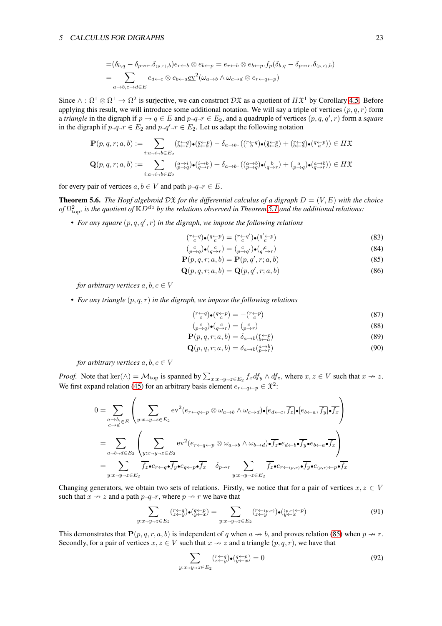$$
= (\delta_{b,q} - \delta_{p \to r} \cdot \delta_{(p,r),b}) e_{r \leftarrow b} \otimes e_{b \leftarrow p} = e_{r \leftarrow b} \otimes e_{b \leftarrow p} \cdot f_p(\delta_{b,q} - \delta_{p \to r} \cdot \delta_{(p,r),b})
$$
  
= 
$$
\sum_{a \to b,c \to d \in E} e_{d \leftarrow c} \otimes e_{b \leftarrow a} \underline{\text{ev}}^2(\omega_{a \to b} \wedge \omega_{c \to d} \otimes e_{r \leftarrow q \leftarrow p})
$$

Since  $\wedge : \Omega^1 \otimes \Omega^1 \to \Omega^2$  is surjective, we can construct  $\mathcal{D} \mathfrak{X}$  as a quotient of  $H\mathfrak{X}^1$  by Corollary [4.5.](#page-12-3) Before applying this result, we will introduce some additional notation. We will say a triple of vertices  $(p, q, r)$  form a *triangle* in the digraph if  $p \to q \in E$  and  $p \to q \to F$  and a quadruple of vertices  $(p, q, q', r)$  form a *square* in the digraph if  $p \rightarrow q \rightarrow r \in E_2$  and  $p \rightarrow q' \rightarrow r \in E_2$ . Let us adapt the following notation

$$
\mathbf{P}(p,q,r;a,b) := \sum_{i:a\to i\to b\in E_2} (\mathbf{f}_{b\to i}^{\leftarrow q}\mathbf{I}_{\bullet}(\mathbf{f}_{b\to a}^{\leftarrow p}) - \delta_{a\to b} \cdot ((\mathbf{f}_{b}^{\leftarrow q})\bullet (\mathbf{g}_{b\to a}^{\leftarrow p}) + (\mathbf{f}_{b\to a}^{\leftarrow q})\bullet (\mathbf{g}_{a}^{\leftarrow p})) \in H\mathfrak{X}
$$
  

$$
\mathbf{Q}(p,q,r;a,b) := \sum_{i:a\to i\to b\in E_2} (\mathbf{g}_{p\to q}^{a\to i})\bullet (\mathbf{g}_{p\to r}^{i\to b}) + \delta_{a\to b} \cdot ((\mathbf{g}_{p\to q}^{a\to b})\bullet (\mathbf{g}_{p\to r}^{b}) + (\mathbf{g}_{p\to q}^{a})\bullet (\mathbf{g}_{p\to r}^{a\to b})) \in H\mathfrak{X}
$$

for every pair of vertices  $a, b \in V$  and path  $p_{\rightarrow}q_{\rightarrow}r \in E$ .

<span id="page-22-0"></span>**Theorem 5.6.** *The Hopf algebroid*  $D\tilde{x}$  *for the differential calculus of a digraph*  $D = (V, E)$  *with the choice*  $\phi f \Omega_{\text{top}}^2$ , is the quotient of  $\mathbb{K}D^{\text{db}}$  by the relations observed in Theorem [5.1](#page-16-0) and the additional relations:

• For any square  $(p, q, q', r)$  in the digraph, we impose the following relations

<span id="page-22-9"></span><span id="page-22-8"></span><span id="page-22-1"></span>
$$
\left(\begin{array}{c}\n r \leftarrow q \\
 c\n \end{array}\right)\bullet\left(\begin{array}{c}\n q \leftarrow p \\
 c\n \end{array}\right) = \left(\begin{array}{c}\n r \leftarrow q' \\
 c\n \end{array}\right)\bullet\left(\begin{array}{c}\n q' \leftarrow p \\
 c\n \end{array}\right)\n \tag{83}
$$

$$
\begin{array}{c}\n\binom{c}{p \to q} \bullet \binom{c}{q \to r} = \binom{c}{p \to q'} \bullet \binom{c}{q' \to r}\n\end{array} \tag{84}
$$

- $P(p,q,r;a,b) = P(p,q',r;a,b)$  (85)
- $\mathbf{Q}(p,q,r;a,b) = \mathbf{Q}(p,q',r;a,b)$  (86)

*for arbitrary vertices*  $a, b, c \in V$ 

• *For any triangle* (p, q, r) *in the digraph, we impose the following relations*

<span id="page-22-10"></span><span id="page-22-6"></span><span id="page-22-4"></span><span id="page-22-3"></span><span id="page-22-2"></span>
$$
\left(\begin{smallmatrix}r \leftarrow q\\c\end{smallmatrix}\right)\bullet\left(\begin{smallmatrix}q \leftarrow p\\c\end{smallmatrix}\right)\end{smallmatrix}\right) = -\left(\begin{smallmatrix}r \leftarrow p\\c\end{smallmatrix}\right) \tag{87}
$$

$$
\begin{pmatrix} c \\ p \rightarrow q \end{pmatrix} \bullet \begin{pmatrix} c \\ q \rightarrow r \end{pmatrix} = \begin{pmatrix} c \\ p \rightarrow r \end{pmatrix} \tag{88}
$$

$$
\mathbf{P}(p,q,r;a,b) = \delta_{a \to b} \left( \substack{r \gets p \\ b \gets a} \right) \tag{89}
$$

$$
\mathbf{Q}(p,q,r;a,b) = \delta_{a \to b} \left( \substack{a \to b \\ p \to r} \right) \tag{90}
$$

*for arbitrary vertices*  $a, b, c \in V$ 

*Proof.* Note that  $\text{ker}(\wedge) = \mathcal{M}_{\text{top}}$  is spanned by  $\sum_{x:x\rightarrow y\rightarrow z\in E_2} f_x df_y \wedge df_z$ , where  $x, z \in V$  such that  $x \nrightarrow z$ . We first expand relation [\(45\)](#page-12-0) for an arbitrary basis element  $e_{r \leftarrow q \leftarrow p} \in \mathfrak{X}^2$ :

$$
0 = \sum_{\substack{a \to b_1 \in E \\ c \to d}} \left( \sum_{y:x \to y \to z \in E_2} \mathrm{ev}^2(e_{r \leftarrow q \leftarrow p} \otimes \omega_{a \to b} \wedge \omega_{c \to d}) \bullet [e_{d \leftarrow c}, \overline{f_z}] \bullet [e_{b \leftarrow a}, \overline{f_y}] \bullet \overline{f_x} \right]
$$
  
\n
$$
= \sum_{a \to b \to d \in E_2} \left( \sum_{y:x \to y \to z \in E_2} \mathrm{ev}^2(e_{r \leftarrow q \leftarrow p} \otimes \omega_{a \to b} \wedge \omega_{b \to d}) \bullet \overline{f_z} \bullet e_{d \leftarrow b} \bullet \overline{f_y} \bullet e_{b \leftarrow a} \bullet \overline{f_x} \right)
$$
  
\n
$$
= \sum_{y:x \to y \to z \in E_2} \overline{f_z} \bullet e_{r \leftarrow q} \bullet \overline{f_y} \bullet e_{q \leftarrow p} \bullet \overline{f_x} - \delta_{p \to r} \sum_{y:x \to y \to z \in E_2} \overline{f_z} \bullet e_{r \leftarrow (p,r)} \bullet \overline{f_y} \bullet e_{(p,r) \leftarrow p} \bullet \overline{f_x}
$$

Changing generators, we obtain two sets of relations. Firstly, we notice that for a pair of vertices  $x, z \in V$ such that  $x \rightarrow z$  and a path  $p \rightarrow q \rightarrow r$ , where  $p \rightarrow r$  we have that

<span id="page-22-7"></span>
$$
\sum_{y:x\to y\to z\in E_2} \binom{r+q}{z+y} \bullet \binom{q+p}{y+z} = \sum_{y:x\to y\to z\in E_2} \binom{r+(p,r)}{z+y} \bullet \binom{(p,r)\leftarrow p}{y+z}
$$
(91)

This demonstrates that  $P(p, q, r, a, b)$  is independent of q when  $a \nrightarrow b$ , and proves relation [\(85\)](#page-22-1) when  $p \nrightarrow r$ . Secondly, for a pair of vertices  $x, z \in V$  such that  $x \to z$  and a triangle  $(p, q, r)$ , we have that

<span id="page-22-5"></span>
$$
\sum_{y:x \to y \to z \in E_2} \binom{r+q}{z+y} \bullet \binom{q+p}{y+x} = 0 \tag{92}
$$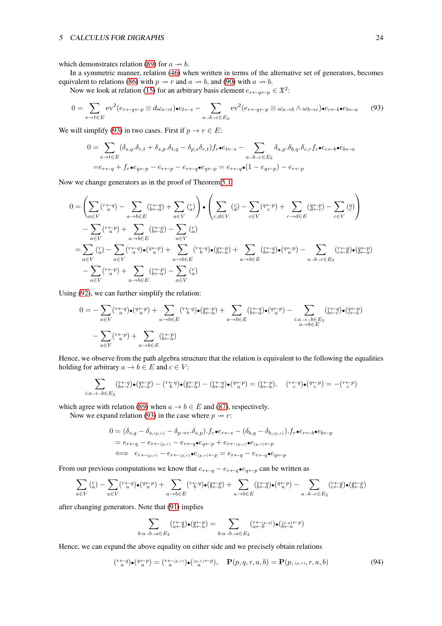which demonstrates relation [\(89\)](#page-22-2) for  $a \rightarrow b$ .

In a symmetric manner, relation [\(46\)](#page-12-1) when written in terms of the alternative set of generators, becomes equivalent to relations [\(86\)](#page-22-3) with  $p \rightarrow r$  and  $a \rightarrow b$ , and [\(90\)](#page-22-4) with  $a \rightarrow b$ .

Now we look at relation [\(15\)](#page-3-11) for an arbitrary basis element  $e_{r \leftarrow q \leftarrow p} \in \mathfrak{X}^2$ :

<span id="page-23-0"></span>
$$
0 = \sum_{s \to t \in E} \mathrm{ev}^2(e_{r \leftarrow q \leftarrow p} \otimes d\omega_{s \to t}) \bullet e_{t \leftarrow s} - \sum_{a \to b \to c \in E_2} \mathrm{ev}^2(e_{r \leftarrow q \leftarrow p} \otimes \omega_{a \to b} \wedge \omega_{b \to c}) \bullet e_{c \leftarrow b} \bullet e_{b \leftarrow a} \tag{93}
$$

We will simplify [\(93\)](#page-23-0) in two cases. First if  $p \to r \in E$ :

$$
0 = \sum_{s \to t \in E} (\delta_{s,q} \cdot \delta_{r,t} + \delta_{s,p} \cdot \delta_{t,q} - \delta_{p,s} \delta_{r,t}) f_r \cdot \epsilon_{t \leftarrow s} - \sum_{a \to b \to c \in E_2} \delta_{a,p} \cdot \delta_{b,q} \cdot \delta_{c,r} f_c \cdot \epsilon_{c \leftarrow b} \cdot \epsilon_{b \leftarrow a}
$$

$$
= e_{r \leftarrow q} + f_r \cdot \epsilon_{q \leftarrow p} - e_{r \leftarrow p} - e_{r \leftarrow q} \cdot \epsilon_{q \leftarrow p} = e_{r \leftarrow q} \cdot (1 - e_{q \leftarrow p}) - e_{r \leftarrow p}
$$

Now we change generators as in the proof of Theorem [5.1:](#page-16-0)

$$
0 = \left(\sum_{a \in V} (r_a^{\leftarrow} q) - \sum_{a \to b \in E} (r_a^{\leftarrow} q) + \sum_{a \in V} (r_a) \right) \cdot \left(\sum_{c, d \in V} (q) - \sum_{c \in V} (q_{c}^{\leftarrow} p) + \sum_{c \to d \in E} (q_{c}^{\leftarrow} p) - \sum_{c \in V} (q) \right) \right) \right)
$$
  
\n
$$
- \sum_{a \in V} (r_a^{\leftarrow} p) + \sum_{a \to b \in E} (r_a^{\leftarrow} p) - \sum_{a \in V} (r_a^{\leftarrow} p) - \sum_{a \in V} (r_a^{\leftarrow} q) \cdot (q_{c}^{\leftarrow} p) + \sum_{a \to b \in E} (r_a^{\leftarrow} q) \cdot (q_{c}^{\leftarrow} p) + \sum_{a \to b \in E} (r_a^{\leftarrow} q) \cdot (q_{c}^{\leftarrow} p) - \sum_{a \in V} (r_a^{\leftarrow} q) \cdot (q_{c}^{\leftarrow} p) - \sum_{a \in V} (r_a^{\leftarrow} p) \cdot (q_{c}^{\leftarrow} p) + \sum_{a \to b \in E} (r_a^{\leftarrow} p) - \sum_{a \in V} (r_a^{\leftarrow} p) + \sum_{a \to b \in E} (r_a^{\leftarrow} p) - \sum_{a \in V} (r_a^{\leftarrow} p) + \sum_{a \to b \in E} (r_a^{\leftarrow} p) - \sum_{a \in V} (r_a^{\leftarrow} p) - \sum_{a \in V} (r_a^{\leftarrow} p) - \sum_{a \in V} (r_a^{\leftarrow} p) - \sum_{a \in V} (r_a^{\leftarrow} p) - \sum_{a \in V} (r_a^{\leftarrow} p) - \sum_{a \in V} (r_a^{\leftarrow} p) - \sum_{a \in V} (r_a^{\leftarrow} p) - \sum_{a \in V} (r_a^{\leftarrow} p) - \sum_{a \in V} (r_a^{\leftarrow} p) - \sum_{a \in V} (r_a^{\leftarrow} p) - \sum_{a \in V} (r_a^{\leftarrow} p) - \sum_{a \in V} (r_a^{\leftarrow} p) - \sum_{a \in V} (r_a^{\leftarrow} p) - \sum_{a \in V} (r_a^{\leftarrow} p) - \sum_{
$$

Using [\(92\)](#page-22-5), we can further simplify the relation:

$$
0 = -\sum_{a \in V} (r_a^{\leftarrow q\right}) \cdot \left(q_a^{\leftarrow p\right}) + \sum_{a \to b \in E} (r_b^{\leftarrow q\right}) \cdot \left(q_{\leftarrow a}^{\leftarrow p\right}) + \sum_{a \to b \in E} (r_{b \leftarrow a}^{\leftarrow q\right}) \cdot \left(q_a^{\leftarrow p\right}) - \sum_{\substack{i: a \to i \to b \in E \\ a \to b \in E}} (r_{\leftarrow a}^{\leftarrow p\right}) \cdot \left(q_a^{\leftarrow p\right}) + \sum_{a \in V} (r_a^{\leftarrow p\right}) + \sum_{a \to b \in E} (r_a^{\leftarrow p\right})
$$

Hence, we observe from the path algebra structure that the relation is equivalent to the following the equalities holding for arbitrary  $a \to b \in E$  and  $c \in V$ :

$$
\sum_{i:a\rightarrow i\rightarrow b\in E_2} \left(\begin{smallmatrix}r\leftarrow q \\ b\leftarrow i\end{smallmatrix}\right)\bullet \left(\begin{smallmatrix}q\leftarrow p \\ i\leftarrow a\end{smallmatrix}\right)-\left(\begin{smallmatrix}r\leftarrow q \\ b\leftarrow a\end{smallmatrix}\right)\bullet \left(\begin{smallmatrix}q\leftarrow p \\ b\leftarrow a\end{smallmatrix}\right)-\left(\begin{smallmatrix}r\leftarrow q \\ b\leftarrow a\end{smallmatrix}\right)\bullet \left(\begin{smallmatrix}q\leftarrow p \\ a\end{smallmatrix}\right)\right)=\left(\begin{smallmatrix}r\leftarrow q \\ b\leftarrow a\end{smallmatrix}\right),\quad \left(\begin{smallmatrix}r\leftarrow q \\ c\end{smallmatrix}\right)\bullet \left(\begin{smallmatrix}q\leftarrow p \\ c\end{smallmatrix}\right)\right)=\left(\begin{smallmatrix}r\leftarrow p \\ c\end{smallmatrix}\right)\bullet \left(\begin{smallmatrix}r\leftarrow q \\ c\end{smallmatrix}\right)\bullet \left(\begin{smallmatrix}r\leftarrow q \\ c\end{smallmatrix}\right)\bullet \left(\begin{smallmatrix}r\leftarrow p \\ c\end{smallmatrix}\right)\right)=\begin{smallmatrix}r\leftarrow p \\ r\leftarrow a\end{smallmatrix}\right)
$$

which agree with relation [\(89\)](#page-22-2) when  $a \to b \in E$  and [\(87\)](#page-22-6), respectively.

Now we expand relation [\(93\)](#page-23-0) in the case where  $p \rightarrow r$ :

$$
0 = (\delta_{s,q} - \delta_{s,(p,r)} - \delta_{p \to r} \delta_{s,p}) \cdot f_r \cdot e_{r \leftarrow s} - (\delta_{b,q} - \delta_{b,(p,r)}) \cdot f_r \cdot e_{r \leftarrow b} \cdot e_{b \leftarrow p}
$$
  
=  $e_{r \leftarrow q} - e_{r \leftarrow (p,r)} - e_{r \leftarrow q} \cdot e_{q \leftarrow p} + e_{r \leftarrow (p,r)} \cdot e_{(p,r) \leftarrow p}$   
 $\iff e_{r \leftarrow (p,r)} - e_{r \leftarrow (p,r)} \cdot e_{(p,r) \leftarrow p} = e_{r \leftarrow q} - e_{r \leftarrow q} \cdot e_{q \leftarrow p}$ 

From our previous computations we know that  $e_{r \leftarrow q} - e_{r \leftarrow q} \cdot e_{q \leftarrow p}$  can be written as

$$
\sum_{a \in V} \binom{r}{a} - \sum_{a \in V} \binom{r \leftarrow q}{a} \cdot \left(\frac{q \leftarrow p}{a}\right) + \sum_{a \to b \in E} \binom{r \leftarrow q}{b} \cdot \left(\frac{q \leftarrow p}{b \leftarrow a}\right) + \sum_{a \to b \in E} \binom{r \leftarrow q}{b \leftarrow a} \cdot \left(\frac{q \leftarrow p}{a}\right) - \sum_{a \to b \to c \in E_2} \binom{r \leftarrow q}{c \leftarrow b} \cdot \binom{q \leftarrow p}{b \leftarrow a}
$$

after changing generators. Note that [\(91\)](#page-22-7) implies

$$
\sum_{b:a\rightarrow b\rightarrow a\in E_2} \binom{r\leftarrow q}{a\leftarrow b}\bullet\left(\underset{b:a\rightarrow b\rightarrow a\in E_2}{g\leftarrow g}\right)=\sum_{b:a\rightarrow b\rightarrow a\in E_2} \binom{r\leftarrow (p,q)}{a\leftarrow b}\bullet\left(\underset{b\leftarrow a}{b\leftarrow a}\right)
$$

Hence, we can expand the above equality on either side and we precisely obtain relations

$$
\left(^{r\leftarrow q}_{a}\mathbf{q}\right)\bullet\left(^{q\leftarrow p}_{a}\right)=\left(^{r\leftarrow (p,r)}_{a}\right)\bullet\left(^{(p,r)\leftarrow p}_{a}\right),\quad\mathbf{P}(p,q,r,a,b)=\mathbf{P}(p,(p,r),r,a,b)\tag{94}
$$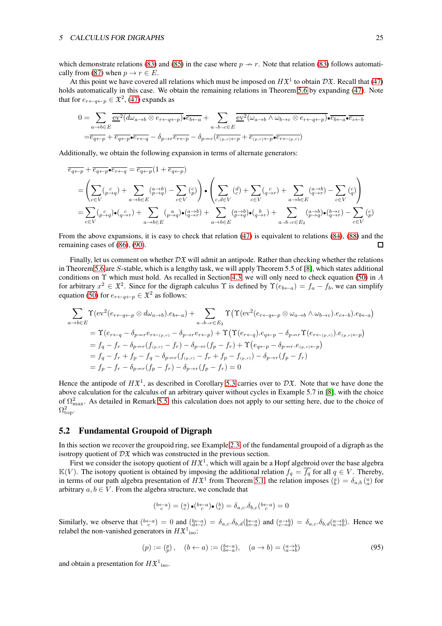which demonstrate relations [\(83\)](#page-22-8) and [\(85\)](#page-22-1) in the case where  $p \rightarrow r$ . Note that relation [\(83\)](#page-22-8) follows automati-cally from [\(87\)](#page-22-6) when  $p \to r \in E$ .

At this point we have covered all relations which must be imposed on  $H\mathfrak{X}^1$  to obtain  $D\mathfrak{X}$ . Recall that [\(47\)](#page-12-2) holds automatically in this case. We obtain the remaining relations in Theorem [5.6](#page-22-0) by expanding [\(47\)](#page-12-2). Note that for  $e_{r \leftarrow q \leftarrow p} \in \mathfrak{X}^2$ , [\(47\)](#page-12-2) expands as

$$
0 = \sum_{a \to b \in E} \overline{\underbrace{\text{ev}^2(d\omega_{a \to b} \otimes e_{r \leftarrow q \leftarrow p}) \bullet \overline{e_{b \leftarrow a}}}^{\text{ev}^2(\omega_{a \to b} + \sum} \overline{\underbrace{\text{ev}^2(\omega_{a \to b} \wedge \omega_{b \to c} \otimes e_{r \leftarrow q \leftarrow p}) \bullet \overline{e_{b \leftarrow a} \bullet \overline{e_{c \leftarrow b}}}^{\text{ev}^2(\omega_{a \to b} + \omega_{b \to c} \otimes e_{r \leftarrow q \leftarrow p}) \bullet \overline{e_{b \leftarrow a} \bullet \overline{e_{c \leftarrow b}}}^{\text{ev}^2(\omega_{a \to b} + \omega_{b \to c} \otimes e_{r \leftarrow q \leftarrow p}) \bullet \overline{e_{b \leftarrow a} \bullet \overline{e_{c \leftarrow b}}}^{\text{ev}^2(\omega_{a \to b} + \omega_{b \to c} \otimes e_{r \leftarrow q \leftarrow p}) \bullet \overline{e_{b \leftarrow a} \bullet \overline{e_{c \leftarrow b}}}^{\text{ev}^2(\omega_{a \to b} + \omega_{b \to c} \otimes e_{r \leftarrow q \leftarrow p}) \bullet \overline{e_{b \leftarrow a} \bullet \overline{e_{c \leftarrow b}}}^{\text{ev}^2(\omega_{a \to b} + \omega_{b \to c} \otimes e_{r \leftarrow q \leftarrow p}) \bullet \overline{e_{b \leftarrow a} \bullet \overline{e_{c \leftarrow b}}}^{\text{ev}^2(\omega_{a \to b} + \omega_{b \to c} \otimes e_{r \leftarrow q \leftarrow p}) \bullet \overline{e_{b \leftarrow a} \bullet \overline{e_{c \leftarrow b}}}^{\text{ev}^2(\omega_{a \to b} + \omega_{b \to c} \otimes e_{r \leftarrow q \leftarrow p}) \bullet \overline{e_{b \leftarrow a} \bullet \overline{e_{c \leftarrow b}}}^{\text{ev}^2(\omega_{a \to b} + \omega_{b \to c} \otimes e_{r \leftarrow q \leftarrow p}) \bullet \overline{e_{b \leftarrow a} \bullet \overline{e_{c \leftarrow b}}}^{\text{ev}^2(\omega_{a \to b} + \omega_{b \to c} \otimes e_{r \leftarrow q \leftarrow p}) \bullet \overline{e_{c \leftarrow b}}}^{\
$$

Additionally, we obtain the following expansion in terms of alternate generators:

$$
\overline{e_{q \leftarrow p}} + \overline{e_{q \leftarrow p}} \bullet \overline{e_{r \leftarrow q}} = \overline{e_{q \leftarrow p}} (1 + \overline{e_{q \leftarrow p}})
$$
\n
$$
= \left( \sum_{c \in V} (\rho_{\rightarrow q}^c) + \sum_{a \rightarrow b \in E} (\rho_{\rightarrow q}^a) - \sum_{c \in V} (\rho_{\rightarrow q}^c) \right) \bullet \left( \sum_{c, d \in V} (\frac{d}{c}) + \sum_{c \in V} (\frac{c}{q \rightarrow r}) + \sum_{a \rightarrow b \in E} (\frac{a \rightarrow b}{q \rightarrow r}) - \sum_{c \in V} (\frac{c}{q}) \right)
$$
\n
$$
= \sum_{c \in V} (\rho_{\rightarrow q}^c) \bullet (\frac{c}{q \rightarrow r}) + \sum_{a \rightarrow b \in E} (\rho_{\rightarrow q}^a) \bullet (\frac{a \rightarrow b}{q \rightarrow r}) + \sum_{a \rightarrow b \in E} (\frac{a \rightarrow b}{p \rightarrow q}) \bullet (\frac{b}{q \rightarrow r}) + \sum_{a \rightarrow b \rightarrow c \in E_2} (\frac{a \rightarrow b}{p \rightarrow q}) \bullet (\frac{b \rightarrow c}{q \rightarrow r}) - \sum_{c \in V} (\frac{c}{p})
$$

From the above expansions, it is easy to check that relation [\(47\)](#page-12-2) is equivalent to relations [\(84\)](#page-22-9), [\(88\)](#page-22-10) and the remaining cases of [\(86\)](#page-22-3), [\(90\)](#page-22-4).  $\Box$ 

Finally, let us comment on whether  $D\mathfrak{X}$  will admit an antipode. Rather than checking whether the relations in Theorem [5.6](#page-22-0) are S-stable, which is a lengthy task, we will apply Theorem 5.5 of [\[8\]](#page-25-1), which states additional conditions on  $\Upsilon$  which must hold. As recalled in Section [4.3,](#page-12-4) we will only need to check equation [\(50\)](#page-13-1) in A for arbitrary  $x^2 \in \mathfrak{X}^2$ . Since for the digraph calculus  $\Upsilon$  is defined by  $\Upsilon(e_{b\leftarrow a}) = f_a - f_b$ , we can simplify equation [\(50\)](#page-13-1) for  $e_{r \leftarrow q \leftarrow p} \in \mathfrak{X}^2$  as follows:

$$
\sum_{a \to b \in E} \Upsilon(\text{ev}^2(e_{r \leftarrow q \leftarrow p} \otimes d\omega_{a \to b}) \cdot e_{b \leftarrow a}) + \sum_{a \to b \to c \in E_2} \Upsilon(\Upsilon(\text{ev}^2(e_{r \leftarrow q \leftarrow p} \otimes \omega_{a \to b} \wedge \omega_{b \to c}) \cdot e_{c \leftarrow b}) \cdot e_{b \leftarrow a})
$$
\n
$$
= \Upsilon(e_{r \leftarrow q} - \delta_{p \to r} e_{r \leftarrow (p,r)} - \delta_{p \to r} e_{r \leftarrow p}) + \Upsilon(\Upsilon(e_{r \leftarrow q}) \cdot e_{q \leftarrow p} - \delta_{p \to r} \Upsilon(e_{r \leftarrow (p,r)}) \cdot e_{(p,r) \leftarrow p})
$$
\n
$$
= f_q - f_r - \delta_{p \to r} (f_{(p,r)} - f_r) - \delta_{p \to r} (f_p - f_r) + \Upsilon(e_{q \leftarrow p} - \delta_{p \to r} \cdot e_{(p,r) \leftarrow p})
$$
\n
$$
= f_q - f_r + f_p - f_q - \delta_{p \to r} (f_{(p,r)} - f_r + f_p - f_{(p,r)}) - \delta_{p \to r} (f_p - f_r)
$$
\n
$$
= f_p - f_r - \delta_{p \to r} (f_p - f_r) - \delta_{p \to r} (f_p - f_r) = 0
$$

Hence the antipode of  $H\mathfrak{X}^1$ , as described in Corollary [5.3](#page-20-0) carries over to  $\mathcal{D}\mathfrak{X}$ . Note that we have done the above calculation for the calculus of an arbitrary quiver without cycles in Example 5.7 in [\[8\]](#page-25-1), with the choice of  $\Omega_{\text{max}}^2$ . As detailed in Remark [5.5,](#page-21-0) this calculation does not apply to our setting here, due to the choice of  $\Omega_\mathrm{top}^2.$ 

#### <span id="page-24-0"></span>5.2 Fundamental Groupoid of Digraph

In this section we recover the groupoid ring, see Example [2.3,](#page-5-2) of the fundamental groupoid of a digraph as the isotropy quotient of  $D\mathfrak X$  which was constructed in the previous section.

First we consider the isotopy quotient of  $H\mathfrak{X}^1$ , which will again be a Hopf algebroid over the base algebra  $\mathbb{K}(V)$ . The isotopy quotient is obtained by imposing the additional relation  $f_q = \overline{f_q}$  for all  $q \in V$ . Thereby, in terms of our path algebra presentation of  $H\mathfrak{X}^1$  from Theorem [5.1,](#page-16-0) the relation imposes  $\binom{a}{b} = \delta_{a,b} \binom{a}{a}$  for arbitrary  $a, b \in V$ . From the algebra structure, we conclude that

$$
\left(\begin{smallmatrix} b\leftarrow a \\ c \end{smallmatrix}\right) = \left(\begin{smallmatrix} a \\ c \end{smallmatrix}\right) \bullet \left(\begin{smallmatrix} b\leftarrow a \\ c \end{smallmatrix}\right) \bullet \left(\begin{smallmatrix} b \\ c \end{smallmatrix}\right) = \delta_{a,c} \delta_{b,c} \left(\begin{smallmatrix} b\leftarrow a \\ c \end{smallmatrix}\right) = 0
$$

Similarly, we observe that  $\binom{b\leftarrow a}{c} = 0$  and  $\binom{b\leftarrow a}{d\leftarrow c} = \delta_{a,c} \cdot \delta_{b,d} \binom{b\leftarrow a}{b\leftarrow a}$  and  $\binom{a\rightarrow b}{c\rightarrow d} = \delta_{a,c} \cdot \delta_{b,d} \binom{a\rightarrow b}{a\rightarrow b}$ . Hence we relabel the non-vanished generators in  $H\mathfrak{X}^1{}_{\rm iso}$ :

$$
(p) := \binom{p}{p}, \quad (b \leftarrow a) := \binom{b \leftarrow a}{b \leftarrow a}, \quad (a \to b) = \binom{a \to b}{a \to b} \tag{95}
$$

and obtain a presentation for  $H\mathfrak{X}^1{}_{\mathrm{iso}}$ .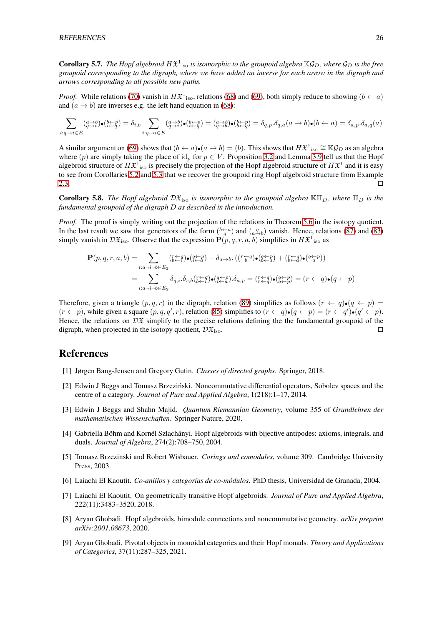**Corollary 5.7.** The Hopf algebroid  $H\mathfrak{X}^1{}_{\rm iso}$  is isomorphic to the groupoid algebra  $\mathbb{K}\mathcal{G}_D$ , where  $\mathcal{G}_D$  is the free *groupoid corresponding to the digraph, where we have added an inverse for each arrow in the digraph and arrows corresponding to all possible new paths.*

*Proof.* While relations [\(70\)](#page-16-1) vanish in  $H\mathfrak{X}^1$ <sub>iso</sub>, relations [\(68\)](#page-16-2) and [\(69\)](#page-16-3), both simply reduce to showing  $(b \leftarrow a)$ and  $(a \rightarrow b)$  are inverses e.g. the left hand equation in [\(68\)](#page-16-2):

$$
\sum_{i: q \to i \in E} (a \to b) \bullet (b \to p) = \delta_{i,b} \sum_{i: q \to i \in E} (a \to b) \bullet (b \to p) = (a \to b) \bullet (b \to p) = \delta_{q,p} \cdot \delta_{q,a} (a \to b) \bullet (b \gets a) = \delta_{a,p} \cdot \delta_{a,q} (a)
$$

A similar argument on [\(69\)](#page-16-3) shows that  $(b \leftarrow a) \cdot (a \rightarrow b) = (b)$ . This shows that  $H\mathfrak{X}^1$ <sub>iso</sub>  $\cong \mathbb{K}\mathcal{G}_D$  as an algebra where (p) are simply taking the place of id<sub>p</sub> for  $p \in V$ . Proposition [3.2](#page-6-2) and Lemma [3.9](#page-8-2) tell us that the Hopf algebroid structure of  $H\mathfrak{X}^1{}_{\rm iso}$  is precisely the projection of the Hopf algebroid structure of  $H\mathfrak{X}^1$  and it is easy to see from Corollaries [5.2](#page-19-0) and [5.3](#page-20-0) that we recover the groupoid ring Hopf algebroid structure from Example [2.3.](#page-5-2)  $\Box$ 

<span id="page-25-4"></span>**Corollary 5.8.** *The Hopf algebroid*  $D\mathfrak{X}_{\text{iso}}$  *is isomorphic to the groupoid algebra*  $\mathbb{K}\Pi_D$ *, where*  $\Pi_D$  *is the fundamental groupoid of the digraph* D *as described in the introduction.*

*Proof.* The proof is simply writing out the projection of the relations in Theorem [5.6](#page-22-0) in the isotopy quotient. In the last result we saw that generators of the form  $(b-a \to a)$  and  $(a \to b)$  vanish. Hence, relations [\(87\)](#page-22-6) and [\(83\)](#page-22-8) simply vanish in  $\mathcal{D} \mathfrak{X}_{\text{iso}}$ . Observe that the expression  $\mathbf{P}(p,q,r,a,b)$  simplifies in  $H\mathfrak{X}^1_{\text{ iso}}$  as

$$
\mathbf{P}(p,q,r,a,b) = \sum_{i:a\rightarrow i\rightarrow b\in E_2} (\mathop{\mathop{\mathop{\hbox{\rm E}}}}_{i\in a}\mathop{\mathop{\mathop{\bullet}}\nolimits}(\mathop{\mathop{\mathop{\bullet}}\nolimits}^{t-q}) \bullet (\mathop{\mathop{\bullet}}\nolimits^{q\leftarrow p}_{i\leftarrow a}) - \delta_{a\rightarrow b}.\ ((\mathop{\mathop{\mathop{\bullet}}\nolimits}^{r-q}) \bullet (\mathop{\mathop{\bullet}}\nolimits^{q\leftarrow p}_{i\leftarrow a}) + (\mathop{\mathop{\mathop{\bullet}}\nolimits}^{t-q}_{i\leftarrow a}) \bullet (\mathop{\mathop{\bullet}}\nolimits^{q\leftarrow p}_{i\leftarrow a}))
$$
\n
$$
= \sum_{i:a\rightarrow i\rightarrow b\in E_2} \delta_{q,i}.\delta_{r,b}(\mathop{\mathop{\rm E}}\nolimits^{t-q}_{i\leftarrow a}) \bullet (\mathop{\mathop{\rm E}}\nolimits^{t-p}_{i\leftarrow a}) \delta_{a,p} = (\mathop{\mathop{\rm E}}\nolimits^{t-q}_{i\leftarrow a}) \bullet (\mathop{\mathop{\rm E}}\nolimits^{t-p}_{i\leftarrow a}) = (r \leftarrow q) \bullet (q \leftarrow p)
$$

Therefore, given a triangle  $(p, q, r)$  in the digraph, relation [\(89\)](#page-22-2) simplifies as follows  $(r \leftarrow q) \bullet (q \leftarrow p)$  $(r \leftarrow p)$ , while given a square  $(p, q, q', r)$ , relation [\(85\)](#page-22-1) simplifies to  $(r \leftarrow q) \cdot (q \leftarrow p) = (r \leftarrow q') \cdot (q' \leftarrow p)$ . Hence, the relations on  $\mathcal{D}\mathfrak{X}$  simplify to the precise relations defining the the fundamental groupoid of the digraph, when projected in the isotopy quotient,  $\mathcal{D} \mathfrak{X}_{\mathrm{iso}}$ .  $\Box$ 

## <span id="page-25-2"></span>References

- <span id="page-25-3"></span>[1] Jørgen Bang-Jensen and Gregory Gutin. *Classes of directed graphs*. Springer, 2018.
- [2] Edwin J Beggs and Tomasz Brzeziński. Noncommutative differential operators, Sobolev spaces and the centre of a category. *Journal of Pure and Applied Algebra*, 1(218):1–17, 2014.
- <span id="page-25-0"></span>[3] Edwin J Beggs and Shahn Majid. *Quantum Riemannian Geometry*, volume 355 of *Grundlehren der mathematischen Wissenschaften*. Springer Nature, 2020.
- <span id="page-25-6"></span>[4] Gabriella Böhm and Kornél Szlachányi. Hopf algebroids with bijective antipodes: axioms, integrals, and duals. *Journal of Algebra*, 274(2):708–750, 2004.
- <span id="page-25-9"></span><span id="page-25-8"></span>[5] Tomasz Brzezinski and Robert Wisbauer. *Corings and comodules*, volume 309. Cambridge University Press, 2003.
- <span id="page-25-7"></span>[6] Laiachi El Kaoutit. *Co-anillos y categorías de co-módulos*. PhD thesis, Universidad de Granada, 2004.
- [7] Laiachi El Kaoutit. On geometrically transitive Hopf algebroids. *Journal of Pure and Applied Algebra*, 222(11):3483–3520, 2018.
- <span id="page-25-1"></span>[8] Aryan Ghobadi. Hopf algebroids, bimodule connections and noncommutative geometry. *arXiv preprint arXiv:2001.08673*, 2020.
- <span id="page-25-5"></span>[9] Aryan Ghobadi. Pivotal objects in monoidal categories and their Hopf monads. *Theory and Applications of Categories*, 37(11):287–325, 2021.